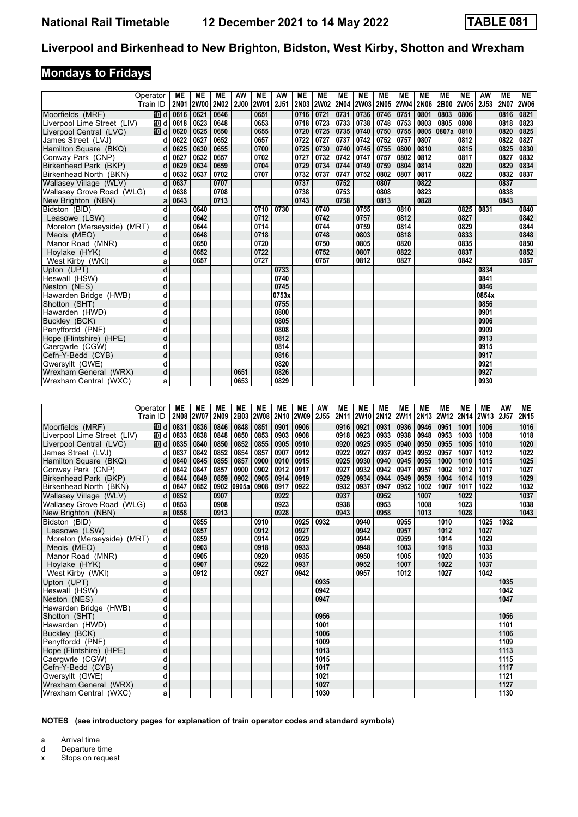# **Mondays to Fridays**

|                             | Operator<br>Train ID | <b>ME</b><br>2N01 | ME<br><b>2W00</b> | <b>ME</b><br>2N02 | AW<br>2J00 | ME<br><b>2W01</b> | AW<br>2J51 | <b>ME</b><br><b>2N03</b> | ME<br><b>2W02</b> | <b>ME</b><br>2N04 | <b>ME</b><br>2W03 | <b>ME</b><br>2N05 | ME<br><b>2W04</b> | <b>ME</b><br>2N06 | ME<br>2B00 | МE<br><b>2W05</b> | AW<br><b>2J53</b> | <b>ME</b><br>2N07 | ME<br><b>2W06</b> |
|-----------------------------|----------------------|-------------------|-------------------|-------------------|------------|-------------------|------------|--------------------------|-------------------|-------------------|-------------------|-------------------|-------------------|-------------------|------------|-------------------|-------------------|-------------------|-------------------|
|                             |                      |                   |                   |                   |            |                   |            |                          |                   |                   |                   |                   |                   |                   |            |                   |                   |                   |                   |
| Moorfields (MRF)            | III d                | 0616              | 0621              | 0646              |            | 0651              |            | 0716                     | 0721              | 0731              | 0736              | 0746              | 0751              | 0801              | 0803       | 0806              |                   | 0816              | 0821              |
| Liverpool Lime Street (LIV) | 10 d                 | 0618              | 0623              | 0648              |            | 0653              |            | 0718                     | 0723              | 0733              | 0738              | 0748              | 0753              | 0803              | 0805       | 0808              |                   | 0818              | 0823              |
| Liverpool Central (LVC)     | 10 d                 | 0620              | 0625              | 0650              |            | 0655              |            | 0720                     | 0725              | 0735              | 0740              | 0750              | 0755              | 0805              | 0807a      | 0810              |                   | 0820              | 0825              |
| James Street (LVJ)          | d                    | 0622              | 0627              | 0652              |            | 0657              |            | 0722                     | 0727              | 0737              | 0742              | 0752              | 0757              | 0807              |            | 0812              |                   | 0822              | 0827              |
| Hamilton Square (BKQ)       | d                    | 0625              | 0630              | 0655              |            | 0700              |            | 0725                     | 0730              | 0740              | 0745              | 0755              | 0800              | 0810              |            | 0815              |                   | 0825              | 0830              |
| Conway Park (CNP)           | d                    | 0627              | 0632              | 0657              |            | 0702              |            | 0727                     | 0732              | 0742              | 0747              | 0757              | 0802              | 0812              |            | 0817              |                   | 0827              | 0832              |
| Birkenhead Park (BKP)       | d                    | 0629              | 0634              | 0659              |            | 0704              |            | 0729                     | 0734              | 0744              | 0749              | 0759              | 0804              | 0814              |            | 0820              |                   | 0829              | 0834              |
| Birkenhead North (BKN)      | d                    | 0632              | 0637              | 0702              |            | 0707              |            | 0732                     | 0737              | 0747              | 0752              | 0802              | 0807              | 0817              |            | 0822              |                   | 0832              | 0837              |
| Wallasey Village (WLV)      | d                    | 0637              |                   | 0707              |            |                   |            | 0737                     |                   | 0752              |                   | 0807              |                   | 0822              |            |                   |                   | 0837              |                   |
| Wallasey Grove Road (WLG)   | d                    | 0638              |                   | 0708              |            |                   |            | 0738                     |                   | 0753              |                   | 0808              |                   | 0823              |            |                   |                   | 0838              |                   |
| New Brighton (NBN)          | a                    | 0643              |                   | 0713              |            |                   |            | 0743                     |                   | 0758              |                   | 0813              |                   | 0828              |            |                   |                   | 0843              |                   |
| Bidston (BID)               | d                    |                   | 0640              |                   |            | 0710              | 0730       |                          | 0740              |                   | 0755              |                   | 0810              |                   |            | 0825              | 0831              |                   | 0840              |
| Leasowe (LSW)               | d                    |                   | 0642              |                   |            | 0712              |            |                          | 0742              |                   | 0757              |                   | 0812              |                   |            | 0827              |                   |                   | 0842              |
| Moreton (Merseyside) (MRT)  | d                    |                   | 0644              |                   |            | 0714              |            |                          | 0744              |                   | 0759              |                   | 0814              |                   |            | 0829              |                   |                   | 0844              |
| Meols (MEO)                 | d                    |                   | 0648              |                   |            | 0718              |            |                          | 0748              |                   | 0803              |                   | 0818              |                   |            | 0833              |                   |                   | 0848              |
| Manor Road (MNR)            | d                    |                   | 0650              |                   |            | 0720              |            |                          | 0750              |                   | 0805              |                   | 0820              |                   |            | 0835              |                   |                   | 0850              |
| Hoylake (HYK)               | d                    |                   | 0652              |                   |            | 0722              |            |                          | 0752              |                   | 0807              |                   | 0822              |                   |            | 0837              |                   |                   | 0852              |
| West Kirby (WKI)            | a                    |                   | 0657              |                   |            | 0727              |            |                          | 0757              |                   | 0812              |                   | 0827              |                   |            | 0842              |                   |                   | 0857              |
| Upton (UPT)                 | d                    |                   |                   |                   |            |                   | 0733       |                          |                   |                   |                   |                   |                   |                   |            |                   | 0834              |                   |                   |
| Heswall (HSW)               | d                    |                   |                   |                   |            |                   | 0740       |                          |                   |                   |                   |                   |                   |                   |            |                   | 0841              |                   |                   |
| Neston (NES)                | d                    |                   |                   |                   |            |                   | 0745       |                          |                   |                   |                   |                   |                   |                   |            |                   | 0846              |                   |                   |
| Hawarden Bridge (HWB)       | d                    |                   |                   |                   |            |                   | 0753x      |                          |                   |                   |                   |                   |                   |                   |            |                   | 0854x             |                   |                   |
| Shotton (SHT)               | d                    |                   |                   |                   |            |                   | 0755       |                          |                   |                   |                   |                   |                   |                   |            |                   | 0856              |                   |                   |
| Hawarden (HWD)              | d                    |                   |                   |                   |            |                   | 0800       |                          |                   |                   |                   |                   |                   |                   |            |                   | 0901              |                   |                   |
| Buckley (BCK)               | d                    |                   |                   |                   |            |                   | 0805       |                          |                   |                   |                   |                   |                   |                   |            |                   | 0906              |                   |                   |
| Penyffordd (PNF)            | d                    |                   |                   |                   |            |                   | 0808       |                          |                   |                   |                   |                   |                   |                   |            |                   | 0909              |                   |                   |
| Hope (Flintshire) (HPE)     | d                    |                   |                   |                   |            |                   | 0812       |                          |                   |                   |                   |                   |                   |                   |            |                   | 0913              |                   |                   |
| Caergwrle (CGW)             | d                    |                   |                   |                   |            |                   | 0814       |                          |                   |                   |                   |                   |                   |                   |            |                   | 0915              |                   |                   |
| Cefn-Y-Bedd (CYB)           | d                    |                   |                   |                   |            |                   | 0816       |                          |                   |                   |                   |                   |                   |                   |            |                   | 0917              |                   |                   |
| Gwersyllt (GWE)             | d                    |                   |                   |                   |            |                   | 0820       |                          |                   |                   |                   |                   |                   |                   |            |                   | 0921              |                   |                   |
| Wrexham General (WRX)       | d                    |                   |                   |                   | 0651       |                   | 0826       |                          |                   |                   |                   |                   |                   |                   |            |                   | 0927              |                   |                   |
| Wrexham Central (WXC)       | а                    |                   |                   |                   | 0653       |                   | 0829       |                          |                   |                   |                   |                   |                   |                   |            |                   | 0930              |                   |                   |

|                             | Operator | ME          | МE   | ME   | <b>ME</b> | ME          | <b>ME</b> | ME          | AW          | <b>ME</b> | МE          | <b>ME</b> | ME          | <b>ME</b> | ME          | МE   | МE          | AW          | ME   |
|-----------------------------|----------|-------------|------|------|-----------|-------------|-----------|-------------|-------------|-----------|-------------|-----------|-------------|-----------|-------------|------|-------------|-------------|------|
|                             | Train ID | <b>2N08</b> | 2W07 | 2N09 | 2B03      | <b>2W08</b> | 2N10      | <b>2W09</b> | <b>2J55</b> | 2N11      | <b>2W10</b> | 2N12      | <b>2W11</b> | 2N13      | <b>2W12</b> | 2N14 | <b>2W13</b> | <b>2J57</b> | 2N15 |
| Moorfields (MRF)            | III d    | 0831        | 0836 | 0846 | 0848      | 0851        | 0901      | 0906        |             | 0916      | 0921        | 0931      | 0936        | 0946      | 0951        | 1001 | 1006        |             | 1016 |
| Liverpool Lime Street (LIV) | 10 d     | 0833        | 0838 | 0848 | 0850      | 0853        | 0903      | 0908        |             | 0918      | 0923        | 0933      | 0938        | 0948      | 0953        | 1003 | 1008        |             | 1018 |
| Liverpool Central (LVC)     | 10 d     | 0835        | 0840 | 0850 | 0852      | 0855        | 0905      | 0910        |             | 0920      | 0925        | 0935      | 0940        | 0950      | 0955        | 1005 | 1010        |             | 1020 |
| James Street (LVJ)          | d        | 0837        | 0842 | 0852 | 0854      | 0857        | 0907      | 0912        |             | 0922      | 0927        | 0937      | 0942        | 0952      | 0957        | 1007 | 1012        |             | 1022 |
| Hamilton Square (BKQ)       | d        | 0840        | 0845 | 0855 | 0857      | 0900        | 0910      | 0915        |             | 0925      | 0930        | 0940      | 0945        | 0955      | 1000        | 1010 | 1015        |             | 1025 |
| Conway Park (CNP)           | d        | 0842        | 0847 | 0857 | 0900      | 0902        | 0912      | 0917        |             | 0927      | 0932        | 0942      | 0947        | 0957      | 1002        | 1012 | 1017        |             | 1027 |
| Birkenhead Park (BKP)       | d        | 0844        | 0849 | 0859 | 0902      | 0905        | 0914      | 0919        |             | 0929      | 0934        | 0944      | 0949        | 0959      | 1004        | 1014 | 1019        |             | 1029 |
| Birkenhead North (BKN)      | d        | 0847        | 0852 | 0902 | 0905a     | 0908        | 0917      | 0922        |             | 0932      | 0937        | 0947      | 0952        | 1002      | 1007        | 1017 | 1022        |             | 1032 |
| Wallasev Village (WLV)      | d        | 0852        |      | 0907 |           |             | 0922      |             |             | 0937      |             | 0952      |             | 1007      |             | 1022 |             |             | 1037 |
| Wallasey Grove Road (WLG)   | d        | 0853        |      | 0908 |           |             | 0923      |             |             | 0938      |             | 0953      |             | 1008      |             | 1023 |             |             | 1038 |
| New Brighton (NBN)          | a        | 0858        |      | 0913 |           |             | 0928      |             |             | 0943      |             | 0958      |             | 1013      |             | 1028 |             |             | 1043 |
| Bidston (BID)               | d        |             | 0855 |      |           | 0910        |           | 0925        | 0932        |           | 0940        |           | 0955        |           | 1010        |      | 1025        | 1032        |      |
| Leasowe (LSW)               | d        |             | 0857 |      |           | 0912        |           | 0927        |             |           | 0942        |           | 0957        |           | 1012        |      | 1027        |             |      |
| Moreton (Merseyside) (MRT)  | d        |             | 0859 |      |           | 0914        |           | 0929        |             |           | 0944        |           | 0959        |           | 1014        |      | 1029        |             |      |
| Meols (MEO)                 | d        |             | 0903 |      |           | 0918        |           | 0933        |             |           | 0948        |           | 1003        |           | 1018        |      | 1033        |             |      |
| Manor Road (MNR)            | d        |             | 0905 |      |           | 0920        |           | 0935        |             |           | 0950        |           | 1005        |           | 1020        |      | 1035        |             |      |
| Hoylake (HYK)               | d        |             | 0907 |      |           | 0922        |           | 0937        |             |           | 0952        |           | 1007        |           | 1022        |      | 1037        |             |      |
| West Kirby (WKI)            | a        |             | 0912 |      |           | 0927        |           | 0942        |             |           | 0957        |           | 1012        |           | 1027        |      | 1042        |             |      |
| Upton (UPT)                 | d        |             |      |      |           |             |           |             | 0935        |           |             |           |             |           |             |      |             | 1035        |      |
| Heswall (HSW)               | d        |             |      |      |           |             |           |             | 0942        |           |             |           |             |           |             |      |             | 1042        |      |
| Neston (NES)                | d        |             |      |      |           |             |           |             | 0947        |           |             |           |             |           |             |      |             | 1047        |      |
| Hawarden Bridge (HWB)       | d        |             |      |      |           |             |           |             |             |           |             |           |             |           |             |      |             |             |      |
| Shotton (SHT)               | d        |             |      |      |           |             |           |             | 0956        |           |             |           |             |           |             |      |             | 1056        |      |
| Hawarden (HWD)              | d        |             |      |      |           |             |           |             | 1001        |           |             |           |             |           |             |      |             | 1101        |      |
| Buckley (BCK)               | d        |             |      |      |           |             |           |             | 1006        |           |             |           |             |           |             |      |             | 1106        |      |
| Penvffordd (PNF)            | d        |             |      |      |           |             |           |             | 1009        |           |             |           |             |           |             |      |             | 1109        |      |
| Hope (Flintshire) (HPE)     | d        |             |      |      |           |             |           |             | 1013        |           |             |           |             |           |             |      |             | 1113        |      |
| Caergwrle (CGW)             | d        |             |      |      |           |             |           |             | 1015        |           |             |           |             |           |             |      |             | 1115        |      |
| Cefn-Y-Bedd (CYB)           | d        |             |      |      |           |             |           |             | 1017        |           |             |           |             |           |             |      |             | 1117        |      |
| Gwersyllt (GWE)             | d        |             |      |      |           |             |           |             | 1021        |           |             |           |             |           |             |      |             | 1121        |      |
| Wrexham General (WRX)       | d        |             |      |      |           |             |           |             | 1027        |           |             |           |             |           |             |      |             | 1127        |      |
| Wrexham Central (WXC)       | a        |             |      |      |           |             |           |             | 1030        |           |             |           |             |           |             |      |             | 1130        |      |

**NOTES (see introductory pages for explanation of train operator codes and standard symbols)**

**a** Arrival time<br>**d** Departure t

**d** Departure time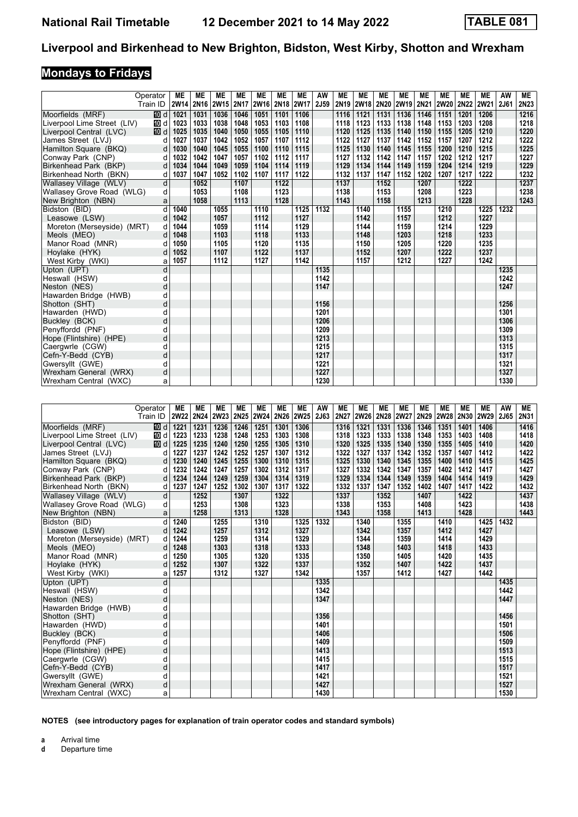# **Mondays to Fridays**

|                             | Operator<br>Train ID | <b>ME</b><br>2W14 | <b>ME</b><br>2N16 | <b>ME</b><br>2W15 2N17 | <b>ME</b> | <b>ME</b><br><b>2W16</b> | <b>ME</b><br>2N18 | <b>ME</b><br><b>2W17</b> | AW<br>2J59 | <b>ME</b><br>2N19 | <b>ME</b><br><b>2W18</b> | <b>ME</b><br>2N20 | <b>ME</b><br><b>2W19</b> | <b>ME</b><br>2N21 | <b>ME</b><br><b>2W20</b> | <b>ME</b><br>2N22 | <b>ME</b><br><b>2W21</b> | AW<br>2J61 | ME<br>2N23 |
|-----------------------------|----------------------|-------------------|-------------------|------------------------|-----------|--------------------------|-------------------|--------------------------|------------|-------------------|--------------------------|-------------------|--------------------------|-------------------|--------------------------|-------------------|--------------------------|------------|------------|
| Moorfields (MRF)            | 100 d                | 1021              | 1031              | 1036                   | 1046      | 1051                     | 1101              | 1106                     |            | 1116              | 1121                     | 1131              | 1136                     | 1146              | 1151                     | 1201              | 1206                     |            | 1216       |
| Liverpool Lime Street (LIV) | 10 d                 | 1023              | 1033              | 1038                   | 1048      | 1053                     | 1103              | 1108                     |            | 1118              | 1123                     | 1133              | 1138                     | 1148              | 1153                     | 1203              | 1208                     |            | 1218       |
| Liverpool Central (LVC)     | <b>ID</b> d          | 1025              | 1035              | 1040                   | 1050      | 1055                     | 1105              | 1110                     |            | 1120              | 1125                     | 1135              | 1140                     | 1150              | 1155                     | 1205              | 1210                     |            | 1220       |
| James Street (LVJ)          | d                    | 1027              | 1037              | 1042                   | 1052      | 1057                     | 1107              | 1112                     |            | 1122              | 1127                     | 1137              | 1142                     | 1152              | 1157                     | 1207              | 1212                     |            | 1222       |
| Hamilton Square (BKQ)       | d                    | 1030              | 1040              | 1045                   | 1055      | 1100                     | 1110              | 1115                     |            | 1125              | 1130                     | 1140              | 1145                     | 1155              | 1200                     | 1210              | 1215                     |            | 1225       |
| Conway Park (CNP)           | d                    | 1032              | 1042              | 1047                   | 1057      | 1102                     | 1112              | 1117                     |            | 1127              | 1132                     | 1142              | 1147                     | 1157              | 1202                     | 1212              | 1217                     |            | 1227       |
| Birkenhead Park (BKP)       | d                    | 1034              | 1044              | 1049                   | 1059      | 1104                     | 1114              | 1119                     |            | 1129              | 1134                     | 1144              | 1149                     | 1159              | 1204                     | 1214              | 1219                     |            | 1229       |
| Birkenhead North (BKN)      | d                    | 1037              | 1047              | 1052                   | 1102      | 1107                     | 1117              | 1122                     |            | 1132              | 1137                     | 1147              | 1152                     | 1202              | 1207                     | 1217              | 1222                     |            | 1232       |
| Wallasey Village (WLV)      | d                    |                   | 1052              |                        | 1107      |                          | 1122              |                          |            | 1137              |                          | 1152              |                          | 1207              |                          | 1222              |                          |            | 1237       |
| Wallasey Grove Road (WLG)   | d                    |                   | 1053              |                        | 1108      |                          | 1123              |                          |            | 1138              |                          | 1153              |                          | 1208              |                          | 1223              |                          |            | 1238       |
| New Brighton (NBN)          | a                    |                   | 1058              |                        | 1113      |                          | 1128              |                          |            | 1143              |                          | 1158              |                          | 1213              |                          | 1228              |                          |            | 1243       |
| Bidston (BID)               | d                    | 1040              |                   | 1055                   |           | 1110                     |                   | 1125                     | 1132       |                   | 1140                     |                   | 1155                     |                   | 1210                     |                   | 1225                     | 1232       |            |
| Leasowe (LSW)               | d                    | 1042              |                   | 1057                   |           | 1112                     |                   | 1127                     |            |                   | 1142                     |                   | 1157                     |                   | 1212                     |                   | 1227                     |            |            |
| Moreton (Merseyside) (MRT)  | d                    | 1044              |                   | 1059                   |           | 1114                     |                   | 1129                     |            |                   | 1144                     |                   | 1159                     |                   | 1214                     |                   | 1229                     |            |            |
| Meols (MEO)                 | d                    | 1048              |                   | 1103                   |           | 1118                     |                   | 1133                     |            |                   | 1148                     |                   | 1203                     |                   | 1218                     |                   | 1233                     |            |            |
| Manor Road (MNR)            | d                    | 1050              |                   | 1105                   |           | 1120                     |                   | 1135                     |            |                   | 1150                     |                   | 1205                     |                   | 1220                     |                   | 1235                     |            |            |
| Hoylake (HYK)               | d                    | 1052              |                   | 1107                   |           | 1122                     |                   | 1137                     |            |                   | 1152                     |                   | 1207                     |                   | 1222                     |                   | 1237                     |            |            |
| West Kirby (WKI)            | a                    | 1057              |                   | 1112                   |           | 1127                     |                   | 1142                     |            |                   | 1157                     |                   | 1212                     |                   | 1227                     |                   | 1242                     |            |            |
| Upton (UPT)                 | d                    |                   |                   |                        |           |                          |                   |                          | 1135       |                   |                          |                   |                          |                   |                          |                   |                          | 1235       |            |
| Heswall (HSW)               | d                    |                   |                   |                        |           |                          |                   |                          | 1142       |                   |                          |                   |                          |                   |                          |                   |                          | 1242       |            |
| Neston (NES)                | d                    |                   |                   |                        |           |                          |                   |                          | 1147       |                   |                          |                   |                          |                   |                          |                   |                          | 1247       |            |
| Hawarden Bridge (HWB)       | d                    |                   |                   |                        |           |                          |                   |                          |            |                   |                          |                   |                          |                   |                          |                   |                          |            |            |
| Shotton (SHT)               | d                    |                   |                   |                        |           |                          |                   |                          | 1156       |                   |                          |                   |                          |                   |                          |                   |                          | 1256       |            |
| Hawarden (HWD)              | d                    |                   |                   |                        |           |                          |                   |                          | 1201       |                   |                          |                   |                          |                   |                          |                   |                          | 1301       |            |
| Buckley (BCK)               | d                    |                   |                   |                        |           |                          |                   |                          | 1206       |                   |                          |                   |                          |                   |                          |                   |                          | 1306       |            |
| Penvffordd (PNF)            | d                    |                   |                   |                        |           |                          |                   |                          | 1209       |                   |                          |                   |                          |                   |                          |                   |                          | 1309       |            |
| Hope (Flintshire) (HPE)     | d                    |                   |                   |                        |           |                          |                   |                          | 1213       |                   |                          |                   |                          |                   |                          |                   |                          | 1313       |            |
| Caergwrle (CGW)             | d                    |                   |                   |                        |           |                          |                   |                          | 1215       |                   |                          |                   |                          |                   |                          |                   |                          | 1315       |            |
| Cefn-Y-Bedd (CYB)           | d                    |                   |                   |                        |           |                          |                   |                          | 1217       |                   |                          |                   |                          |                   |                          |                   |                          | 1317       |            |
| Gwersyllt (GWE)             | d                    |                   |                   |                        |           |                          |                   |                          | 1221       |                   |                          |                   |                          |                   |                          |                   |                          | 1321       |            |
| Wrexham General (WRX)       | d                    |                   |                   |                        |           |                          |                   |                          | 1227       |                   |                          |                   |                          |                   |                          |                   |                          | 1327       |            |
| Wrexham Central (WXC)       | a                    |                   |                   |                        |           |                          |                   |                          | 1230       |                   |                          |                   |                          |                   |                          |                   |                          | 1330       |            |

|                             | Operator | ME          | ME   | ME          | <b>ME</b> | ME        | <b>ME</b> | ME   | AW   | <b>ME</b> | ME          | <b>ME</b> | <b>ME</b>   | МE   | ME   | <b>ME</b> | МE   | AW   | ME   |
|-----------------------------|----------|-------------|------|-------------|-----------|-----------|-----------|------|------|-----------|-------------|-----------|-------------|------|------|-----------|------|------|------|
|                             | Train ID | <b>2W22</b> | 2N24 | <b>2W23</b> | 2N25      | 2W24 2N26 |           | 2W25 | 2J63 | 2N27      | <b>2W26</b> | 2N28      | <b>2W27</b> | 2N29 | 2W28 | 2N30      | 2W29 | 2J65 | 2N31 |
| Moorfields (MRF)            | iD d     | 1221        | 1231 | 1236        | 1246      | 1251      | 1301      | 1306 |      | 1316      | 1321        | 1331      | 1336        | 1346 | 1351 | 1401      | 1406 |      | 1416 |
| Liverpool Lime Street (LIV) | 10 d     | 1223        | 1233 | 1238        | 1248      | 1253      | 1303      | 1308 |      | 1318      | 1323        | 1333      | 1338        | 1348 | 1353 | 1403      | 1408 |      | 1418 |
| Liverpool Central (LVC)     | [10] d   | 1225        | 1235 | 1240        | 1250      | 1255      | 1305      | 1310 |      | 1320      | 1325        | 1335      | 1340        | 1350 | 1355 | 1405      | 1410 |      | 1420 |
| James Street (LVJ)          | d        | 1227        | 1237 | 1242        | 1252      | 1257      | 1307      | 1312 |      | 1322      | 1327        | 1337      | 1342        | 1352 | 1357 | 1407      | 1412 |      | 1422 |
| Hamilton Square (BKQ)       | d        | 1230        | 1240 | 1245        | 1255      | 1300      | 1310      | 1315 |      | 1325      | 1330        | 1340      | 1345        | 1355 | 1400 | 1410      | 1415 |      | 1425 |
| Conway Park (CNP)           | d        | 1232        | 1242 | 1247        | 1257      | 1302      | 1312      | 1317 |      | 1327      | 1332        | 1342      | 1347        | 1357 | 1402 | 1412      | 1417 |      | 1427 |
| Birkenhead Park (BKP)       | d        | 1234        | 1244 | 1249        | 1259      | 1304      | 1314      | 1319 |      | 1329      | 1334        | 1344      | 1349        | 1359 | 1404 | 1414      | 1419 |      | 1429 |
| Birkenhead North (BKN)      | d        | 1237        | 1247 | 1252        | 1302      | 1307      | 1317      | 1322 |      | 1332      | 1337        | 1347      | 1352        | 1402 | 1407 | 1417      | 1422 |      | 1432 |
| Wallasey Village (WLV)      | d        |             | 1252 |             | 1307      |           | 1322      |      |      | 1337      |             | 1352      |             | 1407 |      | 1422      |      |      | 1437 |
| Wallasey Grove Road (WLG)   | d        |             | 1253 |             | 1308      |           | 1323      |      |      | 1338      |             | 1353      |             | 1408 |      | 1423      |      |      | 1438 |
| New Brighton (NBN)          | a        |             | 1258 |             | 1313      |           | 1328      |      |      | 1343      |             | 1358      |             | 1413 |      | 1428      |      |      | 1443 |
| Bidston (BID)               | d        | 1240        |      | 1255        |           | 1310      |           | 1325 | 1332 |           | 1340        |           | 1355        |      | 1410 |           | 1425 | 1432 |      |
| Leasowe (LSW)               | d        | 1242        |      | 1257        |           | 1312      |           | 1327 |      |           | 1342        |           | 1357        |      | 1412 |           | 1427 |      |      |
| Moreton (Merseyside) (MRT)  | d        | 1244        |      | 1259        |           | 1314      |           | 1329 |      |           | 1344        |           | 1359        |      | 1414 |           | 1429 |      |      |
| Meols (MEO)                 | d        | 1248        |      | 1303        |           | 1318      |           | 1333 |      |           | 1348        |           | 1403        |      | 1418 |           | 1433 |      |      |
| Manor Road (MNR)            | d        | 1250        |      | 1305        |           | 1320      |           | 1335 |      |           | 1350        |           | 1405        |      | 1420 |           | 1435 |      |      |
| Hoylake (HYK)               | d        | 1252        |      | 1307        |           | 1322      |           | 1337 |      |           | 1352        |           | 1407        |      | 1422 |           | 1437 |      |      |
| West Kirby (WKI)            | a        | 1257        |      | 1312        |           | 1327      |           | 1342 |      |           | 1357        |           | 1412        |      | 1427 |           | 1442 |      |      |
| Upton (UPT)                 | d        |             |      |             |           |           |           |      | 1335 |           |             |           |             |      |      |           |      | 1435 |      |
| Heswall (HSW)               | d        |             |      |             |           |           |           |      | 1342 |           |             |           |             |      |      |           |      | 1442 |      |
| Neston (NES)                | d        |             |      |             |           |           |           |      | 1347 |           |             |           |             |      |      |           |      | 1447 |      |
| Hawarden Bridge (HWB)       | d        |             |      |             |           |           |           |      |      |           |             |           |             |      |      |           |      |      |      |
| Shotton (SHT)               | d        |             |      |             |           |           |           |      | 1356 |           |             |           |             |      |      |           |      | 1456 |      |
| Hawarden (HWD)              | d        |             |      |             |           |           |           |      | 1401 |           |             |           |             |      |      |           |      | 1501 |      |
| Buckley (BCK)               | d        |             |      |             |           |           |           |      | 1406 |           |             |           |             |      |      |           |      | 1506 |      |
| Penvffordd (PNF)            | d        |             |      |             |           |           |           |      | 1409 |           |             |           |             |      |      |           |      | 1509 |      |
| Hope (Flintshire) (HPE)     | d        |             |      |             |           |           |           |      | 1413 |           |             |           |             |      |      |           |      | 1513 |      |
| Caergwrle (CGW)             | d        |             |      |             |           |           |           |      | 1415 |           |             |           |             |      |      |           |      | 1515 |      |
| Cefn-Y-Bedd (CYB)           | d        |             |      |             |           |           |           |      | 1417 |           |             |           |             |      |      |           |      | 1517 |      |
| Gwersyllt (GWE)             | d        |             |      |             |           |           |           |      | 1421 |           |             |           |             |      |      |           |      | 1521 |      |
| Wrexham General (WRX)       | d        |             |      |             |           |           |           |      | 1427 |           |             |           |             |      |      |           |      | 1527 |      |
| Wrexham Central (WXC)       | a        |             |      |             |           |           |           |      | 1430 |           |             |           |             |      |      |           |      | 1530 |      |

**NOTES (see introductory pages for explanation of train operator codes and standard symbols)**

**a** Arrival time<br>**d** Departure t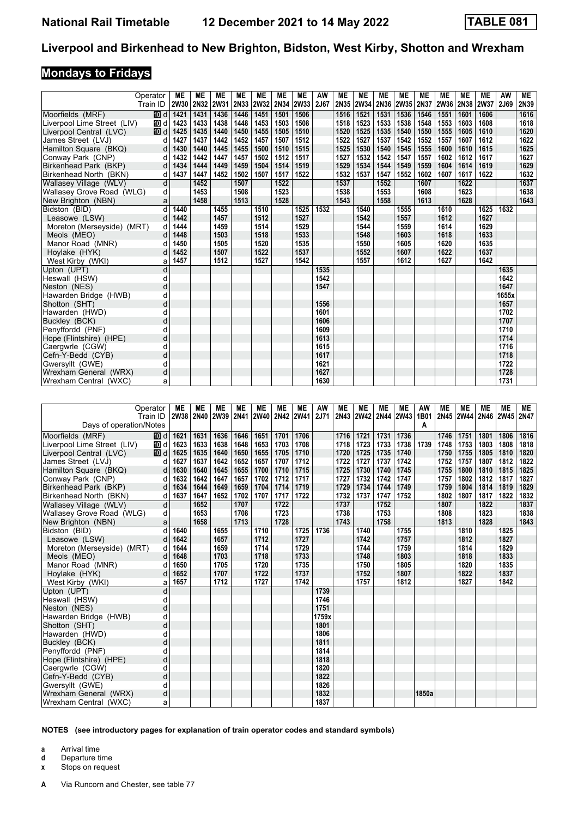# **Mondays to Fridays**

|                             | Operator    | ME          | <b>ME</b> | <b>ME</b> | <b>ME</b> | <b>ME</b>   | <b>ME</b> | ME<br><b>2W33</b> | AW<br>2J67 | <b>ME</b> | <b>ME</b><br>2W34 | <b>ME</b> | <b>ME</b> | <b>ME</b> | <b>ME</b>   | <b>ME</b> | <b>ME</b><br>2W37 | AW<br>2J69 | <b>ME</b><br>2N39 |
|-----------------------------|-------------|-------------|-----------|-----------|-----------|-------------|-----------|-------------------|------------|-----------|-------------------|-----------|-----------|-----------|-------------|-----------|-------------------|------------|-------------------|
|                             | Train ID    | <b>2W30</b> | 2N32      | 2W31      | 2N33      | <b>2W32</b> | 2N34      |                   |            | 2N35      |                   | 2N36      | 2W35      | 2N37      | <b>2W36</b> | 2N38      |                   |            |                   |
| Moorfields (MRF)            | 100 d       | 1421        | 1431      | 1436      | 1446      | 1451        | 1501      | 1506              |            | 1516      | 1521              | 1531      | 1536      | 1546      | 1551        | 1601      | 1606              |            | 1616              |
| Liverpool Lime Street (LIV) | 10 d        | 1423        | 1433      | 1438      | 1448      | 1453        | 1503      | 1508              |            | 1518      | 1523              | 1533      | 1538      | 1548      | 1553        | 1603      | 1608              |            | 1618              |
| Liverpool Central (LVC)     | <b>ID</b> d | 1425        | 1435      | 1440      | 1450      | 1455        | 1505      | 1510              |            | 1520      | 1525              | 1535      | 1540      | 1550      | 1555        | 1605      | 1610              |            | 1620              |
| James Street (LVJ)          | d           | 1427        | 1437      | 1442      | 1452      | 1457        | 1507      | 1512              |            | 1522      | 1527              | 1537      | 1542      | 1552      | 1557        | 1607      | 1612              |            | 1622              |
| Hamilton Square (BKQ)       | d           | 1430        | 1440      | 1445      | 1455      | 1500        | 1510      | 1515              |            | 1525      | 1530              | 1540      | 1545      | 1555      | 1600        | 1610      | 1615              |            | 1625              |
| Conway Park (CNP)           | d           | 1432        | 1442      | 1447      | 1457      | 1502        | 1512      | 1517              |            | 1527      | 1532              | 1542      | 1547      | 1557      | 1602        | 1612      | 1617              |            | 1627              |
| Birkenhead Park (BKP)       | d           | 1434        | 1444      | 1449      | 1459      | 1504        | 1514      | 1519              |            | 1529      | 1534              | 1544      | 1549      | 1559      | 1604        | 1614      | 1619              |            | 1629              |
| Birkenhead North (BKN)      | d           | 1437        | 1447      | 1452      | 1502      | 1507        | 1517      | 1522              |            | 1532      | 1537              | 1547      | 1552      | 1602      | 1607        | 1617      | 1622              |            | 1632              |
| Wallasey Village (WLV)      | d           |             | 1452      |           | 1507      |             | 1522      |                   |            | 1537      |                   | 1552      |           | 1607      |             | 1622      |                   |            | 1637              |
| Wallasey Grove Road (WLG)   | d           |             | 1453      |           | 1508      |             | 1523      |                   |            | 1538      |                   | 1553      |           | 1608      |             | 1623      |                   |            | 1638              |
| New Brighton (NBN)          | a           |             | 1458      |           | 1513      |             | 1528      |                   |            | 1543      |                   | 1558      |           | 1613      |             | 1628      |                   |            | 1643              |
| Bidston (BID)               | d           | 1440        |           | 1455      |           | 1510        |           | 1525              | 1532       |           | 1540              |           | 1555      |           | 1610        |           | 1625              | 1632       |                   |
| Leasowe (LSW)               | d           | 1442        |           | 1457      |           | 1512        |           | 1527              |            |           | 1542              |           | 1557      |           | 1612        |           | 1627              |            |                   |
| Moreton (Merseyside) (MRT)  | d           | 1444        |           | 1459      |           | 1514        |           | 1529              |            |           | 1544              |           | 1559      |           | 1614        |           | 1629              |            |                   |
| Meols (MEO)                 | d           | 1448        |           | 1503      |           | 1518        |           | 1533              |            |           | 1548              |           | 1603      |           | 1618        |           | 1633              |            |                   |
| Manor Road (MNR)            | d           | 1450        |           | 1505      |           | 1520        |           | 1535              |            |           | 1550              |           | 1605      |           | 1620        |           | 1635              |            |                   |
| Hoylake (HYK)               | d           | 1452        |           | 1507      |           | 1522        |           | 1537              |            |           | 1552              |           | 1607      |           | 1622        |           | 1637              |            |                   |
| West Kirby (WKI)            | a           | 1457        |           | 1512      |           | 1527        |           | 1542              |            |           | 1557              |           | 1612      |           | 1627        |           | 1642              |            |                   |
| Upton (UPT)                 | d           |             |           |           |           |             |           |                   | 1535       |           |                   |           |           |           |             |           |                   | 1635       |                   |
| Heswall (HSW)               | d           |             |           |           |           |             |           |                   | 1542       |           |                   |           |           |           |             |           |                   | 1642       |                   |
| Neston (NES)                | d           |             |           |           |           |             |           |                   | 1547       |           |                   |           |           |           |             |           |                   | 1647       |                   |
| Hawarden Bridge (HWB)       | d           |             |           |           |           |             |           |                   |            |           |                   |           |           |           |             |           |                   | 1655x      |                   |
| Shotton (SHT)               | d           |             |           |           |           |             |           |                   | 1556       |           |                   |           |           |           |             |           |                   | 1657       |                   |
| Hawarden (HWD)              | d           |             |           |           |           |             |           |                   | 1601       |           |                   |           |           |           |             |           |                   | 1702       |                   |
| Buckley (BCK)               | d           |             |           |           |           |             |           |                   | 1606       |           |                   |           |           |           |             |           |                   | 1707       |                   |
| Penvffordd (PNF)            | d           |             |           |           |           |             |           |                   | 1609       |           |                   |           |           |           |             |           |                   | 1710       |                   |
| Hope (Flintshire) (HPE)     | d           |             |           |           |           |             |           |                   | 1613       |           |                   |           |           |           |             |           |                   | 1714       |                   |
| Caergwrle (CGW)             | d           |             |           |           |           |             |           |                   | 1615       |           |                   |           |           |           |             |           |                   | 1716       |                   |
| Cefn-Y-Bedd (CYB)           | d           |             |           |           |           |             |           |                   | 1617       |           |                   |           |           |           |             |           |                   | 1718       |                   |
| Gwersyllt (GWE)             | d           |             |           |           |           |             |           |                   | 1621       |           |                   |           |           |           |             |           |                   | 1722       |                   |
| Wrexham General (WRX)       | d           |             |           |           |           |             |           |                   | 1627       |           |                   |           |           |           |             |           |                   | 1728       |                   |
| Wrexham Central (WXC)       | a           |             |           |           |           |             |           |                   | 1630       |           |                   |           |           |           |             |           |                   | 1731       |                   |

|                             | Operator<br>Train ID | ME   | <b>ME</b><br>2W38 2N40 | <b>ME</b> | <b>ME</b> | МE<br>2W39 2N41 2W40 2N42 2W41 | МE   | <b>ME</b> | AW<br>2J71 | <b>ME</b><br>2N43 | <b>ME</b><br>2W42 2N44 | ME   | <b>ME</b><br><b>2W43</b> | AW<br>1B01 | МE   | ME<br>2N45 2W44 | <b>ME</b> | <b>ME</b><br>2N46 2W45 | ME<br><b>2N47</b> |
|-----------------------------|----------------------|------|------------------------|-----------|-----------|--------------------------------|------|-----------|------------|-------------------|------------------------|------|--------------------------|------------|------|-----------------|-----------|------------------------|-------------------|
| Days of operation/Notes     |                      |      |                        |           |           |                                |      |           |            |                   |                        |      |                          | A          |      |                 |           |                        |                   |
| Moorfields (MRF)            | 10 d                 | 1621 | 1631                   | 1636      | 1646      | 1651                           | 1701 | 1706      |            | 1716              | 1721                   | 1731 | 1736                     |            | 1746 | 1751            | 1801      | 1806                   | 1816              |
| Liverpool Lime Street (LIV) | 10 d l               | 1623 | 1633                   | 1638      | 1648      | 1653                           | 1703 | 1708      |            | 1718              | 1723                   | 1733 | 1738                     | 1739       | 1748 | 1753            | 1803      | 1808                   | 1818              |
| Liverpool Central (LVC)     | <b>ID</b> d          | 1625 | 1635                   | 1640      | 1650      | 1655                           | 1705 | 1710      |            | 1720              | 1725                   | 1735 | 1740                     |            | 1750 | 1755            | 1805      | 1810                   | 1820              |
| James Street (LVJ)          | d                    | 1627 | 1637                   | 1642      | 1652      | 1657                           | 1707 | 1712      |            | 1722              | 1727                   | 1737 | 1742                     |            | 1752 | 1757            | 1807      | 1812                   | 1822              |
| Hamilton Square (BKQ)       | d                    | 1630 | 1640                   | 1645      | 1655      | 1700                           | 1710 | 1715      |            | 1725              | 1730                   | 1740 | 1745                     |            | 1755 | 1800            | 1810      | 1815                   | 1825              |
| Conway Park (CNP)           | d                    | 1632 | 1642                   | 1647      | 1657      | 1702                           | 1712 | 1717      |            | 1727              | 1732                   | 1742 | 1747                     |            | 1757 | 1802            | 1812      | 1817                   | 1827              |
| Birkenhead Park (BKP)       | d                    | 1634 | 1644                   | 1649      | 1659      | 1704                           | 1714 | 1719      |            | 1729              | 1734                   | 1744 | 1749                     |            | 1759 | 1804            | 1814      | 1819                   | 1829              |
| Birkenhead North (BKN)      | d                    | 1637 | 1647                   | 1652      | 1702      | 1707                           | 1717 | 1722      |            | 1732              | 1737                   | 1747 | 1752                     |            | 1802 | 1807            | 1817      | 1822                   | 1832              |
| Wallasev Village (WLV)      | d                    |      | 1652                   |           | 1707      |                                | 1722 |           |            | 1737              |                        | 1752 |                          |            | 1807 |                 | 1822      |                        | 1837              |
| Wallasey Grove Road (WLG)   | d                    |      | 1653                   |           | 1708      |                                | 1723 |           |            | 1738              |                        | 1753 |                          |            | 1808 |                 | 1823      |                        | 1838              |
| New Brighton (NBN)          | a                    |      | 1658                   |           | 1713      |                                | 1728 |           |            | 1743              |                        | 1758 |                          |            | 1813 |                 | 1828      |                        | 1843              |
| Bidston (BID)               | d                    | 1640 |                        | 1655      |           | 1710                           |      | 1725      | 1736       |                   | 1740                   |      | 1755                     |            |      | 1810            |           | 1825                   |                   |
| Leasowe (LSW)               | d                    | 1642 |                        | 1657      |           | 1712                           |      | 1727      |            |                   | 1742                   |      | 1757                     |            |      | 1812            |           | 1827                   |                   |
| Moreton (Merseyside) (MRT)  | d                    | 1644 |                        | 1659      |           | 1714                           |      | 1729      |            |                   | 1744                   |      | 1759                     |            |      | 1814            |           | 1829                   |                   |
| Meols (MEO)                 | d                    | 1648 |                        | 1703      |           | 1718                           |      | 1733      |            |                   | 1748                   |      | 1803                     |            |      | 1818            |           | 1833                   |                   |
| Manor Road (MNR)            | d                    | 1650 |                        | 1705      |           | 1720                           |      | 1735      |            |                   | 1750                   |      | 1805                     |            |      | 1820            |           | 1835                   |                   |
| Hoylake (HYK)               | d                    | 1652 |                        | 1707      |           | 1722                           |      | 1737      |            |                   | 1752                   |      | 1807                     |            |      | 1822            |           | 1837                   |                   |
| West Kirby (WKI)            | a                    | 1657 |                        | 1712      |           | 1727                           |      | 1742      |            |                   | 1757                   |      | 1812                     |            |      | 1827            |           | 1842                   |                   |
| Upton (UPT)                 | d                    |      |                        |           |           |                                |      |           | 1739       |                   |                        |      |                          |            |      |                 |           |                        |                   |
| Heswall (HSW)               | d                    |      |                        |           |           |                                |      |           | 1746       |                   |                        |      |                          |            |      |                 |           |                        |                   |
| Neston (NES)                | d                    |      |                        |           |           |                                |      |           | 1751       |                   |                        |      |                          |            |      |                 |           |                        |                   |
| Hawarden Bridge (HWB)       | d                    |      |                        |           |           |                                |      |           | 1759x      |                   |                        |      |                          |            |      |                 |           |                        |                   |
| Shotton (SHT)               | d                    |      |                        |           |           |                                |      |           | 1801       |                   |                        |      |                          |            |      |                 |           |                        |                   |
| Hawarden (HWD)              | d                    |      |                        |           |           |                                |      |           | 1806       |                   |                        |      |                          |            |      |                 |           |                        |                   |
| Buckley (BCK)               | d                    |      |                        |           |           |                                |      |           | 1811       |                   |                        |      |                          |            |      |                 |           |                        |                   |
| Penyffordd (PNF)            | d                    |      |                        |           |           |                                |      |           | 1814       |                   |                        |      |                          |            |      |                 |           |                        |                   |
| Hope (Flintshire) (HPE)     | d                    |      |                        |           |           |                                |      |           | 1818       |                   |                        |      |                          |            |      |                 |           |                        |                   |
| Caergwrle (CGW)             | d                    |      |                        |           |           |                                |      |           | 1820       |                   |                        |      |                          |            |      |                 |           |                        |                   |
| Cefn-Y-Bedd (CYB)           | d                    |      |                        |           |           |                                |      |           | 1822       |                   |                        |      |                          |            |      |                 |           |                        |                   |
| Gwersyllt (GWE)             | d                    |      |                        |           |           |                                |      |           | 1826       |                   |                        |      |                          |            |      |                 |           |                        |                   |
| Wrexham General (WRX)       | d                    |      |                        |           |           |                                |      |           | 1832       |                   |                        |      |                          | 1850a      |      |                 |           |                        |                   |
| Wrexham Central (WXC)       | a                    |      |                        |           |           |                                |      |           | 1837       |                   |                        |      |                          |            |      |                 |           |                        |                   |

#### **NOTES (see introductory pages for explanation of train operator codes and standard symbols)**

- **a** Arrival time
- **d** Departure time
- **x** Stops on request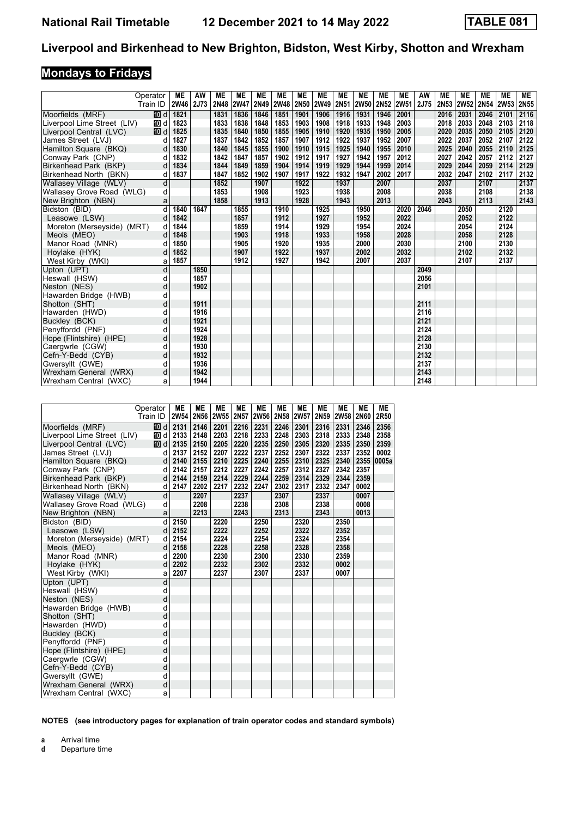# **Mondays to Fridays**

|                             | Operator<br>Train ID | <b>ME</b><br>2W46 | AW<br>2J73 | ME<br>2N48 | <b>ME</b><br><b>2W47</b> | МE<br>2N49 | <b>ME</b><br><b>2W48</b> | <b>ME</b><br>2N50 | <b>ME</b><br><b>2W49</b> | <b>ME</b><br>2N51 | <b>ME</b><br><b>2W50</b> | <b>ME</b><br>2N52 | ME<br><b>2W51</b> | AW<br>2J75 | МE<br>2N53 | <b>ME</b><br><b>2W52</b> | ME<br>2N54 | <b>ME</b><br>2W53 | ME<br><b>2N55</b> |
|-----------------------------|----------------------|-------------------|------------|------------|--------------------------|------------|--------------------------|-------------------|--------------------------|-------------------|--------------------------|-------------------|-------------------|------------|------------|--------------------------|------------|-------------------|-------------------|
|                             |                      |                   |            |            |                          |            |                          |                   |                          |                   |                          |                   |                   |            |            |                          |            |                   |                   |
| Moorfields (MRF)            | 10 d                 | 1821              |            | 1831       | 1836                     | 1846       | 1851                     | 1901              | 1906                     | 1916              | 1931                     | 1946              | 2001              |            | 2016       | 2031                     | 2046       | 2101              | 2116              |
| Liverpool Lime Street (LIV) | 10 d                 | 1823              |            | 1833       | 1838                     | 1848       | 1853                     | 1903              | 1908                     | 1918              | 1933                     | 1948              | 2003              |            | 2018       | 2033                     | 2048       | 2103              | 2118              |
| Liverpool Central (LVC)     | [顶 d                 | 1825              |            | 1835       | 1840                     | 1850       | 1855                     | 1905              | 1910                     | 1920              | 1935                     | 1950              | 2005              |            | 2020       | 2035                     | 2050       | 2105              | 2120              |
| James Street (LVJ)          | d                    | 1827              |            | 1837       | 1842                     | 1852       | 1857                     | 1907              | 1912                     | 1922              | 1937                     | 1952              | 2007              |            | 2022       | 2037                     | 2052       | 2107              | 2122              |
| Hamilton Square (BKQ)       | d                    | 1830              |            | 1840       | 1845                     | 1855       | 1900                     | 1910              | 1915                     | 1925              | 1940                     | 1955              | 2010              |            | 2025       | 2040                     | 2055       | 2110              | 2125              |
| Conway Park (CNP)           | d                    | 1832              |            | 1842       | 1847                     | 1857       | 1902                     | 1912              | 1917                     | 1927              | 1942                     | 1957              | 2012              |            | 2027       | 2042                     | 2057       | 2112              | 2127              |
| Birkenhead Park (BKP)       | d                    | 1834              |            | 1844       | 1849                     | 1859       | 1904                     | 1914              | 1919                     | 1929              | 1944                     | 1959              | 2014              |            | 2029       | 2044                     | 2059       | 2114              | 2129              |
| Birkenhead North (BKN)      | d                    | 1837              |            | 1847       | 1852                     | 1902       | 1907                     | 1917              | 1922                     | 1932              | 1947                     | 2002              | 2017              |            | 2032       | 2047                     | 2102       | 2117              | 2132              |
| Wallasey Village (WLV)      | d                    |                   |            | 1852       |                          | 1907       |                          | 1922              |                          | 1937              |                          | 2007              |                   |            | 2037       |                          | 2107       |                   | 2137              |
| Wallasey Grove Road (WLG)   | d                    |                   |            | 1853       |                          | 1908       |                          | 1923              |                          | 1938              |                          | 2008              |                   |            | 2038       |                          | 2108       |                   | 2138              |
| New Brighton (NBN)          | a                    |                   |            | 1858       |                          | 1913       |                          | 1928              |                          | 1943              |                          | 2013              |                   |            | 2043       |                          | 2113       |                   | 2143              |
| Bidston (BID)               | d                    | 1840              | 1847       |            | 1855                     |            | 1910                     |                   | 1925                     |                   | 1950                     |                   | 2020              | 2046       |            | 2050                     |            | 2120              |                   |
| Leasowe (LSW)               | d                    | 1842              |            |            | 1857                     |            | 1912                     |                   | 1927                     |                   | 1952                     |                   | 2022              |            |            | 2052                     |            | 2122              |                   |
| Moreton (Merseyside) (MRT)  | d                    | 1844              |            |            | 1859                     |            | 1914                     |                   | 1929                     |                   | 1954                     |                   | 2024              |            |            | 2054                     |            | 2124              |                   |
| Meols (MEO)                 | d                    | 1848              |            |            | 1903                     |            | 1918                     |                   | 1933                     |                   | 1958                     |                   | 2028              |            |            | 2058                     |            | 2128              |                   |
| Manor Road (MNR)            | d                    | 1850              |            |            | 1905                     |            | 1920                     |                   | 1935                     |                   | 2000                     |                   | 2030              |            |            | 2100                     |            | 2130              |                   |
| Hoylake (HYK)               | d                    | 1852              |            |            | 1907                     |            | 1922                     |                   | 1937                     |                   | 2002                     |                   | 2032              |            |            | 2102                     |            | 2132              |                   |
| West Kirby (WKI)            | a                    | 1857              |            |            | 1912                     |            | 1927                     |                   | 1942                     |                   | 2007                     |                   | 2037              |            |            | 2107                     |            | 2137              |                   |
| Upton (UPT)                 | d                    |                   | 1850       |            |                          |            |                          |                   |                          |                   |                          |                   |                   | 2049       |            |                          |            |                   |                   |
| Heswall (HSW)               | d                    |                   | 1857       |            |                          |            |                          |                   |                          |                   |                          |                   |                   | 2056       |            |                          |            |                   |                   |
| Neston (NES)                | d                    |                   | 1902       |            |                          |            |                          |                   |                          |                   |                          |                   |                   | 2101       |            |                          |            |                   |                   |
| Hawarden Bridge (HWB)       | d                    |                   |            |            |                          |            |                          |                   |                          |                   |                          |                   |                   |            |            |                          |            |                   |                   |
| Shotton (SHT)               | d                    |                   | 1911       |            |                          |            |                          |                   |                          |                   |                          |                   |                   | 2111       |            |                          |            |                   |                   |
| Hawarden (HWD)              | d                    |                   | 1916       |            |                          |            |                          |                   |                          |                   |                          |                   |                   | 2116       |            |                          |            |                   |                   |
| Buckley (BCK)               | d                    |                   | 1921       |            |                          |            |                          |                   |                          |                   |                          |                   |                   | 2121       |            |                          |            |                   |                   |
| Penyffordd (PNF)            | d                    |                   | 1924       |            |                          |            |                          |                   |                          |                   |                          |                   |                   | 2124       |            |                          |            |                   |                   |
| Hope (Flintshire) (HPE)     | d                    |                   | 1928       |            |                          |            |                          |                   |                          |                   |                          |                   |                   | 2128       |            |                          |            |                   |                   |
| Caergwrle (CGW)             | d                    |                   | 1930       |            |                          |            |                          |                   |                          |                   |                          |                   |                   | 2130       |            |                          |            |                   |                   |
| Cefn-Y-Bedd (CYB)           | d                    |                   | 1932       |            |                          |            |                          |                   |                          |                   |                          |                   |                   | 2132       |            |                          |            |                   |                   |
| Gwersyllt (GWE)             | d                    |                   | 1936       |            |                          |            |                          |                   |                          |                   |                          |                   |                   | 2137       |            |                          |            |                   |                   |
| Wrexham General (WRX)       | d                    |                   | 1942       |            |                          |            |                          |                   |                          |                   |                          |                   |                   | 2143       |            |                          |            |                   |                   |
| Wrexham Central (WXC)       | a                    |                   | 1944       |            |                          |            |                          |                   |                          |                   |                          |                   |                   | 2148       |            |                          |            |                   |                   |

|                             | Operator                | <b>ME</b>   | <b>ME</b> | <b>ME</b> | <b>ME</b> | МE   | <b>ME</b> | <b>ME</b> | <b>ME</b> | <b>ME</b>   | МE   | <b>ME</b> |
|-----------------------------|-------------------------|-------------|-----------|-----------|-----------|------|-----------|-----------|-----------|-------------|------|-----------|
|                             | Train ID                | <b>2W54</b> | 2N56 2W55 |           | 2N57      |      | 2W56 2N58 | 2W57      | 2N59      | <b>2W58</b> | 2N60 | 2R50      |
| Moorfields (MRF)            | iII d                   | 2131        | 2146      | 2201      | 2216      | 2231 | 2246      | 2301      | 2316      | 2331        | 2346 | 2356      |
| Liverpool Lime Street (LIV) | 10 d                    | 2133        | 2148      | 2203      | 2218      | 2233 | 2248      | 2303      | 2318      | 2333        | 2348 | 2358      |
| Liverpool Central (LVC)     | [10] d                  | 2135        | 2150      | 2205      | 2220      | 2235 | 2250      | 2305      | 2320      | 2335        | 2350 | 2359      |
| James Street (LVJ)          | d                       | 2137        | 2152      | 2207      | 2222      | 2237 | 2252      | 2307      | 2322      | 2337        | 2352 | 0002      |
| Hamilton Square (BKQ)       | d                       | 2140        | 2155      | 2210      | 2225      | 2240 | 2255      | 2310      | 2325      | 2340        | 2355 | 0005a     |
| Conway Park (CNP)           | d                       | 2142        | 2157      | 2212      | 2227      | 2242 | 2257      | 2312      | 2327      | 2342        | 2357 |           |
| Birkenhead Park (BKP)       | d                       | 2144        | 2159      | 2214      | 2229      | 2244 | 2259      | 2314      | 2329      | 2344        | 2359 |           |
| Birkenhead North (BKN)      | d                       | 2147        | 2202      | 2217      | 2232      | 2247 | 2302      | 2317      | 2332      | 2347        | 0002 |           |
| Wallasev Village (WLV)      | d                       |             | 2207      |           | 2237      |      | 2307      |           | 2337      |             | 0007 |           |
| Wallasey Grove Road (WLG)   | d                       |             | 2208      |           | 2238      |      | 2308      |           | 2338      |             | 0008 |           |
| New Brighton (NBN)          | a                       |             | 2213      |           | 2243      |      | 2313      |           | 2343      |             | 0013 |           |
| Bidston (BID)               | $\overline{\mathsf{d}}$ | 2150        |           | 2220      |           | 2250 |           | 2320      |           | 2350        |      |           |
| Leasowe (LSW)               | d                       | 2152        |           | 2222      |           | 2252 |           | 2322      |           | 2352        |      |           |
| Moreton (Merseyside) (MRT)  | d                       | 2154        |           | 2224      |           | 2254 |           | 2324      |           | 2354        |      |           |
| Meols (MEO)                 | d                       | 2158        |           | 2228      |           | 2258 |           | 2328      |           | 2358        |      |           |
| Manor Road (MNR)            | d                       | 2200        |           | 2230      |           | 2300 |           | 2330      |           | 2359        |      |           |
| Hoylake (HYK)               | d                       | 2202        |           | 2232      |           | 2302 |           | 2332      |           | 0002        |      |           |
| West Kirby (WKI)            | a                       | 2207        |           | 2237      |           | 2307 |           | 2337      |           | 0007        |      |           |
| Upton (UPT)                 | d                       |             |           |           |           |      |           |           |           |             |      |           |
| Heswall (HSW)               | d                       |             |           |           |           |      |           |           |           |             |      |           |
| Neston (NES)                | d                       |             |           |           |           |      |           |           |           |             |      |           |
| Hawarden Bridge (HWB)       | d                       |             |           |           |           |      |           |           |           |             |      |           |
| Shotton (SHT)               | d                       |             |           |           |           |      |           |           |           |             |      |           |
| Hawarden (HWD)              | d                       |             |           |           |           |      |           |           |           |             |      |           |
| Buckley (BCK)               | d                       |             |           |           |           |      |           |           |           |             |      |           |
| Penyffordd (PNF)            | d                       |             |           |           |           |      |           |           |           |             |      |           |
| Hope (Flintshire) (HPE)     | d                       |             |           |           |           |      |           |           |           |             |      |           |
| Caergwrle (CGW)             | d                       |             |           |           |           |      |           |           |           |             |      |           |
| Cefn-Y-Bedd (CYB)           | d                       |             |           |           |           |      |           |           |           |             |      |           |
| Gwersyllt (GWE)             | d                       |             |           |           |           |      |           |           |           |             |      |           |
| Wrexham General (WRX)       | d                       |             |           |           |           |      |           |           |           |             |      |           |
| Wrexham Central (WXC)       | a                       |             |           |           |           |      |           |           |           |             |      |           |

**NOTES (see introductory pages for explanation of train operator codes and standard symbols)**

**a** Arrival time<br>**d** Departure t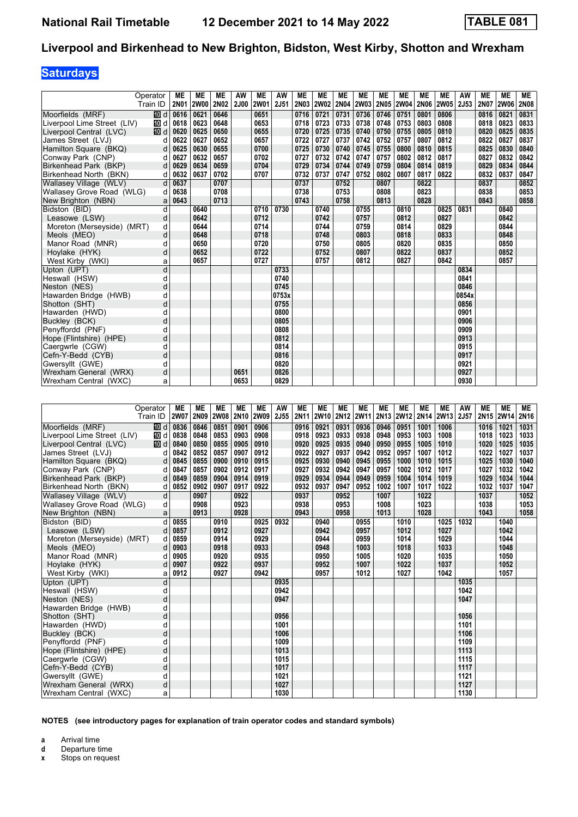# **Saturdays**

|                             | Operator | МE<br>2N01 | <b>ME</b><br><b>2W00</b> | ME<br>2N02 | AW   | <b>ME</b><br><b>2W01</b> | <b>AW</b><br>2J51 | <b>ME</b><br>2N03 | ME<br><b>2W02</b> | <b>ME</b><br>2N04 | <b>ME</b><br><b>2W03</b> | ME<br>2N05 | ME<br>2W04 | <b>ME</b><br>2N06 | ME<br>2W05 | AW<br>2J53 | <b>ME</b><br>2N07 | <b>ME</b><br><b>2W06</b> | ME<br><b>2N08</b> |
|-----------------------------|----------|------------|--------------------------|------------|------|--------------------------|-------------------|-------------------|-------------------|-------------------|--------------------------|------------|------------|-------------------|------------|------------|-------------------|--------------------------|-------------------|
|                             | Train ID |            |                          |            | 2J00 |                          |                   |                   |                   |                   |                          |            |            |                   |            |            |                   |                          |                   |
| Moorfields (MRF)            | 100 d    | 0616       | 0621                     | 0646       |      | 0651                     |                   | 0716              | 0721              | 0731              | 0736                     | 0746       | 0751       | 0801              | 0806       |            | 0816              | 0821                     | 0831              |
| Liverpool Lime Street (LIV) | 10 d     | 0618       | 0623                     | 0648       |      | 0653                     |                   | 0718              | 0723              | 0733              | 0738                     | 0748       | 0753       | 0803              | 0808       |            | 0818              | 0823                     | 0833              |
| Liverpool Central (LVC)     | 10 d     | 0620       | 0625                     | 0650       |      | 0655                     |                   | 0720              | 0725              | 0735              | 0740                     | 0750       | 0755       | 0805              | 0810       |            | 0820              | 0825                     | 0835              |
| James Street (LVJ)          | d        | 0622       | 0627                     | 0652       |      | 0657                     |                   | 0722              | 0727              | 0737              | 0742                     | 0752       | 0757       | 0807              | 0812       |            | 0822              | 0827                     | 0837              |
| Hamilton Square (BKQ)       | d        | 0625       | 0630                     | 0655       |      | 0700                     |                   | 0725              | 0730              | 0740              | 0745                     | 0755       | 0800       | 0810              | 0815       |            | 0825              | 0830                     | 0840              |
| Conway Park (CNP)           | d        | 0627       | 0632                     | 0657       |      | 0702                     |                   | 0727              | 0732              | 0742              | 0747                     | 0757       | 0802       | 0812              | 0817       |            | 0827              | 0832                     | 0842              |
| Birkenhead Park (BKP)       | d        | 0629       | 0634                     | 0659       |      | 0704                     |                   | 0729              | 0734              | 0744              | 0749                     | 0759       | 0804       | 0814              | 0819       |            | 0829              | 0834                     | 0844              |
| Birkenhead North (BKN)      | d        | 0632       | 0637                     | 0702       |      | 0707                     |                   | 0732              | 0737              | 0747              | 0752                     | 0802       | 0807       | 0817              | 0822       |            | 0832              | 0837                     | 0847              |
| Wallasey Village (WLV)      | d        | 0637       |                          | 0707       |      |                          |                   | 0737              |                   | 0752              |                          | 0807       |            | 0822              |            |            | 0837              |                          | 0852              |
| Wallasey Grove Road (WLG)   | d        | 0638       |                          | 0708       |      |                          |                   | 0738              |                   | 0753              |                          | 0808       |            | 0823              |            |            | 0838              |                          | 0853              |
| New Brighton (NBN)          | a        | 0643       |                          | 0713       |      |                          |                   | 0743              |                   | 0758              |                          | 0813       |            | 0828              |            |            | 0843              |                          | 0858              |
| Bidston (BID)               | d        |            | 0640                     |            |      | 0710                     | 0730              |                   | 0740              |                   | 0755                     |            | 0810       |                   | 0825       | 0831       |                   | 0840                     |                   |
| Leasowe (LSW)               | d        |            | 0642                     |            |      | 0712                     |                   |                   | 0742              |                   | 0757                     |            | 0812       |                   | 0827       |            |                   | 0842                     |                   |
| Moreton (Merseyside) (MRT)  | d        |            | 0644                     |            |      | 0714                     |                   |                   | 0744              |                   | 0759                     |            | 0814       |                   | 0829       |            |                   | 0844                     |                   |
| Meols (MEO)                 | d        |            | 0648                     |            |      | 0718                     |                   |                   | 0748              |                   | 0803                     |            | 0818       |                   | 0833       |            |                   | 0848                     |                   |
| Manor Road (MNR)            | d        |            | 0650                     |            |      | 0720                     |                   |                   | 0750              |                   | 0805                     |            | 0820       |                   | 0835       |            |                   | 0850                     |                   |
| Hoylake (HYK)               | d        |            | 0652                     |            |      | 0722                     |                   |                   | 0752              |                   | 0807                     |            | 0822       |                   | 0837       |            |                   | 0852                     |                   |
| West Kirby (WKI)            | a        |            | 0657                     |            |      | 0727                     |                   |                   | 0757              |                   | 0812                     |            | 0827       |                   | 0842       |            |                   | 0857                     |                   |
| Upton (UPT)                 | d        |            |                          |            |      |                          | 0733              |                   |                   |                   |                          |            |            |                   |            | 0834       |                   |                          |                   |
| Heswall (HSW)               | d        |            |                          |            |      |                          | 0740              |                   |                   |                   |                          |            |            |                   |            | 0841       |                   |                          |                   |
| Neston (NES)                | d        |            |                          |            |      |                          | 0745              |                   |                   |                   |                          |            |            |                   |            | 0846       |                   |                          |                   |
| Hawarden Bridge (HWB)       | d        |            |                          |            |      |                          | 0753x             |                   |                   |                   |                          |            |            |                   |            | 0854x      |                   |                          |                   |
| Shotton (SHT)               | d        |            |                          |            |      |                          | 0755              |                   |                   |                   |                          |            |            |                   |            | 0856       |                   |                          |                   |
| Hawarden (HWD)              | d        |            |                          |            |      |                          | 0800              |                   |                   |                   |                          |            |            |                   |            | 0901       |                   |                          |                   |
| Buckley (BCK)               | d        |            |                          |            |      |                          | 0805              |                   |                   |                   |                          |            |            |                   |            | 0906       |                   |                          |                   |
| Penyffordd (PNF)            |          |            |                          |            |      |                          | 0808              |                   |                   |                   |                          |            |            |                   |            | 0909       |                   |                          |                   |
| Hope (Flintshire) (HPE)     | d        |            |                          |            |      |                          | 0812              |                   |                   |                   |                          |            |            |                   |            | 0913       |                   |                          |                   |
| Caergwrle (CGW)             | d        |            |                          |            |      |                          | 0814              |                   |                   |                   |                          |            |            |                   |            | 0915       |                   |                          |                   |
| Cefn-Y-Bedd (CYB)           | d        |            |                          |            |      |                          | 0816              |                   |                   |                   |                          |            |            |                   |            | 0917       |                   |                          |                   |
| Gwersyllt (GWE)             | d        |            |                          |            |      |                          | 0820              |                   |                   |                   |                          |            |            |                   |            | 0921       |                   |                          |                   |
| Wrexham General (WRX)       | d        |            |                          |            | 0651 |                          | 0826              |                   |                   |                   |                          |            |            |                   |            | 0927       |                   |                          |                   |
| Wrexham Central (WXC)       | a        |            |                          |            | 0653 |                          | 0829              |                   |                   |                   |                          |            |            |                   |            | 0930       |                   |                          |                   |

|                             | Operator | <b>ME</b>   | <b>ME</b> | <b>ME</b>   | <b>ME</b>   | <b>ME</b>   | AW          | <b>ME</b> | <b>ME</b> | ME   | <b>ME</b> | ME   | <b>ME</b>   | ME   | <b>ME</b> | AW   | ME   | ME          | ME   |
|-----------------------------|----------|-------------|-----------|-------------|-------------|-------------|-------------|-----------|-----------|------|-----------|------|-------------|------|-----------|------|------|-------------|------|
|                             | Train ID | <b>2W07</b> | 2N09      | <b>2W08</b> | <b>2N10</b> | <b>2W09</b> | <b>2J55</b> | 2N11      | 2W10      | 2N12 | 2W11      | 2N13 | <b>2W12</b> | 2N14 | 2W13      | 2J57 | 2N15 | <b>2W14</b> | 2N16 |
| Moorfields (MRF)            | III d    | 0836        | 0846      | 0851        | 0901        | 0906        |             | 0916      | 0921      | 0931 | 0936      | 0946 | 0951        | 1001 | 1006      |      | 1016 | 1021        | 1031 |
| Liverpool Lime Street (LIV) | 10 d     | 0838        | 0848      | 0853        | 0903        | 0908        |             | 0918      | 0923      | 0933 | 0938      | 0948 | 0953        | 1003 | 1008      |      | 1018 | 1023        | 1033 |
| Liverpool Central (LVC)     | [10] d   | 0840        | 0850      | 0855        | 0905        | 0910        |             | 0920      | 0925      | 0935 | 0940      | 0950 | 0955        | 1005 | 1010      |      | 1020 | 1025        | 1035 |
| James Street (LVJ)          | d        | 0842        | 0852      | 0857        | 0907        | 0912        |             | 0922      | 0927      | 0937 | 0942      | 0952 | 0957        | 1007 | 1012      |      | 1022 | 1027        | 1037 |
| Hamilton Square (BKQ)       | d        | 0845        | 0855      | 0900        | 0910        | 0915        |             | 0925      | 0930      | 0940 | 0945      | 0955 | 1000        | 1010 | 1015      |      | 1025 | 1030        | 1040 |
| Conway Park (CNP)           | d        | 0847        | 0857      | 0902        | 0912        | 0917        |             | 0927      | 0932      | 0942 | 0947      | 0957 | 1002        | 1012 | 1017      |      | 1027 | 1032        | 1042 |
| Birkenhead Park (BKP)       | d        | 0849        | 0859      | 0904        | 0914        | 0919        |             | 0929      | 0934      | 0944 | 0949      | 0959 | 1004        | 1014 | 1019      |      | 1029 | 1034        | 1044 |
| Birkenhead North (BKN)      | d        | 0852        | 0902      | 0907        | 0917        | 0922        |             | 0932      | 0937      | 0947 | 0952      | 1002 | 1007        | 1017 | 1022      |      | 1032 | 1037        | 1047 |
| Wallasev Village (WLV)      | d        |             | 0907      |             | 0922        |             |             | 0937      |           | 0952 |           | 1007 |             | 1022 |           |      | 1037 |             | 1052 |
| Wallasey Grove Road (WLG)   | d        |             | 0908      |             | 0923        |             |             | 0938      |           | 0953 |           | 1008 |             | 1023 |           |      | 1038 |             | 1053 |
| New Brighton (NBN)          | a        |             | 0913      |             | 0928        |             |             | 0943      |           | 0958 |           | 1013 |             | 1028 |           |      | 1043 |             | 1058 |
| Bidston (BID)               | d        | 0855        |           | 0910        |             | 0925        | 0932        |           | 0940      |      | 0955      |      | 1010        |      | 1025      | 1032 |      | 1040        |      |
| Leasowe (LSW)               | d        | 0857        |           | 0912        |             | 0927        |             |           | 0942      |      | 0957      |      | 1012        |      | 1027      |      |      | 1042        |      |
| Moreton (Merseyside) (MRT)  | d        | 0859        |           | 0914        |             | 0929        |             |           | 0944      |      | 0959      |      | 1014        |      | 1029      |      |      | 1044        |      |
| Meols (MEO)                 | d        | 0903        |           | 0918        |             | 0933        |             |           | 0948      |      | 1003      |      | 1018        |      | 1033      |      |      | 1048        |      |
| Manor Road (MNR)            | d        | 0905        |           | 0920        |             | 0935        |             |           | 0950      |      | 1005      |      | 1020        |      | 1035      |      |      | 1050        |      |
| Hoylake (HYK)               | d        | 0907        |           | 0922        |             | 0937        |             |           | 0952      |      | 1007      |      | 1022        |      | 1037      |      |      | 1052        |      |
| West Kirby (WKI)            | a        | 0912        |           | 0927        |             | 0942        |             |           | 0957      |      | 1012      |      | 1027        |      | 1042      |      |      | 1057        |      |
| Upton (UPT)                 | d        |             |           |             |             |             | 0935        |           |           |      |           |      |             |      |           | 1035 |      |             |      |
| Heswall (HSW)               | d        |             |           |             |             |             | 0942        |           |           |      |           |      |             |      |           | 1042 |      |             |      |
| Neston (NES)                | d        |             |           |             |             |             | 0947        |           |           |      |           |      |             |      |           | 1047 |      |             |      |
| Hawarden Bridge (HWB)       | d        |             |           |             |             |             |             |           |           |      |           |      |             |      |           |      |      |             |      |
| Shotton (SHT)               | d        |             |           |             |             |             | 0956        |           |           |      |           |      |             |      |           | 1056 |      |             |      |
| Hawarden (HWD)              | d        |             |           |             |             |             | 1001        |           |           |      |           |      |             |      |           | 1101 |      |             |      |
| Buckley (BCK)               | d        |             |           |             |             |             | 1006        |           |           |      |           |      |             |      |           | 1106 |      |             |      |
| Penyffordd (PNF)            | d        |             |           |             |             |             | 1009        |           |           |      |           |      |             |      |           | 1109 |      |             |      |
| Hope (Flintshire) (HPE)     | d        |             |           |             |             |             | 1013        |           |           |      |           |      |             |      |           | 1113 |      |             |      |
| Caergwrle (CGW)             | d        |             |           |             |             |             | 1015        |           |           |      |           |      |             |      |           | 1115 |      |             |      |
| Cefn-Y-Bedd (CYB)           | d        |             |           |             |             |             | 1017        |           |           |      |           |      |             |      |           | 1117 |      |             |      |
| Gwersyllt (GWE)             | d        |             |           |             |             |             | 1021        |           |           |      |           |      |             |      |           | 1121 |      |             |      |
| Wrexham General (WRX)       | d        |             |           |             |             |             | 1027        |           |           |      |           |      |             |      |           | 1127 |      |             |      |
| Wrexham Central (WXC)       | a        |             |           |             |             |             | 1030        |           |           |      |           |      |             |      |           | 1130 |      |             |      |

**NOTES (see introductory pages for explanation of train operator codes and standard symbols)**

**a** Arrival time<br>**d** Departure t

**d** Departure time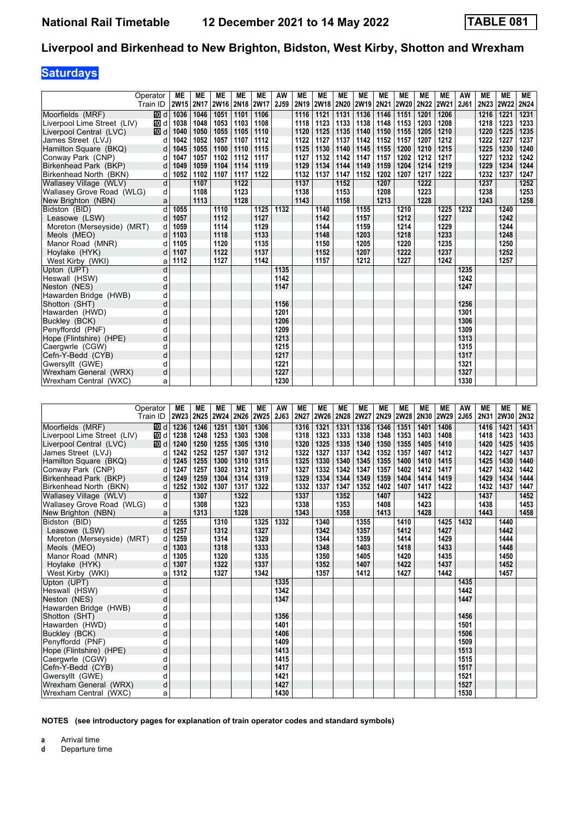# **Saturdays**

|                                                 | Operator<br>Train ID | МE<br>2W <sub>15</sub> | <b>ME</b><br>2N17 | <b>ME</b><br><b>2W16</b> | <b>ME</b><br><b>2N18</b> | <b>ME</b><br><b>2W17</b> | <b>AW</b><br>2J59 | <b>ME</b>    | <b>ME</b><br>2N19 2W18 | <b>ME</b><br>2N20 | <b>ME</b><br><b>2W19</b> | <b>ME</b><br>2N21 | <b>ME</b><br><b>2W20</b> | <b>ME</b><br>2N22 | ME<br><b>2W21</b> | AW<br>2J61 | <b>ME</b><br>2N23 | <b>ME</b><br><b>2W22</b> | <b>ME</b><br>2N24 |
|-------------------------------------------------|----------------------|------------------------|-------------------|--------------------------|--------------------------|--------------------------|-------------------|--------------|------------------------|-------------------|--------------------------|-------------------|--------------------------|-------------------|-------------------|------------|-------------------|--------------------------|-------------------|
|                                                 |                      |                        |                   |                          |                          |                          |                   |              |                        |                   |                          |                   |                          |                   |                   |            |                   |                          |                   |
| Moorfields (MRF)<br>Liverpool Lime Street (LIV) | 10 d<br>10 d         | 1036<br>1038           | 1046<br>1048      | 1051<br>1053             | 1101<br>1103             | 1106<br>1108             |                   | 1116<br>1118 | 1121<br>1123           | 1131<br>1133      | 1136<br>1138             | 1146<br>1148      | 1151<br>1153             | 1201<br>1203      | 1206<br>1208      |            | 1216<br>1218      | 1221<br>1223             | 1231<br>1233      |
| Liverpool Central (LVC)                         | [10] d               | 1040                   | 1050              | 1055                     | 1105                     | 1110                     |                   | 1120         | 1125                   | 1135              | 1140                     | 1150              | 1155                     | 1205              | 1210              |            | 1220              | 1225                     | 1235              |
| James Street (LVJ)                              | d                    | 1042                   | 1052              | 1057                     | 1107                     | 1112                     |                   | 1122         | 1127                   | 1137              | 1142                     | 1152              | 1157                     | 1207              | 1212              |            | 1222              | 1227                     | 1237              |
| Hamilton Square (BKQ)                           | d                    | 1045                   | 1055              | 1100                     | 1110                     | 1115                     |                   | 1125         | 1130                   | 1140              | 1145                     | 1155              | 1200                     | 1210              | 1215              |            | 1225              | 1230                     | 1240              |
| Conway Park (CNP)                               | d                    | 1047                   | 1057              | 1102                     | 1112                     | 1117                     |                   | 1127         | 1132                   | 1142              | 1147                     | 1157              | 1202                     | 1212              | 1217              |            | 1227              | 1232                     | 1242              |
| Birkenhead Park (BKP)                           | d                    | 1049                   | 1059              | 1104                     | 1114                     | 1119                     |                   | 1129         | 1134                   | 1144              | 1149                     | 1159              | 1204                     | 1214              | 1219              |            | 1229              | 1234                     | 1244              |
| Birkenhead North (BKN)                          | d                    | 1052                   | 1102              | 1107                     | 1117                     | 1122                     |                   | 1132         | 1137                   | 1147              | 1152                     | 1202              | 1207                     | 1217              | 1222              |            | 1232              | 1237                     | 1247              |
|                                                 |                      |                        | 1107              |                          | 1122                     |                          |                   | 1137         |                        | 1152              |                          | 1207              |                          | 1222              |                   |            | 1237              |                          | 1252              |
| Wallasey Village (WLV)                          | d                    |                        | 1108              |                          | 1123                     |                          |                   | 1138         |                        | 1153              |                          | 1208              |                          | 1223              |                   |            | 1238              |                          | 1253              |
| Wallasey Grove Road (WLG)                       | d                    |                        | 1113              |                          | 1128                     |                          |                   | 1143         |                        | 1158              |                          | 1213              |                          | 1228              |                   |            | 1243              |                          | 1258              |
| New Brighton (NBN)                              | a                    |                        |                   |                          |                          |                          |                   |              |                        |                   |                          |                   |                          |                   |                   |            |                   |                          |                   |
| Bidston (BID)                                   | d                    | 1055<br>1057           |                   | 1110<br>1112             |                          | 1125<br>1127             | 1132              |              | 1140<br>1142           |                   | 1155                     |                   | 1210<br>1212             |                   | 1225<br>1227      | 1232       |                   | 1240<br>1242             |                   |
| Leasowe (LSW)                                   |                      |                        |                   |                          |                          |                          |                   |              |                        |                   | 1157                     |                   |                          |                   |                   |            |                   |                          |                   |
| Moreton (Merseyside) (MRT)                      | d                    | 1059                   |                   | 1114                     |                          | 1129                     |                   |              | 1144                   |                   | 1159                     |                   | 1214                     |                   | 1229              |            |                   | 1244                     |                   |
| Meols (MEO)                                     |                      | 1103                   |                   | 1118                     |                          | 1133                     |                   |              | 1148                   |                   | 1203                     |                   | 1218                     |                   | 1233              |            |                   | 1248                     |                   |
| Manor Road (MNR)                                | d                    | 1105                   |                   | 1120                     |                          | 1135                     |                   |              | 1150                   |                   | 1205                     |                   | 1220                     |                   | 1235              |            |                   | 1250                     |                   |
| Hoylake (HYK)                                   | d                    | 1107                   |                   | 1122                     |                          | 1137                     |                   |              | 1152                   |                   | 1207                     |                   | 1222                     |                   | 1237              |            |                   | 1252                     |                   |
| West Kirby (WKI)                                | a                    | 1112                   |                   | 1127                     |                          | 1142                     |                   |              | 1157                   |                   | 1212                     |                   | 1227                     |                   | 1242              |            |                   | 1257                     |                   |
| Upton (UPT)                                     | d                    |                        |                   |                          |                          |                          | 1135              |              |                        |                   |                          |                   |                          |                   |                   | 1235       |                   |                          |                   |
| Heswall (HSW)                                   | d                    |                        |                   |                          |                          |                          | 1142              |              |                        |                   |                          |                   |                          |                   |                   | 1242       |                   |                          |                   |
| Neston (NES)                                    | d                    |                        |                   |                          |                          |                          | 1147              |              |                        |                   |                          |                   |                          |                   |                   | 1247       |                   |                          |                   |
| Hawarden Bridge (HWB)                           | d                    |                        |                   |                          |                          |                          |                   |              |                        |                   |                          |                   |                          |                   |                   |            |                   |                          |                   |
| Shotton (SHT)                                   | d                    |                        |                   |                          |                          |                          | 1156              |              |                        |                   |                          |                   |                          |                   |                   | 1256       |                   |                          |                   |
| Hawarden (HWD)                                  | d                    |                        |                   |                          |                          |                          | 1201              |              |                        |                   |                          |                   |                          |                   |                   | 1301       |                   |                          |                   |
| Buckley (BCK)                                   | d                    |                        |                   |                          |                          |                          | 1206              |              |                        |                   |                          |                   |                          |                   |                   | 1306       |                   |                          |                   |
| Penyffordd (PNF)                                | d                    |                        |                   |                          |                          |                          | 1209              |              |                        |                   |                          |                   |                          |                   |                   | 1309       |                   |                          |                   |
| Hope (Flintshire) (HPE)                         | d                    |                        |                   |                          |                          |                          | 1213              |              |                        |                   |                          |                   |                          |                   |                   | 1313       |                   |                          |                   |
| Caergwrle (CGW)                                 | d                    |                        |                   |                          |                          |                          | 1215              |              |                        |                   |                          |                   |                          |                   |                   | 1315       |                   |                          |                   |
| Cefn-Y-Bedd (CYB)                               | d                    |                        |                   |                          |                          |                          | 1217              |              |                        |                   |                          |                   |                          |                   |                   | 1317       |                   |                          |                   |
| Gwersyllt (GWE)                                 | d                    |                        |                   |                          |                          |                          | 1221              |              |                        |                   |                          |                   |                          |                   |                   | 1321       |                   |                          |                   |
| Wrexham General (WRX)                           | d                    |                        |                   |                          |                          |                          | 1227              |              |                        |                   |                          |                   |                          |                   |                   | 1327       |                   |                          |                   |
| Wrexham Central (WXC)                           | a                    |                        |                   |                          |                          |                          | 1230              |              |                        |                   |                          |                   |                          |                   |                   | 1330       |                   |                          |                   |

|                             | Operator    | ME   | МE          | <b>ME</b>   | <b>ME</b> | <b>ME</b>   | AW   | <b>ME</b> | <b>ME</b>   | <b>ME</b>   | <b>ME</b>   | <b>ME</b> | <b>ME</b> | <b>ME</b> | <b>ME</b> | AW   | <b>ME</b> | <b>ME</b>   | <b>ME</b> |
|-----------------------------|-------------|------|-------------|-------------|-----------|-------------|------|-----------|-------------|-------------|-------------|-----------|-----------|-----------|-----------|------|-----------|-------------|-----------|
|                             | Train ID    | 2W23 | <b>2N25</b> | <b>2W24</b> | 2N26      | <b>2W25</b> | 2J63 | 2N27      | <b>2W26</b> | <b>2N28</b> | <b>2W27</b> | 2N29      | 2W28      | 2N30      | 2W29      | 2J65 | 2N31      | <b>2W30</b> | 2N32      |
| Moorfields (MRF)            | 10 d        | 1236 | 1246        | 1251        | 1301      | 1306        |      | 1316      | 1321        | 1331        | 1336        | 1346      | 1351      | 1401      | 1406      |      | 1416      | 1421        | 1431      |
| Liverpool Lime Street (LIV) | 10 d        | 1238 | 1248        | 1253        | 1303      | 1308        |      | 1318      | 1323        | 1333        | 1338        | 1348      | 1353      | 1403      | 1408      |      | 1418      | 1423        | 1433      |
| Liverpool Central (LVC)     | <b>ID</b> d | 1240 | 1250        | 1255        | 1305      | 1310        |      | 1320      | 1325        | 1335        | 1340        | 1350      | 1355      | 1405      | 1410      |      | 1420      | 1425        | 1435      |
| James Street (LVJ)          | d           | 1242 | 1252        | 1257        | 1307      | 1312        |      | 1322      | 1327        | 1337        | 1342        | 1352      | 1357      | 1407      | 1412      |      | 1422      | 1427        | 1437      |
| Hamilton Square (BKQ)       | d           | 1245 | 1255        | 1300        | 1310      | 1315        |      | 1325      | 1330        | 1340        | 1345        | 1355      | 1400      | 1410      | 1415      |      | 1425      | 1430        | 1440      |
| Conway Park (CNP)           | d           | 1247 | 1257        | 1302        | 1312      | 1317        |      | 1327      | 1332        | 1342        | 1347        | 1357      | 1402      | 1412      | 1417      |      | 1427      | 1432        | 1442      |
| Birkenhead Park (BKP)       | d           | 1249 | 1259        | 1304        | 1314      | 1319        |      | 1329      | 1334        | 1344        | 1349        | 1359      | 1404      | 1414      | 1419      |      | 1429      | 1434        | 1444      |
| Birkenhead North (BKN)      | d           | 1252 | 1302        | 1307        | 1317      | 1322        |      | 1332      | 1337        | 1347        | 1352        | 1402      | 1407      | 1417      | 1422      |      | 1432      | 1437        | 1447      |
| Wallasev Village (WLV)      | d           |      | 1307        |             | 1322      |             |      | 1337      |             | 1352        |             | 1407      |           | 1422      |           |      | 1437      |             | 1452      |
| Wallasey Grove Road (WLG)   | d           |      | 1308        |             | 1323      |             |      | 1338      |             | 1353        |             | 1408      |           | 1423      |           |      | 1438      |             | 1453      |
| New Brighton (NBN)          | a           |      | 1313        |             | 1328      |             |      | 1343      |             | 1358        |             | 1413      |           | 1428      |           |      | 1443      |             | 1458      |
| Bidston (BID)               | d           | 1255 |             | 1310        |           | 1325        | 1332 |           | 1340        |             | 1355        |           | 1410      |           | 1425      | 1432 |           | 1440        |           |
| Leasowe (LSW)               | d           | 1257 |             | 1312        |           | 1327        |      |           | 1342        |             | 1357        |           | 1412      |           | 1427      |      |           | 1442        |           |
| Moreton (Merseyside) (MRT)  | d           | 1259 |             | 1314        |           | 1329        |      |           | 1344        |             | 1359        |           | 1414      |           | 1429      |      |           | 1444        |           |
| Meols (MEO)                 | d           | 1303 |             | 1318        |           | 1333        |      |           | 1348        |             | 1403        |           | 1418      |           | 1433      |      |           | 1448        |           |
| Manor Road (MNR)            | d           | 1305 |             | 1320        |           | 1335        |      |           | 1350        |             | 1405        |           | 1420      |           | 1435      |      |           | 1450        |           |
| Hoylake (HYK)               | d           | 1307 |             | 1322        |           | 1337        |      |           | 1352        |             | 1407        |           | 1422      |           | 1437      |      |           | 1452        |           |
| West Kirby (WKI)            | a           | 1312 |             | 1327        |           | 1342        |      |           | 1357        |             | 1412        |           | 1427      |           | 1442      |      |           | 1457        |           |
| Upton (UPT)                 | d           |      |             |             |           |             | 1335 |           |             |             |             |           |           |           |           | 1435 |           |             |           |
| Heswall (HSW)               | d           |      |             |             |           |             | 1342 |           |             |             |             |           |           |           |           | 1442 |           |             |           |
| Neston (NES)                | d           |      |             |             |           |             | 1347 |           |             |             |             |           |           |           |           | 1447 |           |             |           |
| Hawarden Bridge (HWB)       | d           |      |             |             |           |             |      |           |             |             |             |           |           |           |           |      |           |             |           |
| Shotton (SHT)               | d           |      |             |             |           |             | 1356 |           |             |             |             |           |           |           |           | 1456 |           |             |           |
| Hawarden (HWD)              | d           |      |             |             |           |             | 1401 |           |             |             |             |           |           |           |           | 1501 |           |             |           |
| Buckley (BCK)               | d           |      |             |             |           |             | 1406 |           |             |             |             |           |           |           |           | 1506 |           |             |           |
| Penvffordd (PNF)            | d           |      |             |             |           |             | 1409 |           |             |             |             |           |           |           |           | 1509 |           |             |           |
| Hope (Flintshire) (HPE)     | d           |      |             |             |           |             | 1413 |           |             |             |             |           |           |           |           | 1513 |           |             |           |
| Caergwrle (CGW)             | d           |      |             |             |           |             | 1415 |           |             |             |             |           |           |           |           | 1515 |           |             |           |
| Cefn-Y-Bedd (CYB)           | d           |      |             |             |           |             | 1417 |           |             |             |             |           |           |           |           | 1517 |           |             |           |
| Gwersyllt (GWE)             | d           |      |             |             |           |             | 1421 |           |             |             |             |           |           |           |           | 1521 |           |             |           |
| Wrexham General (WRX)       | d           |      |             |             |           |             | 1427 |           |             |             |             |           |           |           |           | 1527 |           |             |           |
| Wrexham Central (WXC)       | a           |      |             |             |           |             | 1430 |           |             |             |             |           |           |           |           | 1530 |           |             |           |

**NOTES (see introductory pages for explanation of train operator codes and standard symbols)**

**a** Arrival time<br>**d** Departure t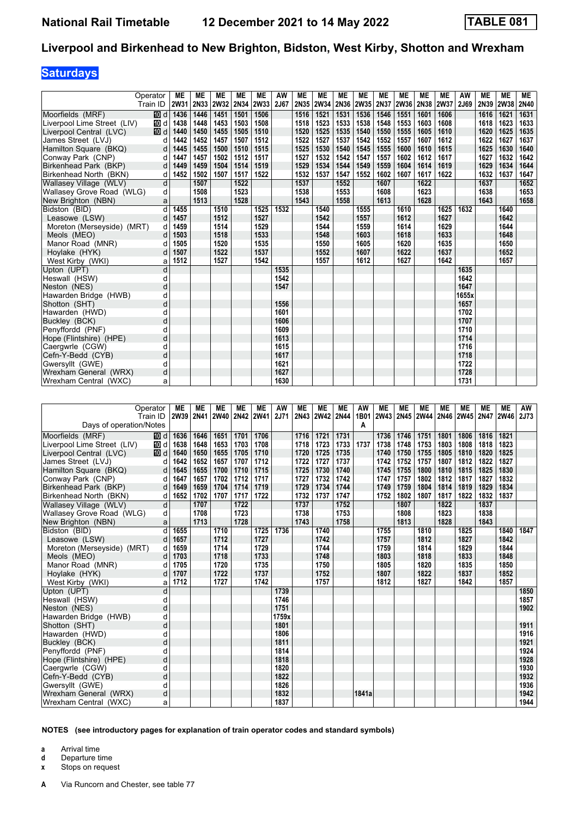# **Saturdays**

|                             | Operator    | МE          | <b>ME</b> | <b>ME</b>   | <b>ME</b> | <b>ME</b>   | AW   | <b>ME</b> | <b>ME</b>   | <b>ME</b> | <b>ME</b> | <b>ME</b> | <b>ME</b> | <b>ME</b> | <b>ME</b>   | AW    | МE   | <b>ME</b> | <b>ME</b> |
|-----------------------------|-------------|-------------|-----------|-------------|-----------|-------------|------|-----------|-------------|-----------|-----------|-----------|-----------|-----------|-------------|-------|------|-----------|-----------|
|                             | Train ID    | <b>2W31</b> | 2N33      | <b>2W32</b> | 2N34      | <b>2W33</b> | 2J67 | 2N35      | <b>2W34</b> | 2N36      | 2W35      | 2N37      | 2W36      | 2N38      | <b>2W37</b> | 2J69  | 2N39 | 2W38      | 2N40      |
| Moorfields (MRF)            | 100 d       | 1436        | 1446      | 1451        | 1501      | 1506        |      | 1516      | 1521        | 1531      | 1536      | 1546      | 1551      | 1601      | 1606        |       | 1616 | 1621      | 1631      |
| Liverpool Lime Street (LIV) | 10 d        | 1438        | 1448      | 1453        | 1503      | 1508        |      | 1518      | 1523        | 1533      | 1538      | 1548      | 1553      | 1603      | 1608        |       | 1618 | 1623      | 1633      |
| Liverpool Central (LVC)     | <b>ID</b> d | 1440        | 1450      | 1455        | 1505      | 1510        |      | 1520      | 1525        | 1535      | 1540      | 1550      | 1555      | 1605      | 1610        |       | 1620 | 1625      | 1635      |
| James Street (LVJ)          | d           | 1442        | 1452      | 1457        | 1507      | 1512        |      | 1522      | 1527        | 1537      | 1542      | 1552      | 1557      | 1607      | 1612        |       | 1622 | 1627      | 1637      |
| Hamilton Square (BKQ)       | d           | 1445        | 1455      | 1500        | 1510      | 1515        |      | 1525      | 1530        | 1540      | 1545      | 1555      | 1600      | 1610      | 1615        |       | 1625 | 1630      | 1640      |
| Conway Park (CNP)           | d           | 1447        | 1457      | 1502        | 1512      | 1517        |      | 1527      | 1532        | 1542      | 1547      | 1557      | 1602      | 1612      | 1617        |       | 1627 | 1632      | 1642      |
| Birkenhead Park (BKP)       | d           | 1449        | 1459      | 1504        | 1514      | 1519        |      | 1529      | 1534        | 1544      | 1549      | 1559      | 1604      | 1614      | 1619        |       | 1629 | 1634      | 1644      |
| Birkenhead North (BKN)      | d           | 1452        | 1502      | 1507        | 1517      | 1522        |      | 1532      | 1537        | 1547      | 1552      | 1602      | 1607      | 1617      | 1622        |       | 1632 | 1637      | 1647      |
| Wallasey Village (WLV)      | d           |             | 1507      |             | 1522      |             |      | 1537      |             | 1552      |           | 1607      |           | 1622      |             |       | 1637 |           | 1652      |
| Wallasey Grove Road (WLG)   | d           |             | 1508      |             | 1523      |             |      | 1538      |             | 1553      |           | 1608      |           | 1623      |             |       | 1638 |           | 1653      |
| New Brighton (NBN)          | a           |             | 1513      |             | 1528      |             |      | 1543      |             | 1558      |           | 1613      |           | 1628      |             |       | 1643 |           | 1658      |
| Bidston (BID)               | d           | 1455        |           | 1510        |           | 1525        | 1532 |           | 1540        |           | 1555      |           | 1610      |           | 1625        | 1632  |      | 1640      |           |
| Leasowe (LSW)               | d           | 1457        |           | 1512        |           | 1527        |      |           | 1542        |           | 1557      |           | 1612      |           | 1627        |       |      | 1642      |           |
| Moreton (Merseyside) (MRT)  | d           | 1459        |           | 1514        |           | 1529        |      |           | 1544        |           | 1559      |           | 1614      |           | 1629        |       |      | 1644      |           |
| Meols (MEO)                 | d           | 1503        |           | 1518        |           | 1533        |      |           | 1548        |           | 1603      |           | 1618      |           | 1633        |       |      | 1648      |           |
| Manor Road (MNR)            | d           | 1505        |           | 1520        |           | 1535        |      |           | 1550        |           | 1605      |           | 1620      |           | 1635        |       |      | 1650      |           |
| Hoylake (HYK)               |             | 1507        |           | 1522        |           | 1537        |      |           | 1552        |           | 1607      |           | 1622      |           | 1637        |       |      | 1652      |           |
| West Kirby (WKI)            | а           | 1512        |           | 1527        |           | 1542        |      |           | 1557        |           | 1612      |           | 1627      |           | 1642        |       |      | 1657      |           |
| Upton (UPT)                 | d           |             |           |             |           |             | 1535 |           |             |           |           |           |           |           |             | 1635  |      |           |           |
| Heswall (HSW)               | d           |             |           |             |           |             | 1542 |           |             |           |           |           |           |           |             | 1642  |      |           |           |
| Neston (NES)                | d           |             |           |             |           |             | 1547 |           |             |           |           |           |           |           |             | 1647  |      |           |           |
| Hawarden Bridge (HWB)       | d           |             |           |             |           |             |      |           |             |           |           |           |           |           |             | 1655x |      |           |           |
| Shotton (SHT)               | d           |             |           |             |           |             | 1556 |           |             |           |           |           |           |           |             | 1657  |      |           |           |
| Hawarden (HWD)              | d           |             |           |             |           |             | 1601 |           |             |           |           |           |           |           |             | 1702  |      |           |           |
| Buckley (BCK)               | d           |             |           |             |           |             | 1606 |           |             |           |           |           |           |           |             | 1707  |      |           |           |
| Penvffordd (PNF)            | d           |             |           |             |           |             | 1609 |           |             |           |           |           |           |           |             | 1710  |      |           |           |
| Hope (Flintshire) (HPE)     | d           |             |           |             |           |             | 1613 |           |             |           |           |           |           |           |             | 1714  |      |           |           |
| Caergwrle (CGW)             | d           |             |           |             |           |             | 1615 |           |             |           |           |           |           |           |             | 1716  |      |           |           |
| Cefn-Y-Bedd (CYB)           | d           |             |           |             |           |             | 1617 |           |             |           |           |           |           |           |             | 1718  |      |           |           |
| Gwersyllt (GWE)             | d           |             |           |             |           |             | 1621 |           |             |           |           |           |           |           |             | 1722  |      |           |           |
| Wrexham General (WRX)       | d           |             |           |             |           |             | 1627 |           |             |           |           |           |           |           |             | 1728  |      |           |           |
| Wrexham Central (WXC)       | a           |             |           |             |           |             | 1630 |           |             |           |           |           |           |           |             | 1731  |      |           |           |

|                             | Operator<br>Train ID | <b>ME</b> | ME<br>2W39 2N41 | МE   | <b>ME</b> | ME<br>2W40 2N42 2W41 | AW<br>2J71 | <b>ME</b><br><b>2N43</b> | <b>ME</b><br><b>2W42</b> | <b>ME</b><br>2N44 | AW<br>1B01 | <b>ME</b><br><b>2W43</b> | <b>ME</b><br>2N45 | <b>ME</b><br><b>2W44</b> | ME   | <b>ME</b><br>2N46 2W45 | <b>ME</b><br>2N47 | <b>ME</b><br><b>2W46</b> | <b>AW</b><br><b>2J73</b> |
|-----------------------------|----------------------|-----------|-----------------|------|-----------|----------------------|------------|--------------------------|--------------------------|-------------------|------------|--------------------------|-------------------|--------------------------|------|------------------------|-------------------|--------------------------|--------------------------|
| Days of operation/Notes     |                      |           |                 |      |           |                      |            |                          |                          |                   | A          |                          |                   |                          |      |                        |                   |                          |                          |
| Moorfields (MRF)            | 100 d                | 1636      | 1646            | 1651 | 1701      | 1706                 |            | 1716                     | 1721                     | 1731              |            | 1736                     | 1746              | 1751                     | 1801 | 1806                   | 1816              | 1821                     |                          |
| Liverpool Lime Street (LIV) | 10 d                 | 1638      | 1648            | 1653 | 1703      | 1708                 |            | 1718                     | 1723                     | 1733              | 1737       | 1738                     | 1748              | 1753                     | 1803 | 1808                   | 1818              | 1823                     |                          |
| Liverpool Central (LVC)     | <b>而</b> d           | 1640      | 1650            | 1655 | 1705      | 1710                 |            | 1720                     | 1725                     | 1735              |            | 1740                     | 1750              | 1755                     | 1805 | 1810                   | 1820              | 1825                     |                          |
| James Street (LVJ)          | d                    | 1642      | 1652            | 1657 | 1707      | 1712                 |            | 1722                     | 1727                     | 1737              |            | 1742                     | 1752              | 1757                     | 1807 | 1812                   | 1822              | 1827                     |                          |
| Hamilton Square (BKQ)       | d                    | 1645      | 1655            | 1700 | 1710      | 1715                 |            | 1725                     | 1730                     | 1740              |            | 1745                     | 1755              | 1800                     | 1810 | 1815                   | 1825              | 1830                     |                          |
| Conway Park (CNP)           | d                    | 1647      | 1657            | 1702 | 1712      | 1717                 |            | 1727                     | 1732                     | 1742              |            | 1747                     | 1757              | 1802                     | 1812 | 1817                   | 1827              | 1832                     |                          |
| Birkenhead Park (BKP)       | d                    | 1649      | 1659            | 1704 | 1714      | 1719                 |            | 1729                     | 1734                     | 1744              |            | 1749                     | 1759              | 1804                     | 1814 | 1819                   | 1829              | 1834                     |                          |
| Birkenhead North (BKN)      | d                    | 1652      | 1702            | 1707 | 1717      | 1722                 |            | 1732                     | 1737                     | 1747              |            | 1752                     | 1802              | 1807                     | 1817 | 1822                   | 1832              | 1837                     |                          |
| Wallasey Village (WLV)      | d                    |           | 1707            |      | 1722      |                      |            | 1737                     |                          | 1752              |            |                          | 1807              |                          | 1822 |                        | 1837              |                          |                          |
| Wallasey Grove Road (WLG)   | d                    |           | 1708            |      | 1723      |                      |            | 1738                     |                          | 1753              |            |                          | 1808              |                          | 1823 |                        | 1838              |                          |                          |
| New Brighton (NBN)          | a                    |           | 1713            |      | 1728      |                      |            | 1743                     |                          | 1758              |            |                          | 1813              |                          | 1828 |                        | 1843              |                          |                          |
| Bidston (BID)               | d                    | 1655      |                 | 1710 |           | 1725                 | 1736       |                          | 1740                     |                   |            | 1755                     |                   | 1810                     |      | 1825                   |                   | 1840                     | 1847                     |
| Leasowe (LSW)               | d                    | 1657      |                 | 1712 |           | 1727                 |            |                          | 1742                     |                   |            | 1757                     |                   | 1812                     |      | 1827                   |                   | 1842                     |                          |
| Moreton (Merseyside) (MRT)  | d                    | 1659      |                 | 1714 |           | 1729                 |            |                          | 1744                     |                   |            | 1759                     |                   | 1814                     |      | 1829                   |                   | 1844                     |                          |
| Meols (MEO)                 | d                    | 1703      |                 | 1718 |           | 1733                 |            |                          | 1748                     |                   |            | 1803                     |                   | 1818                     |      | 1833                   |                   | 1848                     |                          |
| Manor Road (MNR)            | d                    | 1705      |                 | 1720 |           | 1735                 |            |                          | 1750                     |                   |            | 1805                     |                   | 1820                     |      | 1835                   |                   | 1850                     |                          |
| Hoylake (HYK)               | d                    | 1707      |                 | 1722 |           | 1737                 |            |                          | 1752                     |                   |            | 1807                     |                   | 1822                     |      | 1837                   |                   | 1852                     |                          |
| West Kirby (WKI)            | a                    | 1712      |                 | 1727 |           | 1742                 |            |                          | 1757                     |                   |            | 1812                     |                   | 1827                     |      | 1842                   |                   | 1857                     |                          |
| Upton (UPT)                 | d                    |           |                 |      |           |                      | 1739       |                          |                          |                   |            |                          |                   |                          |      |                        |                   |                          | 1850                     |
| Heswall (HSW)               | d                    |           |                 |      |           |                      | 1746       |                          |                          |                   |            |                          |                   |                          |      |                        |                   |                          | 1857                     |
| Neston (NES)                | d                    |           |                 |      |           |                      | 1751       |                          |                          |                   |            |                          |                   |                          |      |                        |                   |                          | 1902                     |
| Hawarden Bridge (HWB)       | d                    |           |                 |      |           |                      | 1759x      |                          |                          |                   |            |                          |                   |                          |      |                        |                   |                          |                          |
| Shotton (SHT)               | d                    |           |                 |      |           |                      | 1801       |                          |                          |                   |            |                          |                   |                          |      |                        |                   |                          | 1911                     |
| Hawarden (HWD)              | d                    |           |                 |      |           |                      | 1806       |                          |                          |                   |            |                          |                   |                          |      |                        |                   |                          | 1916                     |
| Buckley (BCK)               | d                    |           |                 |      |           |                      | 1811       |                          |                          |                   |            |                          |                   |                          |      |                        |                   |                          | 1921                     |
| Penyffordd (PNF)            | d                    |           |                 |      |           |                      | 1814       |                          |                          |                   |            |                          |                   |                          |      |                        |                   |                          | 1924                     |
| Hope (Flintshire) (HPE)     | d                    |           |                 |      |           |                      | 1818       |                          |                          |                   |            |                          |                   |                          |      |                        |                   |                          | 1928                     |
| Caergwrle (CGW)             | d                    |           |                 |      |           |                      | 1820       |                          |                          |                   |            |                          |                   |                          |      |                        |                   |                          | 1930                     |
| Cefn-Y-Bedd (CYB)           | d                    |           |                 |      |           |                      | 1822       |                          |                          |                   |            |                          |                   |                          |      |                        |                   |                          | 1932                     |
| Gwersyllt (GWE)             | d                    |           |                 |      |           |                      | 1826       |                          |                          |                   |            |                          |                   |                          |      |                        |                   |                          | 1936                     |
| Wrexham General (WRX)       | d                    |           |                 |      |           |                      | 1832       |                          |                          |                   | 1841a      |                          |                   |                          |      |                        |                   |                          | 1942                     |
| Wrexham Central (WXC)       | a                    |           |                 |      |           |                      | 1837       |                          |                          |                   |            |                          |                   |                          |      |                        |                   |                          | 1944                     |

#### **NOTES (see introductory pages for explanation of train operator codes and standard symbols)**

- **a** Arrival time
- **d** Departure time
- **x** Stops on request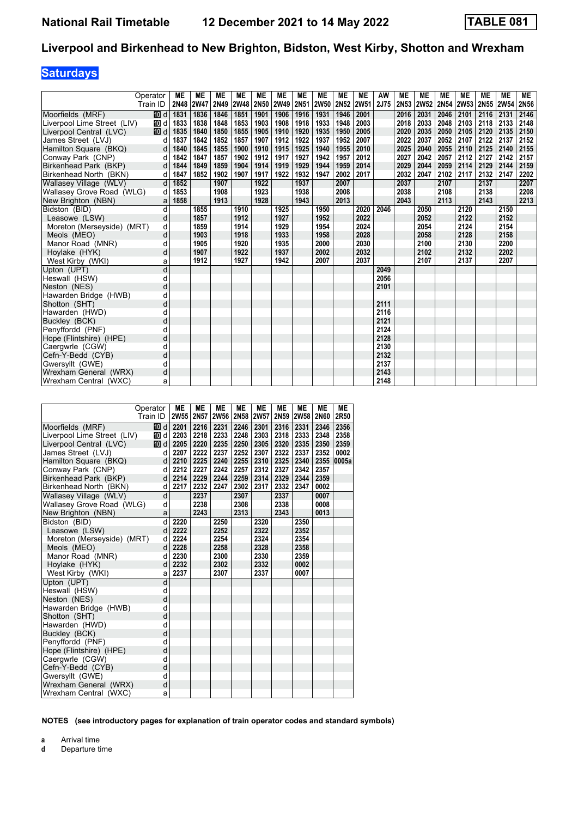# **Saturdays**

|                             | Operator<br>Train ID | МE<br>2N48 | <b>ME</b><br><b>2W47</b> | МE<br>2N49 | <b>ME</b><br><b>2W48</b> | <b>ME</b><br><b>2N50</b> | <b>ME</b><br>2W49 | <b>ME</b><br>2N51 | <b>ME</b><br><b>2W50</b> | <b>ME</b><br>2N52 | <b>ME</b><br><b>2W51</b> | AW<br>2J75 | <b>ME</b><br>2N53 | <b>ME</b><br><b>2W52</b> | <b>ME</b><br><b>2N54</b> | <b>ME</b><br><b>2W53</b> | <b>ME</b><br>2N55 | <b>ME</b><br><b>2W54</b> | ME<br>2N56 |
|-----------------------------|----------------------|------------|--------------------------|------------|--------------------------|--------------------------|-------------------|-------------------|--------------------------|-------------------|--------------------------|------------|-------------------|--------------------------|--------------------------|--------------------------|-------------------|--------------------------|------------|
| Moorfields (MRF)            | <b>ID</b> d          | 1831       | 1836                     | 1846       | 1851                     | 1901                     | 1906              | 1916              | 1931                     | 1946              | 2001                     |            | 2016              | 2031                     | 2046                     | 2101                     | 2116              | 2131                     | 2146       |
| Liverpool Lime Street (LIV) | 10 d                 | 1833       | 1838                     | 1848       | 1853                     | 1903                     | 1908              | 1918              | 1933                     | 1948              | 2003                     |            | 2018              | 2033                     | 2048                     | 2103                     | 2118              | 2133                     | 2148       |
| Liverpool Central (LVC)     | III d                | 1835       | 1840                     | 1850       | 1855                     | 1905                     | 1910              | 1920              | 1935                     | 1950              | 2005                     |            | 2020              | 2035                     | 2050                     | 2105                     | 2120              | 2135                     | 2150       |
| James Street (LVJ)          | d                    | 1837       | 1842                     | 1852       | 1857                     | 1907                     | 1912              | 1922              | 1937                     | 1952              | 2007                     |            | 2022              | 2037                     | 2052                     | 2107                     | 2122              | 2137                     | 2152       |
| Hamilton Square (BKQ)       | d                    | 1840       | 1845                     | 1855       | 1900                     | 1910                     | 1915              | 1925              | 1940                     | 1955              | 2010                     |            | 2025              | 2040                     | 2055                     | 2110                     | 2125              | 2140                     | 2155       |
| Conway Park (CNP)           | d                    | 1842       | 1847                     | 1857       | 1902                     | 1912                     | 1917              | 1927              | 1942                     | 1957              | 2012                     |            | 2027              | 2042                     | 2057                     | 2112                     | 2127              | 2142                     | 2157       |
| Birkenhead Park (BKP)       | d                    | 1844       | 1849                     | 1859       | 1904                     | 1914                     | 1919              | 1929              | 1944                     | 1959              | 2014                     |            | 2029              | 2044                     | 2059                     | 2114                     | 2129              | 2144                     | 2159       |
| Birkenhead North (BKN)      | d                    | 1847       | 1852                     | 1902       | 1907                     | 1917                     | 1922              | 1932              | 1947                     | 2002              | 2017                     |            | 2032              | 2047                     | 2102                     | 2117                     | 2132              | 2147                     | 2202       |
| Wallasey Village (WLV)      | d                    | 1852       |                          | 1907       |                          | 1922                     |                   | 1937              |                          | 2007              |                          |            | 2037              |                          | 2107                     |                          | 2137              |                          | 2207       |
| Wallasey Grove Road (WLG)   | d                    | 1853       |                          | 1908       |                          | 1923                     |                   | 1938              |                          | 2008              |                          |            | 2038              |                          | 2108                     |                          | 2138              |                          | 2208       |
| New Brighton (NBN)          | a                    | 1858       |                          | 1913       |                          | 1928                     |                   | 1943              |                          | 2013              |                          |            | 2043              |                          | 2113                     |                          | 2143              |                          | 2213       |
| Bidston (BID)               | d                    |            | 1855                     |            | 1910                     |                          | 1925              |                   | 1950                     |                   | 2020                     | 2046       |                   | 2050                     |                          | 2120                     |                   | 2150                     |            |
| Leasowe (LSW)               | d                    |            | 1857                     |            | 1912                     |                          | 1927              |                   | 1952                     |                   | 2022                     |            |                   | 2052                     |                          | 2122                     |                   | 2152                     |            |
| Moreton (Merseyside) (MRT)  | d                    |            | 1859                     |            | 1914                     |                          | 1929              |                   | 1954                     |                   | 2024                     |            |                   | 2054                     |                          | 2124                     |                   | 2154                     |            |
| Meols (MEO)                 | d                    |            | 1903                     |            | 1918                     |                          | 1933              |                   | 1958                     |                   | 2028                     |            |                   | 2058                     |                          | 2128                     |                   | 2158                     |            |
| Manor Road (MNR)            | d                    |            | 1905                     |            | 1920                     |                          | 1935              |                   | 2000                     |                   | 2030                     |            |                   | 2100                     |                          | 2130                     |                   | 2200                     |            |
| Hoylake (HYK)               | d                    |            | 1907                     |            | 1922                     |                          | 1937              |                   | 2002                     |                   | 2032                     |            |                   | 2102                     |                          | 2132                     |                   | 2202                     |            |
| West Kirby (WKI)            | a                    |            | 1912                     |            | 1927                     |                          | 1942              |                   | 2007                     |                   | 2037                     |            |                   | 2107                     |                          | 2137                     |                   | 2207                     |            |
| Upton (UPT)                 | d                    |            |                          |            |                          |                          |                   |                   |                          |                   |                          | 2049       |                   |                          |                          |                          |                   |                          |            |
| Heswall (HSW)               | d                    |            |                          |            |                          |                          |                   |                   |                          |                   |                          | 2056       |                   |                          |                          |                          |                   |                          |            |
| Neston (NES)                | d                    |            |                          |            |                          |                          |                   |                   |                          |                   |                          | 2101       |                   |                          |                          |                          |                   |                          |            |
| Hawarden Bridge (HWB)       | d                    |            |                          |            |                          |                          |                   |                   |                          |                   |                          |            |                   |                          |                          |                          |                   |                          |            |
| Shotton (SHT)               | d                    |            |                          |            |                          |                          |                   |                   |                          |                   |                          | 2111       |                   |                          |                          |                          |                   |                          |            |
| Hawarden (HWD)              | d                    |            |                          |            |                          |                          |                   |                   |                          |                   |                          | 2116       |                   |                          |                          |                          |                   |                          |            |
| Buckley (BCK)               | d                    |            |                          |            |                          |                          |                   |                   |                          |                   |                          | 2121       |                   |                          |                          |                          |                   |                          |            |
| Penyffordd (PNF)            |                      |            |                          |            |                          |                          |                   |                   |                          |                   |                          | 2124       |                   |                          |                          |                          |                   |                          |            |
| Hope (Flintshire) (HPE)     | d                    |            |                          |            |                          |                          |                   |                   |                          |                   |                          | 2128       |                   |                          |                          |                          |                   |                          |            |
| Caergwrle (CGW)             | d                    |            |                          |            |                          |                          |                   |                   |                          |                   |                          | 2130       |                   |                          |                          |                          |                   |                          |            |
| Cefn-Y-Bedd (CYB)           | d                    |            |                          |            |                          |                          |                   |                   |                          |                   |                          | 2132       |                   |                          |                          |                          |                   |                          |            |
| Gwersyllt (GWE)             | d                    |            |                          |            |                          |                          |                   |                   |                          |                   |                          | 2137       |                   |                          |                          |                          |                   |                          |            |
| Wrexham General (WRX)       | d                    |            |                          |            |                          |                          |                   |                   |                          |                   |                          | 2143       |                   |                          |                          |                          |                   |                          |            |
| Wrexham Central (WXC)       | а                    |            |                          |            |                          |                          |                   |                   |                          |                   |                          | 2148       |                   |                          |                          |                          |                   |                          |            |

|                             | Operator    | <b>ME</b>   | <b>ME</b> | MЕ          | <b>ME</b> | <b>ME</b>   | <b>ME</b> | <b>ME</b> | <b>ME</b> | <b>ME</b> |
|-----------------------------|-------------|-------------|-----------|-------------|-----------|-------------|-----------|-----------|-----------|-----------|
|                             | Train ID    | <b>2W55</b> | 2N57      | <b>2W56</b> | 2N58      | <b>2W57</b> |           | 2N59 2W58 | 2N60      | 2R50      |
| Moorfields (MRF)            | 而 d         | 2201        | 2216      | 2231        | 2246      | 2301        | 2316      | 2331      | 2346      | 2356      |
| Liverpool Lime Street (LIV) | i10 d l     | 2203        | 2218      | 2233        | 2248      | 2303        | 2318      | 2333      | 2348      | 2358      |
| Liverpool Central (LVC)     | <b>TO</b> d | 2205        | 2220      | 2235        | 2250      | 2305        | 2320      | 2335      | 2350      | 2359      |
| James Street (LVJ)          | d           | 2207        | 2222      | 2237        | 2252      | 2307        | 2322      | 2337      | 2352      | 0002      |
| Hamilton Square (BKQ)       | d           | 2210        | 2225      | 2240        | 2255      | 2310        | 2325      | 2340      | 2355      | 0005a     |
| Conway Park (CNP)           | d           | 2212        | 2227      | 2242        | 2257      | 2312        | 2327      | 2342      | 2357      |           |
| Birkenhead Park (BKP)       | d           | 2214        | 2229      | 2244        | 2259      | 2314        | 2329      | 2344      | 2359      |           |
| Birkenhead North (BKN)      | d           | 2217        | 2232      | 2247        | 2302      | 2317        | 2332      | 2347      | 0002      |           |
| Wallasev Village (WLV)      | d           |             | 2237      |             | 2307      |             | 2337      |           | 0007      |           |
| Wallasey Grove Road (WLG)   | d           |             | 2238      |             | 2308      |             | 2338      |           | 0008      |           |
| New Brighton (NBN)          | a           |             | 2243      |             | 2313      |             | 2343      |           | 0013      |           |
| Bidston (BID)               | d           | 2220        |           | 2250        |           | 2320        |           | 2350      |           |           |
| Leasowe (LSW)               | d           | 2222        |           | 2252        |           | 2322        |           | 2352      |           |           |
| Moreton (Merseyside) (MRT)  | d           | 2224        |           | 2254        |           | 2324        |           | 2354      |           |           |
| Meols (MEO)                 | d           | 2228        |           | 2258        |           | 2328        |           | 2358      |           |           |
| Manor Road (MNR)            | d           | 2230        |           | 2300        |           | 2330        |           | 2359      |           |           |
| Hoylake (HYK)               | d           | 2232        |           | 2302        |           | 2332        |           | 0002      |           |           |
| West Kirby (WKI)            | a           | 2237        |           | 2307        |           | 2337        |           | 0007      |           |           |
| Upton (UPT)                 | d           |             |           |             |           |             |           |           |           |           |
| Heswall (HSW)               | d           |             |           |             |           |             |           |           |           |           |
| Neston (NES)                | d           |             |           |             |           |             |           |           |           |           |
| Hawarden Bridge (HWB)       | d           |             |           |             |           |             |           |           |           |           |
| Shotton (SHT)               | d           |             |           |             |           |             |           |           |           |           |
| Hawarden (HWD)              | d           |             |           |             |           |             |           |           |           |           |
| Buckley (BCK)               | d           |             |           |             |           |             |           |           |           |           |
| Penyffordd (PNF)            | d           |             |           |             |           |             |           |           |           |           |
| Hope (Flintshire) (HPE)     | d           |             |           |             |           |             |           |           |           |           |
| Caergwrle (CGW)             | d           |             |           |             |           |             |           |           |           |           |
| Cefn-Y-Bedd (CYB)           | d           |             |           |             |           |             |           |           |           |           |
| Gwersyllt (GWE)             | d           |             |           |             |           |             |           |           |           |           |
| Wrexham General (WRX)       | d           |             |           |             |           |             |           |           |           |           |
| Wrexham Central (WXC)       | a           |             |           |             |           |             |           |           |           |           |

**NOTES (see introductory pages for explanation of train operator codes and standard symbols)**

**a** Arrival time<br>**d** Departure t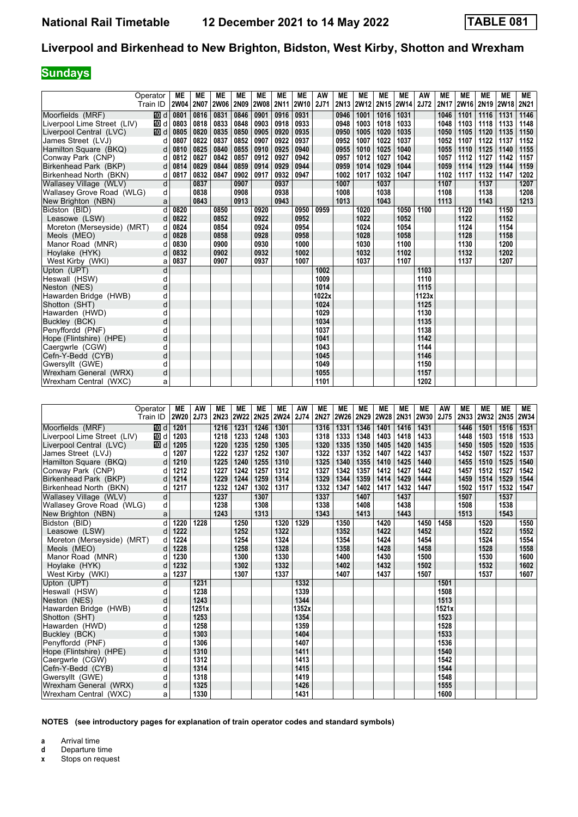# **Sundays**

|                             | Operator<br>Train ID | МE<br><b>2W04</b> | МE<br>2N07 | МE<br><b>2W06</b> | <b>ME</b><br>2N09 | <b>ME</b><br><b>2W08</b> | <b>ME</b><br>2N11 | ME<br><b>2W10</b> | AW<br>2J71 | <b>ME</b><br>2N13 | ME<br><b>2W12</b> | ME<br>2N15 | ME<br><b>2W14</b> | AW<br><b>2J72</b> | МE<br>2N17 | ME<br><b>2W16</b> | МE<br>2N19 | <b>ME</b><br><b>2W18</b> | ME<br>2N21 |
|-----------------------------|----------------------|-------------------|------------|-------------------|-------------------|--------------------------|-------------------|-------------------|------------|-------------------|-------------------|------------|-------------------|-------------------|------------|-------------------|------------|--------------------------|------------|
| Moorfields (MRF)            | <b>ID</b> d          | 0801              | 0816       | 0831              | 0846              | 0901                     | 0916              | 0931              |            | 0946              | 1001              | 1016       | 1031              |                   | 1046       | 1101              | 1116       | 1131                     | 1146       |
| Liverpool Lime Street (LIV) | 10 d                 | 0803              | 0818       | 0833              | 0848              | 0903                     | 0918              | 0933              |            | 0948              | 1003              | 1018       | 1033              |                   | 1048       | 1103              | 1118       | 1133                     | 1148       |
| Liverpool Central (LVC)     | <b>ID</b> d          | 0805              | 0820       | 0835              | 0850              | 0905                     | 0920              | 0935              |            | 0950              | 1005              | 1020       | 1035              |                   | 1050       | 1105              | 1120       | 1135                     | 1150       |
| James Street (LVJ)          | d                    | 0807              | 0822       | 0837              | 0852              | 0907                     | 0922              | 0937              |            | 0952              | 1007              | 1022       | 1037              |                   | 1052       | 1107              | 1122       | 1137                     | 1152       |
| Hamilton Square (BKQ)       | d                    | 0810              | 0825       | 0840              | 0855              | 0910                     | 0925              | 0940              |            | 0955              | 1010              | 1025       | 1040              |                   | 1055       | 1110              | 1125       | 1140                     | 1155       |
| Conway Park (CNP)           | d                    | 0812              | 0827       | 0842              | 0857              | 0912                     | 0927              | 0942              |            | 0957              | 1012              | 1027       | 1042              |                   | 1057       | 1112              | 1127       | 1142                     | 1157       |
| Birkenhead Park (BKP)       | d                    | 0814              | 0829       | 0844              | 0859              | 0914                     | 0929              | 0944              |            | 0959              | 1014              | 1029       | 1044              |                   | 1059       | 1114              | 1129       | 1144                     | 1159       |
| Birkenhead North (BKN)      | d                    | 0817              | 0832       | 0847              | 0902              | 0917                     | 0932              | 0947              |            | 1002              | 1017              | 1032       | 1047              |                   | 1102       | 1117              | 1132       | 1147                     | 1202       |
| Wallasey Village (WLV)      | d                    |                   | 0837       |                   | 0907              |                          | 0937              |                   |            | 1007              |                   | 1037       |                   |                   | 1107       |                   | 1137       |                          | 1207       |
| Wallasey Grove Road (WLG)   | d                    |                   | 0838       |                   | 0908              |                          | 0938              |                   |            | 1008              |                   | 1038       |                   |                   | 1108       |                   | 1138       |                          | 1208       |
| New Brighton (NBN)          | a                    |                   | 0843       |                   | 0913              |                          | 0943              |                   |            | 1013              |                   | 1043       |                   |                   | 1113       |                   | 1143       |                          | 1213       |
| Bidston (BID)               | d                    | 0820              |            | 0850              |                   | 0920                     |                   | 0950              | 0959       |                   | 1020              |            | 1050              | 1100              |            | 1120              |            | 1150                     |            |
| Leasowe (LSW)               | d                    | 0822              |            | 0852              |                   | 0922                     |                   | 0952              |            |                   | 1022              |            | 1052              |                   |            | 1122              |            | 1152                     |            |
| Moreton (Merseyside) (MRT)  | d                    | 0824              |            | 0854              |                   | 0924                     |                   | 0954              |            |                   | 1024              |            | 1054              |                   |            | 1124              |            | 1154                     |            |
| Meols (MEO)                 | d                    | 0828              |            | 0858              |                   | 0928                     |                   | 0958              |            |                   | 1028              |            | 1058              |                   |            | 1128              |            | 1158                     |            |
| Manor Road (MNR)            | d                    | 0830              |            | 0900              |                   | 0930                     |                   | 1000              |            |                   | 1030              |            | 1100              |                   |            | 1130              |            | 1200                     |            |
| Hovlake (HYK)               | d                    | 0832              |            | 0902              |                   | 0932                     |                   | 1002              |            |                   | 1032              |            | 1102              |                   |            | 1132              |            | 1202                     |            |
| West Kirby (WKI)            | a                    | 0837              |            | 0907              |                   | 0937                     |                   | 1007              |            |                   | 1037              |            | 1107              |                   |            | 1137              |            | 1207                     |            |
| Upton (UPT)                 | d                    |                   |            |                   |                   |                          |                   |                   | 1002       |                   |                   |            |                   | 1103              |            |                   |            |                          |            |
| Heswall (HSW)               | d                    |                   |            |                   |                   |                          |                   |                   | 1009       |                   |                   |            |                   | 1110              |            |                   |            |                          |            |
| Neston (NES)                | d                    |                   |            |                   |                   |                          |                   |                   | 1014       |                   |                   |            |                   | 1115              |            |                   |            |                          |            |
| Hawarden Bridge (HWB)       | d                    |                   |            |                   |                   |                          |                   |                   | 1022x      |                   |                   |            |                   | 1123x             |            |                   |            |                          |            |
| Shotton (SHT)               | d                    |                   |            |                   |                   |                          |                   |                   | 1024       |                   |                   |            |                   | 1125              |            |                   |            |                          |            |
| Hawarden (HWD)              | d                    |                   |            |                   |                   |                          |                   |                   | 1029       |                   |                   |            |                   | 1130              |            |                   |            |                          |            |
| Buckley (BCK)               | d                    |                   |            |                   |                   |                          |                   |                   | 1034       |                   |                   |            |                   | 1135              |            |                   |            |                          |            |
| Penyffordd (PNF)            | d                    |                   |            |                   |                   |                          |                   |                   | 1037       |                   |                   |            |                   | 1138              |            |                   |            |                          |            |
| Hope (Flintshire) (HPE)     | d                    |                   |            |                   |                   |                          |                   |                   | 1041       |                   |                   |            |                   | 1142              |            |                   |            |                          |            |
| Caergwrle (CGW)             | d                    |                   |            |                   |                   |                          |                   |                   | 1043       |                   |                   |            |                   | 1144              |            |                   |            |                          |            |
| Cefn-Y-Bedd (CYB)           | d                    |                   |            |                   |                   |                          |                   |                   | 1045       |                   |                   |            |                   | 1146              |            |                   |            |                          |            |
| Gwersyllt (GWE)             | d                    |                   |            |                   |                   |                          |                   |                   | 1049       |                   |                   |            |                   | 1150              |            |                   |            |                          |            |
| Wrexham General (WRX)       | d                    |                   |            |                   |                   |                          |                   |                   | 1055       |                   |                   |            |                   | 1157              |            |                   |            |                          |            |
| Wrexham Central (WXC)       | a                    |                   |            |                   |                   |                          |                   |                   | 1101       |                   |                   |            |                   | 1202              |            |                   |            |                          |            |

|                             | Operator | ME   | AW    | <b>ME</b> | <b>ME</b>   | МE   | <b>ME</b>   | <b>AW</b> | <b>ME</b> | МE          | МE   | МE   | <b>ME</b> | <b>ME</b>   | AW    | <b>ME</b> | МE          | <b>ME</b> | ME          |
|-----------------------------|----------|------|-------|-----------|-------------|------|-------------|-----------|-----------|-------------|------|------|-----------|-------------|-------|-----------|-------------|-----------|-------------|
|                             | Train ID | 2W20 | 2J73  | 2N23      | <b>2W22</b> | 2N25 | <b>2W24</b> | 2J74      | 2N27      | <b>2W26</b> | 2N29 | 2W28 | 2N31      | <b>2W30</b> | 2J75  | 2N33      | <b>2W32</b> | 2N35      | <b>2W34</b> |
| Moorfields (MRF)            | iD d     | 1201 |       | 1216      | 1231        | 1246 | 1301        |           | 1316      | 1331        | 1346 | 1401 | 1416      | 1431        |       | 1446      | 1501        | 1516      | 1531        |
| Liverpool Lime Street (LIV) | 10 d     | 1203 |       | 1218      | 1233        | 1248 | 1303        |           | 1318      | 1333        | 1348 | 1403 | 1418      | 1433        |       | 1448      | 1503        | 1518      | 1533        |
| Liverpool Central (LVC)     | [10] d   | 1205 |       | 1220      | 1235        | 1250 | 1305        |           | 1320      | 1335        | 1350 | 1405 | 1420      | 1435        |       | 1450      | 1505        | 1520      | 1535        |
| James Street (LVJ)          | d        | 1207 |       | 1222      | 1237        | 1252 | 1307        |           | 1322      | 1337        | 1352 | 1407 | 1422      | 1437        |       | 1452      | 1507        | 1522      | 1537        |
| Hamilton Square (BKQ)       | d        | 1210 |       | 1225      | 1240        | 1255 | 1310        |           | 1325      | 1340        | 1355 | 1410 | 1425      | 1440        |       | 1455      | 1510        | 1525      | 1540        |
| Conway Park (CNP)           | d        | 1212 |       | 1227      | 1242        | 1257 | 1312        |           | 1327      | 1342        | 1357 | 1412 | 1427      | 1442        |       | 1457      | 1512        | 1527      | 1542        |
| Birkenhead Park (BKP)       | d        | 1214 |       | 1229      | 1244        | 1259 | 1314        |           | 1329      | 1344        | 1359 | 1414 | 1429      | 1444        |       | 1459      | 1514        | 1529      | 1544        |
| Birkenhead North (BKN)      | d        | 1217 |       | 1232      | 1247        | 1302 | 1317        |           | 1332      | 1347        | 1402 | 1417 | 1432      | 1447        |       | 1502      | 1517        | 1532      | 1547        |
| Wallasey Village (WLV)      | d        |      |       | 1237      |             | 1307 |             |           | 1337      |             | 1407 |      | 1437      |             |       | 1507      |             | 1537      |             |
| Wallasey Grove Road (WLG)   | d        |      |       | 1238      |             | 1308 |             |           | 1338      |             | 1408 |      | 1438      |             |       | 1508      |             | 1538      |             |
| New Brighton (NBN)          | a        |      |       | 1243      |             | 1313 |             |           | 1343      |             | 1413 |      | 1443      |             |       | 1513      |             | 1543      |             |
| Bidston (BID)               | d        | 1220 | 1228  |           | 1250        |      | 1320        | 1329      |           | 1350        |      | 1420 |           | 1450        | 1458  |           | 1520        |           | 1550        |
| Leasowe (LSW)               | d        | 1222 |       |           | 1252        |      | 1322        |           |           | 1352        |      | 1422 |           | 1452        |       |           | 1522        |           | 1552        |
| Moreton (Merseyside) (MRT)  | d        | 1224 |       |           | 1254        |      | 1324        |           |           | 1354        |      | 1424 |           | 1454        |       |           | 1524        |           | 1554        |
| Meols (MEO)                 | d        | 1228 |       |           | 1258        |      | 1328        |           |           | 1358        |      | 1428 |           | 1458        |       |           | 1528        |           | 1558        |
| Manor Road (MNR)            | d        | 1230 |       |           | 1300        |      | 1330        |           |           | 1400        |      | 1430 |           | 1500        |       |           | 1530        |           | 1600        |
| Hoylake (HYK)               | d        | 1232 |       |           | 1302        |      | 1332        |           |           | 1402        |      | 1432 |           | 1502        |       |           | 1532        |           | 1602        |
| West Kirby (WKI)            | a        | 1237 |       |           | 1307        |      | 1337        |           |           | 1407        |      | 1437 |           | 1507        |       |           | 1537        |           | 1607        |
| Upton (UPT)                 | d        |      | 1231  |           |             |      |             | 1332      |           |             |      |      |           |             | 1501  |           |             |           |             |
| Heswall (HSW)               | d        |      | 1238  |           |             |      |             | 1339      |           |             |      |      |           |             | 1508  |           |             |           |             |
| Neston (NES)                | d        |      | 1243  |           |             |      |             | 1344      |           |             |      |      |           |             | 1513  |           |             |           |             |
| Hawarden Bridge (HWB)       | d        |      | 1251x |           |             |      |             | 1352x     |           |             |      |      |           |             | 1521x |           |             |           |             |
| Shotton (SHT)               | d        |      | 1253  |           |             |      |             | 1354      |           |             |      |      |           |             | 1523  |           |             |           |             |
| Hawarden (HWD)              | d        |      | 1258  |           |             |      |             | 1359      |           |             |      |      |           |             | 1528  |           |             |           |             |
| Buckley (BCK)               | d        |      | 1303  |           |             |      |             | 1404      |           |             |      |      |           |             | 1533  |           |             |           |             |
| Penyffordd (PNF)            | d        |      | 1306  |           |             |      |             | 1407      |           |             |      |      |           |             | 1536  |           |             |           |             |
| Hope (Flintshire) (HPE)     | d        |      | 1310  |           |             |      |             | 1411      |           |             |      |      |           |             | 1540  |           |             |           |             |
| Caergwrle (CGW)             | d        |      | 1312  |           |             |      |             | 1413      |           |             |      |      |           |             | 1542  |           |             |           |             |
| Cefn-Y-Bedd (CYB)           | d        |      | 1314  |           |             |      |             | 1415      |           |             |      |      |           |             | 1544  |           |             |           |             |
| Gwersyllt (GWE)             | d        |      | 1318  |           |             |      |             | 1419      |           |             |      |      |           |             | 1548  |           |             |           |             |
| Wrexham General (WRX)       | d        |      | 1325  |           |             |      |             | 1426      |           |             |      |      |           |             | 1555  |           |             |           |             |
| Wrexham Central (WXC)       | a        |      | 1330  |           |             |      |             | 1431      |           |             |      |      |           |             | 1600  |           |             |           |             |

**NOTES (see introductory pages for explanation of train operator codes and standard symbols)**

**a** Arrival time

**d** Departure time<br>**x** Stops on reque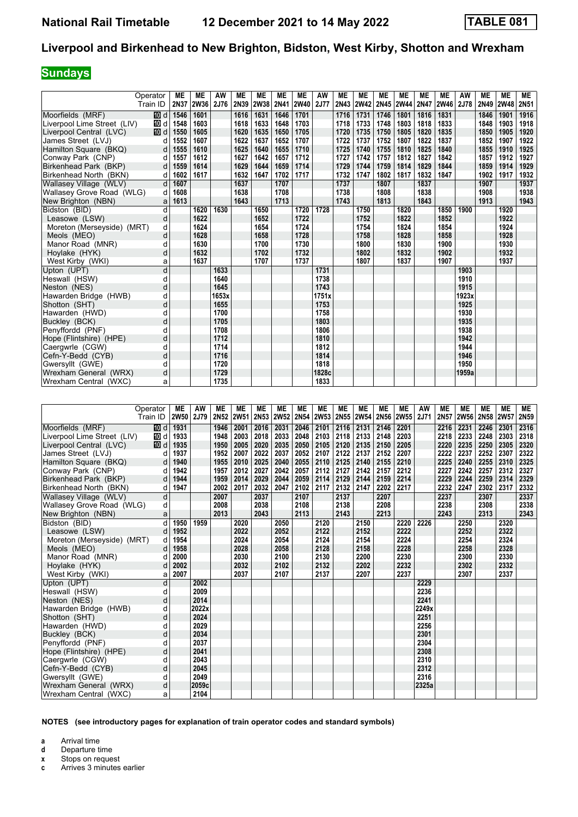# **Sundays**

|                             | Operator<br>Train ID | МE<br>2N37  | MЕ<br><b>2W36</b> | AW<br>2J76 | MЕ<br>2N39  | МE<br><b>2W38</b> | <b>ME</b><br>2N41 | ME<br><b>2W40</b> | <b>AW</b><br>2J77 | MЕ<br>2N43 | ME<br><b>2W42</b> | <b>ME</b><br>2N45 | <b>ME</b><br><b>2W44</b> | <b>ME</b><br>2N47 | <b>ME</b><br><b>2W46</b> | AW<br>2J78  | МE<br>2N49 | МE<br><b>2W48</b> | MЕ<br>2N51 |
|-----------------------------|----------------------|-------------|-------------------|------------|-------------|-------------------|-------------------|-------------------|-------------------|------------|-------------------|-------------------|--------------------------|-------------------|--------------------------|-------------|------------|-------------------|------------|
| Moorfields (MRF)            | <b>ID</b> d          | 1546        | 1601              |            | 1616        | 1631              | 1646              | 1701              |                   | 1716       | 1731              | 1746              | 1801                     | 1816              | 1831                     |             | 1846       | 1901              | 1916       |
| Liverpool Lime Street (LIV) | 10 d                 | 1548        | 1603              |            | 1618        | 1633              | 1648              | 1703              |                   | 1718       | 1733              | 1748              | 1803                     | 1818              | 1833                     |             | 1848       | 1903              | 1918       |
| Liverpool Central (LVC)     | 10 d                 | 1550        | 1605              |            | 1620        | 1635              | 1650              | 1705              |                   | 1720       | 1735              | 1750              | 1805                     | 1820              | 1835                     |             | 1850       | 1905              | 1920       |
| James Street (LVJ)          | d                    | 1552        | 1607              |            | 1622        | 1637              | 1652              | 1707              |                   | 1722       | 1737              | 1752              | 1807                     | 1822              | 1837                     |             | 1852       | 1907              | 1922       |
| Hamilton Square (BKQ)       | d                    | 1555        | 1610              |            | 1625        | 1640              | 1655              | 1710              |                   | 1725       | 1740              | 1755              | 1810                     | 1825              | 1840                     |             | 1855       | 1910              | 1925       |
| Conway Park (CNP)           | d                    | 1557        | 1612              |            | 1627        | 1642              | 1657              | 1712              |                   | 1727       | 1742              | 1757              | 1812                     | 1827              | 1842                     |             | 1857       | 1912              | 1927       |
| Birkenhead Park (BKP)       | d                    | 1559        | 1614              |            | 1629        | 1644              | 1659              | 1714              |                   | 1729       | 1744              | 1759              | 1814                     | 1829              | 1844                     |             | 1859       | 1914              | 1929       |
| Birkenhead North (BKN)      | d                    | 1602        | 1617              |            | 1632        | 1647              | 1702              | 1717              |                   | 1732       | 1747              | 1802              | 1817                     | 1832              | 1847                     |             | 1902       | 1917              | 1932       |
| Wallasey Village (WLV)      | d                    | 1607        |                   |            | 1637        |                   | 1707              |                   |                   | 1737       |                   | 1807              |                          | 1837              |                          |             | 1907       |                   | 1937       |
| Wallasey Grove Road (WLG)   | d                    | 1608        |                   |            | 1638        |                   | 1708              |                   |                   | 1738       |                   | 1808              |                          | 1838              |                          |             | 1908       |                   | 1938       |
| New Brighton (NBN)          | a                    | 1613        |                   |            | 1643        |                   | 1713              |                   |                   | 1743       |                   | 1813              |                          | 1843              |                          |             | 1913       |                   | 1943       |
| Bidston (BID)               | d                    |             | 1620              | 1630       |             | 1650              |                   | 1720              | 1728              |            | 1750              |                   | 1820                     |                   | 1850                     | 1900        |            | 1920              |            |
| Leasowe (LSW)               | d                    |             | 1622              |            |             | 1652              |                   | 1722              |                   |            | 1752              |                   | 1822                     |                   | 1852                     |             |            | 1922              |            |
| Moreton (Merseyside) (MRT)  | d                    |             | 1624              |            |             | 1654              |                   | 1724              |                   |            | 1754              |                   | 1824                     |                   | 1854                     |             |            | 1924              |            |
| Meols (MEO)                 | d                    |             | 1628              |            |             | 1658              |                   | 1728              |                   |            | 1758              |                   | 1828                     |                   | 1858                     |             |            | 1928              |            |
| Manor Road (MNR)            | d                    |             | 1630              |            |             | 1700              |                   | 1730              |                   |            | 1800              |                   | 1830                     |                   | 1900                     |             |            | 1930              |            |
| Hoylake (HYK)               | d                    |             | 1632              |            |             | 1702              |                   | 1732              |                   |            | 1802              |                   | 1832                     |                   | 1902                     |             |            | 1932              |            |
| West Kirby (WKI)            | a                    |             | 1637              |            |             | 1707              |                   | 1737              |                   |            | 1807              |                   | 1837                     |                   | 1907                     |             |            | 1937              |            |
| Upton (UPT)                 | d                    |             |                   | 1633       |             |                   |                   |                   | 1731              |            |                   |                   |                          |                   |                          | 1903        |            |                   |            |
| Heswall (HSW)               | d                    |             |                   | 1640       |             |                   |                   |                   | 1738              |            |                   |                   |                          |                   |                          | 1910        |            |                   |            |
| Neston (NES)                | d                    |             |                   | 1645       |             |                   |                   |                   | 1743              |            |                   |                   |                          |                   |                          | 1915        |            |                   |            |
| Hawarden Bridge (HWB)       | d                    |             |                   | 1653x      |             |                   |                   |                   | 1751x             |            |                   |                   |                          |                   |                          | 1923x       |            |                   |            |
| Shotton (SHT)               | d                    |             |                   | 1655       |             |                   |                   |                   | 1753              |            |                   |                   |                          |                   |                          | 1925        |            |                   |            |
| Hawarden (HWD)              | d                    |             |                   | 1700       |             |                   |                   |                   | 1758              |            |                   |                   |                          |                   |                          | 1930        |            |                   |            |
| Buckley (BCK)               | d                    |             |                   | 1705       |             |                   |                   |                   | 1803              |            |                   |                   |                          |                   |                          | 1935        |            |                   |            |
| Penyffordd (PNF)            | d                    |             |                   | 1708       |             |                   |                   |                   | 1806              |            |                   |                   |                          |                   |                          | 1938        |            |                   |            |
| Hope (Flintshire) (HPE)     | d                    |             |                   | 1712       |             |                   |                   |                   | 1810              |            |                   |                   |                          |                   |                          | 1942        |            |                   |            |
| Caergwrle (CGW)             | d                    |             |                   | 1714       |             |                   |                   |                   | 1812              |            |                   |                   |                          |                   |                          | 1944        |            |                   |            |
| Cefn-Y-Bedd (CYB)           | d                    |             |                   | 1716       |             |                   |                   |                   | 1814              |            |                   |                   |                          |                   |                          | 1946        |            |                   |            |
| Gwersyllt (GWE)             | d                    |             |                   | 1720       |             |                   |                   |                   | 1818              |            |                   |                   |                          |                   |                          | 1950        |            |                   |            |
| Wrexham General (WRX)       | d                    |             |                   | 1729       |             |                   |                   |                   | 1828c             |            |                   |                   |                          |                   |                          | 1959a       |            |                   |            |
| Wrexham Central (WXC)       | a                    |             |                   | 1735       |             |                   |                   |                   | 1833              |            |                   |                   |                          |                   |                          |             |            |                   |            |
|                             |                      |             |                   |            |             |                   |                   |                   |                   |            |                   |                   |                          |                   |                          |             |            |                   |            |
|                             |                      |             |                   |            |             |                   |                   |                   |                   |            |                   |                   |                          |                   |                          |             |            |                   |            |
|                             | Operator             | ME          | AW                | <b>ME</b>  | <b>ME</b>   | <b>ME</b>         | <b>ME</b>         | <b>ME</b>         | <b>ME</b>         | <b>ME</b>  | <b>ME</b>         | <b>ME</b>         | <b>ME</b>                | AW                | <b>ME</b>                | ME          | <b>ME</b>  | <b>ME</b>         | ME         |
|                             | Train ID             | <b>2W50</b> | 2J79              | 2N52       | <b>2W51</b> | <b>2N53</b>       | <b>2W52</b>       | 2N54              | 2W53              | 2N55       | <b>2W54</b>       | 2N56              | 2W55                     | 2J71              | 2N57                     | <b>2W56</b> | 2N58       | 2W57              | 2N59       |
| Moorfields (MRF)            | III d                | 1931        |                   | 1946       | 2001        | 2016              | 2031              | 2046              | 2101              | 2116       | 2131              | 2146              | 2201                     |                   | 2216                     | 2231        | 2246       | 2301              | 2316       |
| Liverpool Lime Street (LIV) | 10 d                 | 1933        |                   | 1948       | 2003        | 2018              | 2033              | 2048              | 2103              | 2118       | 2133              | 2148              | 2203                     |                   | 2218                     | 2233        | 2248       | 2303              | 2318       |
| Liverpool Central (LVC)     | 10 d                 | 1935        |                   | 1950       | 2005        | 2020              | 2035              | 2050              | 2105              | 2120       | 2135              | 2150              | 2205                     |                   | 2220                     | 2235        | 2250       | 2305              | 2320       |
| James Street (LVJ)          | d                    | 1937        |                   | 1952       | 2007        | 2022              | 2037              | 2052              | 2107              | 2122       | 2137              | 2152              | 2207                     |                   | 2222                     | 2237        | 2252       | 2307              | 2322       |
| Hamilton Square (BKQ)       | d                    | 1940        |                   | 1955       | 2010        | 2025              | 2040              | 2055              | 2110              | 2125       | 2140              | 2155              | 2210                     |                   | 2225                     | 2240        | 2255       | 2310              | 2325       |
| Conway Park (CNP)           | d                    | 1942        |                   | 1957       | 2012        | 2027              | 2042              | 2057              | 2112              | 2127       | 2142              | 2157              | 2212                     |                   | 2227                     | 2242        | 2257       | 2312              | 2327       |
| Birkenhead Park (BKP)       | d                    | 1944        |                   | 1959       | 2014        | 2029              | 2044              | 2059              | 2114              | 2129       | 2144              | 2159              | 2214                     |                   | 2229                     | 2244        | 2259       | 2314              | 2329       |
| Birkenhead North(BKN)       | d                    | 1947        |                   | 2002       | 2017        | 2032              | 2047              | 2102              | 2117              | 2132       | 2147              | 2202              | 2217                     |                   | 2232                     | 2247        | 2302       | 2317              | 2332       |

| Liverpool Lime Street (LIV) | 100 d l    | 1933 |       | 1948 | 2003 | 2018 | 2033 | 2048 | 2103 | 2118 | 2133 | 2148 | 2203 |       | 2218 | 2233 | 2248 | 2303 | 2318 |
|-----------------------------|------------|------|-------|------|------|------|------|------|------|------|------|------|------|-------|------|------|------|------|------|
| Liverpool Central (LVC)     | <b>而</b> d | 1935 |       | 1950 | 2005 | 2020 | 2035 | 2050 | 2105 | 2120 | 2135 | 2150 | 2205 |       | 2220 | 2235 | 2250 | 2305 | 2320 |
| James Street (LVJ)          | d          | 1937 |       | 1952 | 2007 | 2022 | 2037 | 2052 | 2107 | 2122 | 2137 | 2152 | 2207 |       | 2222 | 2237 | 2252 | 2307 | 2322 |
| Hamilton Square (BKQ)       |            | 1940 |       | 1955 | 2010 | 2025 | 2040 | 2055 | 2110 | 2125 | 2140 | 2155 | 2210 |       | 2225 | 2240 | 2255 | 2310 | 2325 |
| Conway Park (CNP)           | d          | 1942 |       | 1957 | 2012 | 2027 | 2042 | 2057 | 2112 | 2127 | 2142 | 2157 | 2212 |       | 2227 | 2242 | 2257 | 2312 | 2327 |
| Birkenhead Park (BKP)       | d          | 1944 |       | 1959 | 2014 | 2029 | 2044 | 2059 | 2114 | 2129 | 2144 | 2159 | 2214 |       | 2229 | 2244 | 2259 | 2314 | 2329 |
| Birkenhead North (BKN)      | d          | 1947 |       | 2002 | 2017 | 2032 | 2047 | 2102 | 2117 | 2132 | 2147 | 2202 | 2217 |       | 2232 | 2247 | 2302 | 2317 | 2332 |
| Wallasey Village (WLV)      | d          |      |       | 2007 |      | 2037 |      | 2107 |      | 2137 |      | 2207 |      |       | 2237 |      | 2307 |      | 2337 |
| Wallasey Grove Road (WLG)   | d          |      |       | 2008 |      | 2038 |      | 2108 |      | 2138 |      | 2208 |      |       | 2238 |      | 2308 |      | 2338 |
| New Brighton (NBN)          | a          |      |       | 2013 |      | 2043 |      | 2113 |      | 2143 |      | 2213 |      |       | 2243 |      | 2313 |      | 2343 |
| Bidston (BID)               | d          | 1950 | 1959  |      | 2020 |      | 2050 |      | 2120 |      | 2150 |      | 2220 | 2226  |      | 2250 |      | 2320 |      |
| Leasowe (LSW)               | d          | 1952 |       |      | 2022 |      | 2052 |      | 2122 |      | 2152 |      | 2222 |       |      | 2252 |      | 2322 |      |
| Moreton (Merseyside) (MRT)  | d          | 1954 |       |      | 2024 |      | 2054 |      | 2124 |      | 2154 |      | 2224 |       |      | 2254 |      | 2324 |      |
| Meols (MEO)                 | d          | 1958 |       |      | 2028 |      | 2058 |      | 2128 |      | 2158 |      | 2228 |       |      | 2258 |      | 2328 |      |
| Manor Road (MNR)            |            | 2000 |       |      | 2030 |      | 2100 |      | 2130 |      | 2200 |      | 2230 |       |      | 2300 |      | 2330 |      |
| Hoylake (HYK)               | d          | 2002 |       |      | 2032 |      | 2102 |      | 2132 |      | 2202 |      | 2232 |       |      | 2302 |      | 2332 |      |
| West Kirby (WKI)            | a          | 2007 |       |      | 2037 |      | 2107 |      | 2137 |      | 2207 |      | 2237 |       |      | 2307 |      | 2337 |      |
| Upton (UPT)                 | d          |      | 2002  |      |      |      |      |      |      |      |      |      |      | 2229  |      |      |      |      |      |
| Heswall (HSW)               | d          |      | 2009  |      |      |      |      |      |      |      |      |      |      | 2236  |      |      |      |      |      |
| Neston (NES)                | d          |      | 2014  |      |      |      |      |      |      |      |      |      |      | 2241  |      |      |      |      |      |
| Hawarden Bridge (HWB)       | d          |      | 2022x |      |      |      |      |      |      |      |      |      |      | 2249x |      |      |      |      |      |
| Shotton (SHT)               | d          |      | 2024  |      |      |      |      |      |      |      |      |      |      | 2251  |      |      |      |      |      |
| Hawarden (HWD)              | d          |      | 2029  |      |      |      |      |      |      |      |      |      |      | 2256  |      |      |      |      |      |
| Buckley (BCK)               | d          |      | 2034  |      |      |      |      |      |      |      |      |      |      | 2301  |      |      |      |      |      |
| Penyffordd (PNF)            | d          |      | 2037  |      |      |      |      |      |      |      |      |      |      | 2304  |      |      |      |      |      |
| Hope (Flintshire) (HPE)     | d          |      | 2041  |      |      |      |      |      |      |      |      |      |      | 2308  |      |      |      |      |      |
| Caergwrle (CGW)             | d          |      | 2043  |      |      |      |      |      |      |      |      |      |      | 2310  |      |      |      |      |      |
| Cefn-Y-Bedd (CYB)           | d          |      | 2045  |      |      |      |      |      |      |      |      |      |      | 2312  |      |      |      |      |      |
| Gwersyllt (GWE)             | d          |      | 2049  |      |      |      |      |      |      |      |      |      |      | 2316  |      |      |      |      |      |
| Wrexham General (WRX)       | d          |      | 2059c |      |      |      |      |      |      |      |      |      |      | 2325a |      |      |      |      |      |
| Wrexham Central (WXC)       | a          |      | 2104  |      |      |      |      |      |      |      |      |      |      |       |      |      |      |      |      |

**NOTES (see introductory pages for explanation of train operator codes and standard symbols)**

**a** Arrival time

**d** Departure time<br>**x** Stops on reque

**x** Stops on request<br>**c** Arrives 3 minutes **c** Arrives 3 minutes earlier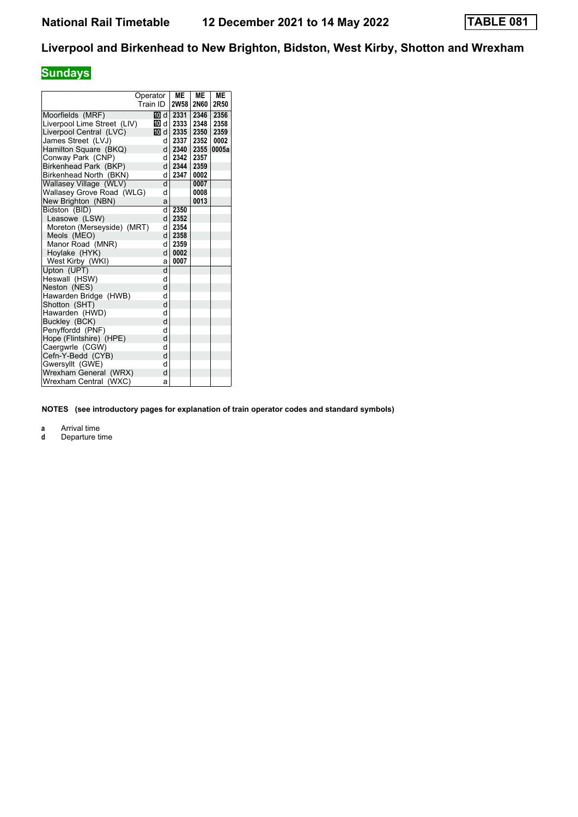# **Sundays**

|                             | Operator     | МE          | <b>ME</b>   | МE    |
|-----------------------------|--------------|-------------|-------------|-------|
|                             | Train ID     | <b>2W58</b> | <b>2N60</b> | 2R50  |
| Moorfields (MRF)            | 10 d         | 2331        | 2346        | 2356  |
| Liverpool Lime Street (LIV) | 10 dl        | 2333        | 2348        | 2358  |
| Liverpool Central (LVC)     | 10 d         | 2335        | 2350        | 2359  |
| James Street (LVJ)          | d l          | 2337        | 2352        | 0002  |
| Hamilton Square (BKQ)       | d l          | 2340        | 2355        | 0005a |
| Conway Park (CNP)           | d            | 2342        | 2357        |       |
| Birkenhead Park (BKP)       | d            | 2344        | 2359        |       |
| Birkenhead North (BKN)      | d            | 2347        | 0002        |       |
| Wallasey Village (WLV)      | d            |             | 0007        |       |
| Wallasey Grove Road (WLG)   | d            |             | 0008        |       |
| New Brighton (NBN)          | a            |             | 0013        |       |
| Bidston (BID)               | d            | 2350        |             |       |
| Leasowe (LSW)               | d            | 2352        |             |       |
| Moreton (Merseyside) (MRT)  | d            | 2354        |             |       |
| Meols (MEO)                 | $\mathsf{d}$ | 2358        |             |       |
| Manor Road (MNR)            | d            | 2359        |             |       |
| Hoylake (HYK)               | d            | 0002        |             |       |
| West Kirby (WKI)            | a            | 0007        |             |       |
| Upton (UPT)                 | d            |             |             |       |
| Heswall (HSW)               | d            |             |             |       |
| Neston (NES)                | d            |             |             |       |
| Hawarden Bridge (HWB)       | d            |             |             |       |
| Shotton (SHT)               | d            |             |             |       |
| Hawarden (HWD)              | d            |             |             |       |
| Buckley (BCK)               | d            |             |             |       |
| Penyffordd (PNF)            | d            |             |             |       |
| Hope (Flintshire) (HPE)     | d            |             |             |       |
| Caergwrle (CGW)             | d            |             |             |       |
| Cefn-Y-Bedd (CYB)           | d            |             |             |       |
| Gwersyllt (GWE)             | d            |             |             |       |
| Wrexham General (WRX)       | d            |             |             |       |
| Wrexham Central (WXC)       | a            |             |             |       |

**NOTES (see introductory pages for explanation of train operator codes and standard symbols)**

**a** Arrival time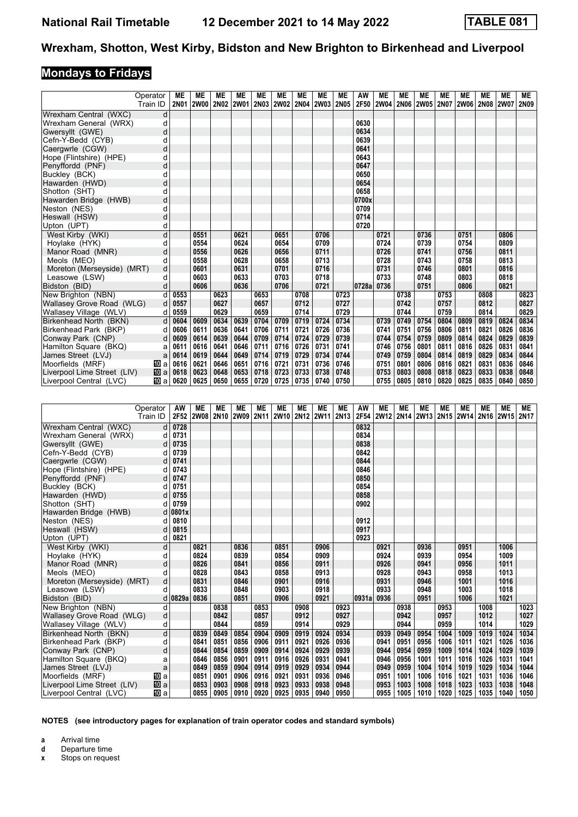## **Mondays to Fridays**

|                             | Operator   | МE   | ME        | МE   | МE          | <b>ME</b> | <b>ME</b> | <b>ME</b>   | ME   | <b>ME</b> | AW    | ME          | <b>ME</b> | <b>ME</b>   | <b>ME</b> | ME          | <b>ME</b>   | ME          | <b>ME</b> |
|-----------------------------|------------|------|-----------|------|-------------|-----------|-----------|-------------|------|-----------|-------|-------------|-----------|-------------|-----------|-------------|-------------|-------------|-----------|
|                             | Train ID   |      | 2N01 2W00 | 2N02 | <b>2W01</b> | 2N03      | 2W02      | <b>2N04</b> | 2W03 | 2N05      | 2F50  | <b>2W04</b> | 2N06      | <b>2W05</b> | 2N07      | <b>2W06</b> | <b>2N08</b> | <b>2W07</b> | 2N09      |
| Wrexham Central (WXC)       | d          |      |           |      |             |           |           |             |      |           |       |             |           |             |           |             |             |             |           |
| Wrexham General (WRX)       | d          |      |           |      |             |           |           |             |      |           | 0630  |             |           |             |           |             |             |             |           |
| Gwersyllt (GWE)             | d          |      |           |      |             |           |           |             |      |           | 0634  |             |           |             |           |             |             |             |           |
| Cefn-Y-Bedd (CYB)           | d          |      |           |      |             |           |           |             |      |           | 0639  |             |           |             |           |             |             |             |           |
| Caergwrle (CGW)             | d          |      |           |      |             |           |           |             |      |           | 0641  |             |           |             |           |             |             |             |           |
| Hope (Flintshire) (HPE)     | d          |      |           |      |             |           |           |             |      |           | 0643  |             |           |             |           |             |             |             |           |
| Penyffordd (PNF)            | O          |      |           |      |             |           |           |             |      |           | 0647  |             |           |             |           |             |             |             |           |
| Buckley (BCK)               | d          |      |           |      |             |           |           |             |      |           | 0650  |             |           |             |           |             |             |             |           |
| Hawarden (HWD)              | d          |      |           |      |             |           |           |             |      |           | 0654  |             |           |             |           |             |             |             |           |
| Shotton (SHT)               | d          |      |           |      |             |           |           |             |      |           | 0658  |             |           |             |           |             |             |             |           |
| Hawarden Bridge (HWB)       | d          |      |           |      |             |           |           |             |      |           | 0700x |             |           |             |           |             |             |             |           |
| Neston (NES)                | d          |      |           |      |             |           |           |             |      |           | 0709  |             |           |             |           |             |             |             |           |
| Heswall (HSW)               | d          |      |           |      |             |           |           |             |      |           | 0714  |             |           |             |           |             |             |             |           |
| Upton (UPT)                 | d          |      |           |      |             |           |           |             |      |           | 0720  |             |           |             |           |             |             |             |           |
| West Kirby (WKI)            | d          |      | 0551      |      | 0621        |           | 0651      |             | 0706 |           |       | 0721        |           | 0736        |           | 0751        |             | 0806        |           |
| Hoylake (HYK)               | d          |      | 0554      |      | 0624        |           | 0654      |             | 0709 |           |       | 0724        |           | 0739        |           | 0754        |             | 0809        |           |
| Manor Road (MNR)            | d          |      | 0556      |      | 0626        |           | 0656      |             | 0711 |           |       | 0726        |           | 0741        |           | 0756        |             | 0811        |           |
| Meols (MEO)                 | d          |      | 0558      |      | 0628        |           | 0658      |             | 0713 |           |       | 0728        |           | 0743        |           | 0758        |             | 0813        |           |
| Moreton (Merseyside) (MRT)  | d          |      | 0601      |      | 0631        |           | 0701      |             | 0716 |           |       | 0731        |           | 0746        |           | 0801        |             | 0816        |           |
| Leasowe (LSW)               | d          |      | 0603      |      | 0633        |           | 0703      |             | 0718 |           |       | 0733        |           | 0748        |           | 0803        |             | 0818        |           |
| Bidston (BID)               | d          |      | 0606      |      | 0636        |           | 0706      |             | 0721 |           | 0728a | 0736        |           | 0751        |           | 0806        |             | 0821        |           |
| New Brighton (NBN)          | d          | 0553 |           | 0623 |             | 0653      |           | 0708        |      | 0723      |       |             | 0738      |             | 0753      |             | 0808        |             | 0823      |
| Wallasey Grove Road (WLG)   | d          | 0557 |           | 0627 |             | 0657      |           | 0712        |      | 0727      |       |             | 0742      |             | 0757      |             | 0812        |             | 0827      |
| Wallasey Village (WLV)      | d          | 0559 |           | 0629 |             | 0659      |           | 0714        |      | 0729      |       |             | 0744      |             | 0759      |             | 0814        |             | 0829      |
| Birkenhead North (BKN)      | d          | 0604 | 0609      | 0634 | 0639        | 0704      | 0709      | 0719        | 0724 | 0734      |       | 0739        | 0749      | 0754        | 0804      | 0809        | 0819        | 0824        | 0834      |
| Birkenhead Park (BKP)       | d          | 0606 | 0611      | 0636 | 0641        | 0706      | 0711      | 0721        | 0726 | 0736      |       | 0741        | 0751      | 0756        | 0806      | 0811        | 0821        | 0826        | 0836      |
| Conway Park (CNP)           | d          | 0609 | 0614      | 0639 | 0644        | 0709      | 0714      | 0724        | 0729 | 0739      |       | 0744        | 0754      | 0759        | 0809      | 0814        | 0824        | 0829        | 0839      |
| Hamilton Square (BKQ)       | a          | 0611 | 0616      | 0641 | 0646        | 0711      | 0716      | 0726        | 0731 | 0741      |       | 0746        | 0756      | 0801        | 0811      | 0816        | 0826        | 0831        | 0841      |
| James Street (LVJ)          | a          | 0614 | 0619      | 0644 | 0649        | 0714      | 0719      | 0729        | 0734 | 0744      |       | 0749        | 0759      | 0804        | 0814      | 0819        | 0829        | 0834        | 0844      |
| Moorfields (MRF)            | <b>卫</b> a | 0616 | 0621      | 0646 | 0651        | 0716      | 0721      | 0731        | 0736 | 0746      |       | 0751        | 0801      | 0806        | 0816      | 0821        | 0831        | 0836        | 0846      |
| Liverpool Lime Street (LIV) | <b>個</b> a | 0618 | 0623      | 0648 | 0653        | 0718      | 0723      | 0733        | 0738 | 0748      |       | 0753        | 0803      | 0808        | 0818      | 0823        | 0833        | 0838        | 0848      |
| Liverpool Central (LVC)     | 吅 a        | 0620 | 0625      | 0650 | 0655        | 0720      | 0725      | 0735        | 0740 | 0750      |       | 0755        | 0805      | 0810        | 0820      | 0825        | 0835        | 0840        | 0850      |

|                             | Operator    | AW    | МE          | <b>ME</b> | <b>ME</b>   | ME   | <b>ME</b>   | ME               | <b>ME</b>   | МE   | AW    | <b>ME</b>   | <b>ME</b> | <b>ME</b>   | <b>ME</b> | <b>ME</b>   | <b>ME</b> | <b>ME</b>   | ME   |
|-----------------------------|-------------|-------|-------------|-----------|-------------|------|-------------|------------------|-------------|------|-------|-------------|-----------|-------------|-----------|-------------|-----------|-------------|------|
|                             | Train ID    | 2F52  | <b>2W08</b> | 2N10      | <b>2W09</b> | 2N11 | <b>2W10</b> | 2N <sub>12</sub> | <b>2W11</b> | 2N13 | 2F54  | <b>2W12</b> | 2N14      | <b>2W13</b> | 2N15      | <b>2W14</b> | 2N16      | <b>2W15</b> | 2N17 |
| Wrexham Central (WXC)       | d           | 0728  |             |           |             |      |             |                  |             |      | 0832  |             |           |             |           |             |           |             |      |
| Wrexham General (WRX)       | d           | 0731  |             |           |             |      |             |                  |             |      | 0834  |             |           |             |           |             |           |             |      |
| Gwersyllt (GWE)             | d           | 0735  |             |           |             |      |             |                  |             |      | 0838  |             |           |             |           |             |           |             |      |
| Cefn-Y-Bedd (CYB)           | d           | 0739  |             |           |             |      |             |                  |             |      | 0842  |             |           |             |           |             |           |             |      |
| Caergwrle (CGW)             | d           | 0741  |             |           |             |      |             |                  |             |      | 0844  |             |           |             |           |             |           |             |      |
| Hope (Flintshire) (HPE)     | d           | 0743  |             |           |             |      |             |                  |             |      | 0846  |             |           |             |           |             |           |             |      |
| Penyffordd (PNF)            | d           | 0747  |             |           |             |      |             |                  |             |      | 0850  |             |           |             |           |             |           |             |      |
| Buckley (BCK)               | C           | 0751  |             |           |             |      |             |                  |             |      | 0854  |             |           |             |           |             |           |             |      |
| Hawarden (HWD)              | d           | 0755  |             |           |             |      |             |                  |             |      | 0858  |             |           |             |           |             |           |             |      |
| Shotton (SHT)               | C           | 0759  |             |           |             |      |             |                  |             |      | 0902  |             |           |             |           |             |           |             |      |
| Hawarden Bridge (HWB)       | d           | 0801x |             |           |             |      |             |                  |             |      |       |             |           |             |           |             |           |             |      |
| Neston (NES)                | d           | 0810  |             |           |             |      |             |                  |             |      | 0912  |             |           |             |           |             |           |             |      |
| Heswall (HSW)               | d           | 0815  |             |           |             |      |             |                  |             |      | 0917  |             |           |             |           |             |           |             |      |
| Upton (UPT)                 | d           | 0821  |             |           |             |      |             |                  |             |      | 0923  |             |           |             |           |             |           |             |      |
| West Kirby (WKI)            | d           |       | 0821        |           | 0836        |      | 0851        |                  | 0906        |      |       | 0921        |           | 0936        |           | 0951        |           | 1006        |      |
| Hoylake (HYK)               | d           |       | 0824        |           | 0839        |      | 0854        |                  | 0909        |      |       | 0924        |           | 0939        |           | 0954        |           | 1009        |      |
| Manor Road (MNR)            | d           |       | 0826        |           | 0841        |      | 0856        |                  | 0911        |      |       | 0926        |           | 0941        |           | 0956        |           | 1011        |      |
| Meols (MEO)                 | d           |       | 0828        |           | 0843        |      | 0858        |                  | 0913        |      |       | 0928        |           | 0943        |           | 0958        |           | 1013        |      |
| Moreton (Merseyside) (MRT)  | d           |       | 0831        |           | 0846        |      | 0901        |                  | 0916        |      |       | 0931        |           | 0946        |           | 1001        |           | 1016        |      |
| Leasowe (LSW)               | d           |       | 0833        |           | 0848        |      | 0903        |                  | 0918        |      |       | 0933        |           | 0948        |           | 1003        |           | 1018        |      |
| Bidston (BID)               | d           | 0829a | 0836        |           | 0851        |      | 0906        |                  | 0921        |      | 0931a | 0936        |           | 0951        |           | 1006        |           | 1021        |      |
| New Brighton (NBN)          | d           |       |             | 0838      |             | 0853 |             | 0908             |             | 0923 |       |             | 0938      |             | 0953      |             | 1008      |             | 1023 |
| Wallasey Grove Road (WLG)   | d           |       |             | 0842      |             | 0857 |             | 0912             |             | 0927 |       |             | 0942      |             | 0957      |             | 1012      |             | 1027 |
| Wallasey Village (WLV)      | d           |       |             | 0844      |             | 0859 |             | 0914             |             | 0929 |       |             | 0944      |             | 0959      |             | 1014      |             | 1029 |
| Birkenhead North (BKN)      | d           |       | 0839        | 0849      | 0854        | 0904 | 0909        | 0919             | 0924        | 0934 |       | 0939        | 0949      | 0954        | 1004      | 1009        | 1019      | 1024        | 1034 |
| Birkenhead Park (BKP)       | d           |       | 0841        | 0851      | 0856        | 0906 | 0911        | 0921             | 0926        | 0936 |       | 0941        | 0951      | 0956        | 1006      | 1011        | 1021      | 1026        | 1036 |
| Conway Park (CNP)           | d           |       | 0844        | 0854      | 0859        | 0909 | 0914        | 0924             | 0929        | 0939 |       | 0944        | 0954      | 0959        | 1009      | 1014        | 1024      | 1029        | 1039 |
| Hamilton Square (BKQ)       | a           |       | 0846        | 0856      | 0901        | 0911 | 0916        | 0926             | 0931        | 0941 |       | 0946        | 0956      | 1001        | 1011      | 1016        | 1026      | 1031        | 1041 |
| James Street (LVJ)          | a           |       | 0849        | 0859      | 0904        | 0914 | 0919        | 0929             | 0934        | 0944 |       | 0949        | 0959      | 1004        | 1014      | 1019        | 1029      | 1034        | 1044 |
| Moorfields (MRF)            | [[] a       |       | 0851        | 0901      | 0906        | 0916 | 0921        | 0931             | 0936        | 0946 |       | 0951        | 1001      | 1006        | 1016      | 1021        | 1031      | 1036        | 1046 |
| Liverpool Lime Street (LIV) | <b>ID</b> a |       | 0853        | 0903      | 0908        | 0918 | 0923        | 0933             | 0938        | 0948 |       | 0953        | 1003      | 1008        | 1018      | 1023        | 1033      | 1038        | 1048 |
| Liverpool Central (LVC)     | 吅 a         |       | 0855        | 0905      | 0910        | 0920 | 0925        | 0935             | 0940        | 0950 |       | 0955        | 1005      | 1010        | 1020      | 1025        | 1035      | 1040        | 1050 |

**NOTES (see introductory pages for explanation of train operator codes and standard symbols)**

**a** Arrival time<br>**d** Departure t

**d** Departure time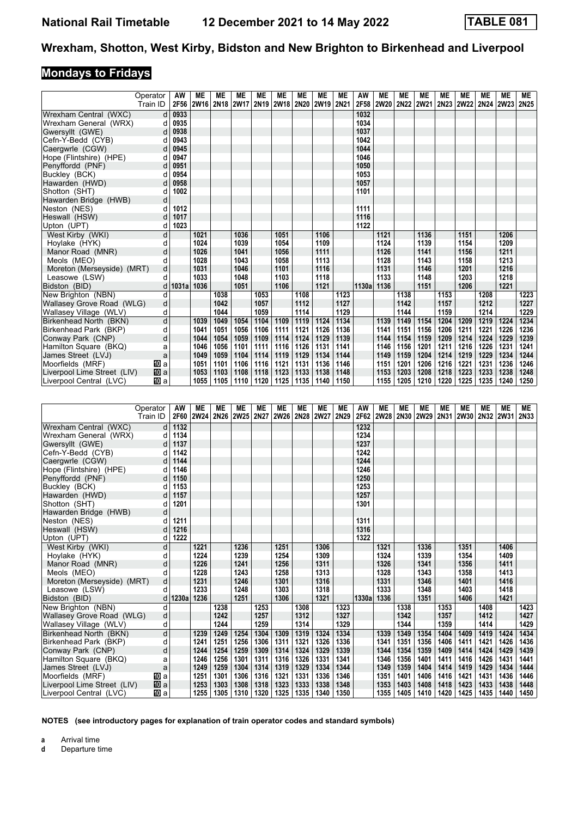## **Mondays to Fridays**

|                                                | Operator<br>Train ID | AW<br>2F56 | МE<br><b>2W16</b> | <b>ME</b><br>2N18 | <b>ME</b><br><b>2W17</b> | <b>ME</b><br>2N <sub>19</sub> | <b>ME</b><br>2W18 | <b>ME</b><br>2N20 | <b>ME</b><br>2W19 | <b>ME</b><br>2N21 | AW<br>2F58 | <b>ME</b><br><b>2W20</b> | <b>ME</b><br>2N22 | <b>ME</b><br><b>2W21</b> | МE<br>2N23 | ME<br><b>2W22</b> | МE<br>2N24 | <b>ME</b><br><b>2W23</b> | ME<br>2N25 |
|------------------------------------------------|----------------------|------------|-------------------|-------------------|--------------------------|-------------------------------|-------------------|-------------------|-------------------|-------------------|------------|--------------------------|-------------------|--------------------------|------------|-------------------|------------|--------------------------|------------|
|                                                |                      | 0933       |                   |                   |                          |                               |                   |                   |                   |                   | 1032       |                          |                   |                          |            |                   |            |                          |            |
| Wrexham Central (WXC)<br>Wrexham General (WRX) | d<br>d               | 0935       |                   |                   |                          |                               |                   |                   |                   |                   | 1034       |                          |                   |                          |            |                   |            |                          |            |
| Gwersyllt (GWE)                                | d                    | 0938       |                   |                   |                          |                               |                   |                   |                   |                   | 1037       |                          |                   |                          |            |                   |            |                          |            |
| Cefn-Y-Bedd (CYB)                              | d                    | 0943       |                   |                   |                          |                               |                   |                   |                   |                   | 1042       |                          |                   |                          |            |                   |            |                          |            |
| Caergwrle (CGW)                                | d                    | 0945       |                   |                   |                          |                               |                   |                   |                   |                   | 1044       |                          |                   |                          |            |                   |            |                          |            |
| Hope (Flintshire) (HPE)                        | d                    | 0947       |                   |                   |                          |                               |                   |                   |                   |                   | 1046       |                          |                   |                          |            |                   |            |                          |            |
| Penyffordd (PNF)                               | d                    | 0951       |                   |                   |                          |                               |                   |                   |                   |                   | 1050       |                          |                   |                          |            |                   |            |                          |            |
| Buckley (BCK)                                  | d                    | 0954       |                   |                   |                          |                               |                   |                   |                   |                   | 1053       |                          |                   |                          |            |                   |            |                          |            |
| Hawarden (HWD)                                 | d                    | 0958       |                   |                   |                          |                               |                   |                   |                   |                   | 1057       |                          |                   |                          |            |                   |            |                          |            |
| Shotton (SHT)                                  | d                    | 1002       |                   |                   |                          |                               |                   |                   |                   |                   | 1101       |                          |                   |                          |            |                   |            |                          |            |
| Hawarden Bridge (HWB)                          | d                    |            |                   |                   |                          |                               |                   |                   |                   |                   |            |                          |                   |                          |            |                   |            |                          |            |
| Neston (NES)                                   | d                    | 1012       |                   |                   |                          |                               |                   |                   |                   |                   | 1111       |                          |                   |                          |            |                   |            |                          |            |
| Heswall (HSW)                                  | d                    | 1017       |                   |                   |                          |                               |                   |                   |                   |                   | 1116       |                          |                   |                          |            |                   |            |                          |            |
| Upton (UPT)                                    | d                    | 1023       |                   |                   |                          |                               |                   |                   |                   |                   | 1122       |                          |                   |                          |            |                   |            |                          |            |
| West Kirby (WKI)                               | d                    |            | 1021              |                   | 1036                     |                               | 1051              |                   | 1106              |                   |            | 1121                     |                   | 1136                     |            | 1151              |            | 1206                     |            |
| Hoylake (HYK)                                  | d                    |            | 1024              |                   | 1039                     |                               | 1054              |                   | 1109              |                   |            | 1124                     |                   | 1139                     |            | 1154              |            | 1209                     |            |
| Manor Road (MNR)                               | d                    |            | 1026              |                   | 1041                     |                               | 1056              |                   | 1111              |                   |            | 1126                     |                   | 1141                     |            | 1156              |            | 1211                     |            |
| Meols (MEO)                                    | d                    |            | 1028              |                   | 1043                     |                               | 1058              |                   | 1113              |                   |            | 1128                     |                   | 1143                     |            | 1158              |            | 1213                     |            |
| Moreton (Merseyside) (MRT)                     | d                    |            | 1031              |                   | 1046                     |                               | 1101              |                   | 1116              |                   |            | 1131                     |                   | 1146                     |            | 1201              |            | 1216                     |            |
| Leasowe (LSW)                                  | d                    |            | 1033              |                   | 1048                     |                               | 1103              |                   | 1118              |                   |            | 1133                     |                   | 1148                     |            | 1203              |            | 1218                     |            |
| Bidston (BID)                                  | d                    | 1031a      | 1036              |                   | 1051                     |                               | 1106              |                   | 1121              |                   | 1130a      | 1136                     |                   | 1151                     |            | 1206              |            | 1221                     |            |
| New Brighton (NBN)                             | d                    |            |                   | 1038              |                          | 1053                          |                   | 1108              |                   | 1123              |            |                          | 1138              |                          | 1153       |                   | 1208       |                          | 1223       |
| Wallasey Grove Road (WLG)                      | d                    |            |                   | 1042              |                          | 1057                          |                   | 1112              |                   | 1127              |            |                          | 1142              |                          | 1157       |                   | 1212       |                          | 1227       |
| Wallasey Village (WLV)                         | d                    |            |                   | 1044              |                          | 1059                          |                   | 1114              |                   | 1129              |            |                          | 1144              |                          | 1159       |                   | 1214       |                          | 1229       |
| Birkenhead North (BKN)                         | d                    |            | 1039              | 1049              | 1054                     | 1104                          | 1109              | 1119              | 1124              | 1134              |            | 1139                     | 1149              | 1154                     | 1204       | 1209              | 1219       | 1224                     | 1234       |
| Birkenhead Park (BKP)                          | d                    |            | 1041              | 1051              | 1056                     | 1106                          | 1111              | 1121              | 1126              | 1136              |            | 1141                     | 1151              | 1156                     | 1206       | 1211              | 1221       | 1226                     | 1236       |
| Conway Park (CNP)                              | d                    |            | 1044              | 1054              | 1059                     | 1109                          | 1114              | 1124              | 1129              | 1139              |            | 1144                     | 1154              | 1159                     | 1209       | 1214              | 1224       | 1229                     | 1239       |
| Hamilton Square (BKQ)                          | a                    |            | 1046              | 1056              | 1101                     | 1111                          | 1116              | 1126              | 1131              | 1141              |            | 1146                     | 1156              | 1201                     | 1211       | 1216              | 1226       | 1231                     | 1241       |
| James Street (LVJ)                             | a                    |            | 1049              | 1059              | 1104                     | 1114                          | 1119              | 1129              | 1134              | 1144              |            | 1149                     | 1159              | 1204                     | 1214       | 1219              | 1229       | 1234                     | 1244       |
| Moorfields (MRF)                               | III a                |            | 1051              | 1101              | 1106                     | 1116                          | 1121              | 1131              | 1136              | 1146              |            | 1151                     | 1201              | 1206                     | 1216       | 1221              | 1231       | 1236                     | 1246       |
| Liverpool Lime Street (LIV)                    | <b>ID</b> a          |            | 1053              | 1103              | 1108                     | 1118                          | 1123              | 1133              | 1138              | 1148              |            | 1153                     | 1203              | 1208                     | 1218       | 1223              | 1233       | 1238                     | 1248       |
| Liverpool Central (LVC)                        | III a                |            | 1055              | 1105              | 1110                     | 1120                          | 1125              | 1135              | 1140              | 1150              |            | 1155                     | 1205              | 1210                     | 1220       | 1225              | 1235       | 1240                     | 1250       |

|                             | Operator    | AW    | <b>ME</b> | <b>ME</b>   | <b>ME</b>   | ME   | <b>ME</b>   | <b>ME</b> | <b>ME</b>   | <b>ME</b> | AW    | <b>ME</b> | <b>ME</b> | <b>ME</b>   | <b>ME</b> | <b>ME</b>   | <b>ME</b>   | <b>ME</b>   | <b>ME</b> |
|-----------------------------|-------------|-------|-----------|-------------|-------------|------|-------------|-----------|-------------|-----------|-------|-----------|-----------|-------------|-----------|-------------|-------------|-------------|-----------|
|                             | Train ID    |       | 2F60 2W24 | <b>2N26</b> | <b>2W25</b> | 2N27 | <b>2W26</b> | 2N28      | <b>2W27</b> | 2N29      | 2F62  | 2W28      | 2N30      | <b>2W29</b> | 2N31      | <b>2W30</b> | <b>2N32</b> | <b>2W31</b> | 2N33      |
| Wrexham Central (WXC)       | d           | 1132  |           |             |             |      |             |           |             |           | 1232  |           |           |             |           |             |             |             |           |
| Wrexham General (WRX)       | d           | 1134  |           |             |             |      |             |           |             |           | 1234  |           |           |             |           |             |             |             |           |
| Gwersyllt (GWE)             | d           | 1137  |           |             |             |      |             |           |             |           | 1237  |           |           |             |           |             |             |             |           |
| Cefn-Y-Bedd (CYB)           | d           | 1142  |           |             |             |      |             |           |             |           | 1242  |           |           |             |           |             |             |             |           |
| Caergwrle (CGW)             | d           | 1144  |           |             |             |      |             |           |             |           | 1244  |           |           |             |           |             |             |             |           |
| Hope (Flintshire) (HPE)     | d           | 1146  |           |             |             |      |             |           |             |           | 1246  |           |           |             |           |             |             |             |           |
| Penyffordd (PNF)            | d           | 1150  |           |             |             |      |             |           |             |           | 1250  |           |           |             |           |             |             |             |           |
| Buckley (BCK)               | d           | 1153  |           |             |             |      |             |           |             |           | 1253  |           |           |             |           |             |             |             |           |
| Hawarden (HWD)              | d           | 1157  |           |             |             |      |             |           |             |           | 1257  |           |           |             |           |             |             |             |           |
| Shotton (SHT)               | d           | 1201  |           |             |             |      |             |           |             |           | 1301  |           |           |             |           |             |             |             |           |
| Hawarden Bridge (HWB)       | d           |       |           |             |             |      |             |           |             |           |       |           |           |             |           |             |             |             |           |
| Neston (NES)                | d           | 1211  |           |             |             |      |             |           |             |           | 1311  |           |           |             |           |             |             |             |           |
| Heswall (HSW)               | d           | 1216  |           |             |             |      |             |           |             |           | 1316  |           |           |             |           |             |             |             |           |
| Upton (UPT)                 | d           | 1222  |           |             |             |      |             |           |             |           | 1322  |           |           |             |           |             |             |             |           |
| West Kirby (WKI)            | d           |       | 1221      |             | 1236        |      | 1251        |           | 1306        |           |       | 1321      |           | 1336        |           | 1351        |             | 1406        |           |
| Hoylake (HYK)               | d           |       | 1224      |             | 1239        |      | 1254        |           | 1309        |           |       | 1324      |           | 1339        |           | 1354        |             | 1409        |           |
| Manor Road (MNR)            | d           |       | 1226      |             | 1241        |      | 1256        |           | 1311        |           |       | 1326      |           | 1341        |           | 1356        |             | 1411        |           |
| Meols (MEO)                 | d           |       | 1228      |             | 1243        |      | 1258        |           | 1313        |           |       | 1328      |           | 1343        |           | 1358        |             | 1413        |           |
| Moreton (Merseyside) (MRT)  | d           |       | 1231      |             | 1246        |      | 1301        |           | 1316        |           |       | 1331      |           | 1346        |           | 1401        |             | 1416        |           |
| Leasowe (LSW)               | d           |       | 1233      |             | 1248        |      | 1303        |           | 1318        |           |       | 1333      |           | 1348        |           | 1403        |             | 1418        |           |
| Bidston (BID)               | d           | 1230a | 1236      |             | 1251        |      | 1306        |           | 1321        |           | 1330a | 1336      |           | 1351        |           | 1406        |             | 1421        |           |
| New Brighton (NBN)          | d           |       |           | 1238        |             | 1253 |             | 1308      |             | 1323      |       |           | 1338      |             | 1353      |             | 1408        |             | 1423      |
| Wallasey Grove Road (WLG)   | d           |       |           | 1242        |             | 1257 |             | 1312      |             | 1327      |       |           | 1342      |             | 1357      |             | 1412        |             | 1427      |
| Wallasey Village (WLV)      | d           |       |           | 1244        |             | 1259 |             | 1314      |             | 1329      |       |           | 1344      |             | 1359      |             | 1414        |             | 1429      |
| Birkenhead North (BKN)      | d           |       | 1239      | 1249        | 1254        | 1304 | 1309        | 1319      | 1324        | 1334      |       | 1339      | 1349      | 1354        | 1404      | 1409        | 1419        | 1424        | 1434      |
| Birkenhead Park (BKP)       | d           |       | 1241      | 1251        | 1256        | 1306 | 1311        | 1321      | 1326        | 1336      |       | 1341      | 1351      | 1356        | 1406      | 1411        | 1421        | 1426        | 1436      |
| Conway Park (CNP)           | d           |       | 1244      | 1254        | 1259        | 1309 | 1314        | 1324      | 1329        | 1339      |       | 1344      | 1354      | 1359        | 1409      | 1414        | 1424        | 1429        | 1439      |
| Hamilton Square (BKQ)       | a           |       | 1246      | 1256        | 1301        | 1311 | 1316        | 1326      | 1331        | 1341      |       | 1346      | 1356      | 1401        | 1411      | 1416        | 1426        | 1431        | 1441      |
| James Street (LVJ)          | a           |       | 1249      | 1259        | 1304        | 1314 | 1319        | 1329      | 1334        | 1344      |       | 1349      | 1359      | 1404        | 1414      | 1419        | 1429        | 1434        | 1444      |
| Moorfields (MRF)            | [[] a       |       | 1251      | 1301        | 1306        | 1316 | 1321        | 1331      | 1336        | 1346      |       | 1351      | 1401      | 1406        | 1416      | 1421        | 1431        | 1436        | 1446      |
| Liverpool Lime Street (LIV) | <b>ID</b> a |       | 1253      | 1303        | 1308        | 1318 | 1323        | 1333      | 1338        | 1348      |       | 1353      | 1403      | 1408        | 1418      | 1423        | 1433        | 1438        | 1448      |
| Liverpool Central (LVC)     | TO a        |       | 1255      | 1305        | 1310        | 1320 | 1325        | 1335      | 1340        | 1350      |       | 1355      | 1405      | 1410        | 1420      | 1425        | 1435        | 1440        | 1450      |

**NOTES (see introductory pages for explanation of train operator codes and standard symbols)**

**a** Arrival time<br>**d** Departure t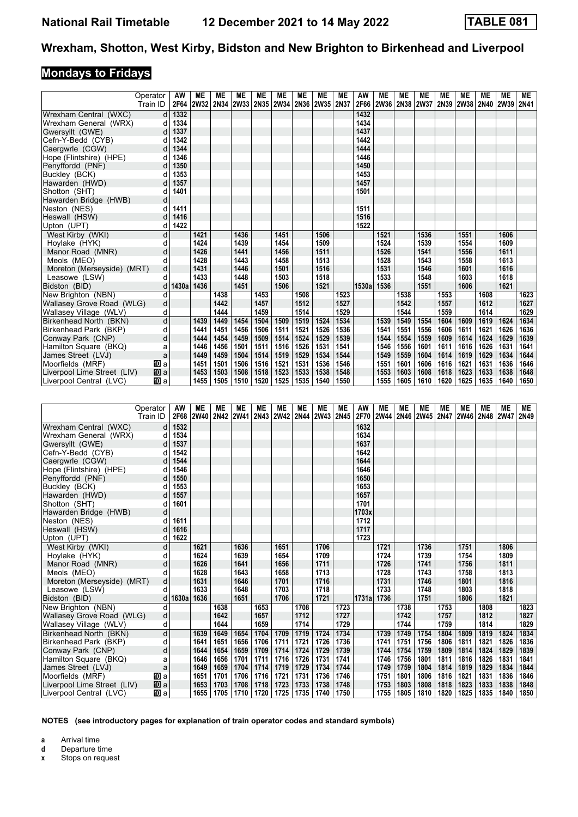## **Mondays to Fridays**

|                             | Operator    | AW    | МE          | <b>ME</b> | ME          | <b>ME</b> | <b>ME</b> | <b>ME</b>   | ME          | <b>ME</b> | AW    | <b>ME</b>   | МE   | <b>ME</b> | МE   | <b>ME</b>   | МE   | <b>ME</b> | ME   |
|-----------------------------|-------------|-------|-------------|-----------|-------------|-----------|-----------|-------------|-------------|-----------|-------|-------------|------|-----------|------|-------------|------|-----------|------|
|                             | Train ID    | 2F64  | <b>2W32</b> | 2N34      | <b>2W33</b> | 2N35      | 2W34      | <b>2N36</b> | <b>2W35</b> | 2N37      | 2F66  | <b>2W36</b> | 2N38 | 2W37      | 2N39 | <b>2W38</b> | 2N40 | 2W39      | 2N41 |
| Wrexham Central (WXC)       | d           | 1332  |             |           |             |           |           |             |             |           | 1432  |             |      |           |      |             |      |           |      |
| Wrexham General (WRX)       | d           | 1334  |             |           |             |           |           |             |             |           | 1434  |             |      |           |      |             |      |           |      |
| Gwersyllt (GWE)             | d           | 1337  |             |           |             |           |           |             |             |           | 1437  |             |      |           |      |             |      |           |      |
| Cefn-Y-Bedd (CYB)           | d           | 1342  |             |           |             |           |           |             |             |           | 1442  |             |      |           |      |             |      |           |      |
| Caergwrle (CGW)             | d           | 1344  |             |           |             |           |           |             |             |           | 1444  |             |      |           |      |             |      |           |      |
| Hope (Flintshire) (HPE)     | d           | 1346  |             |           |             |           |           |             |             |           | 1446  |             |      |           |      |             |      |           |      |
| Penyffordd (PNF)            | d           | 1350  |             |           |             |           |           |             |             |           | 1450  |             |      |           |      |             |      |           |      |
| Buckley (BCK)               | d           | 1353  |             |           |             |           |           |             |             |           | 1453  |             |      |           |      |             |      |           |      |
| Hawarden (HWD)              | d           | 1357  |             |           |             |           |           |             |             |           | 1457  |             |      |           |      |             |      |           |      |
| Shotton (SHT)               | d           | 1401  |             |           |             |           |           |             |             |           | 1501  |             |      |           |      |             |      |           |      |
| Hawarden Bridge (HWB)       | d           |       |             |           |             |           |           |             |             |           |       |             |      |           |      |             |      |           |      |
| Neston (NES)                | d           | 1411  |             |           |             |           |           |             |             |           | 1511  |             |      |           |      |             |      |           |      |
| Heswall (HSW)               | d           | 1416  |             |           |             |           |           |             |             |           | 1516  |             |      |           |      |             |      |           |      |
| Upton (UPT)                 | d           | 1422  |             |           |             |           |           |             |             |           | 1522  |             |      |           |      |             |      |           |      |
| West Kirby (WKI)            | d           |       | 1421        |           | 1436        |           | 1451      |             | 1506        |           |       | 1521        |      | 1536      |      | 1551        |      | 1606      |      |
| Hoylake (HYK)               | d           |       | 1424        |           | 1439        |           | 1454      |             | 1509        |           |       | 1524        |      | 1539      |      | 1554        |      | 1609      |      |
| Manor Road (MNR)            | d           |       | 1426        |           | 1441        |           | 1456      |             | 1511        |           |       | 1526        |      | 1541      |      | 1556        |      | 1611      |      |
| Meols (MEO)                 | d           |       | 1428        |           | 1443        |           | 1458      |             | 1513        |           |       | 1528        |      | 1543      |      | 1558        |      | 1613      |      |
| Moreton (Merseyside) (MRT)  | d           |       | 1431        |           | 1446        |           | 1501      |             | 1516        |           |       | 1531        |      | 1546      |      | 1601        |      | 1616      |      |
| Leasowe (LSW)               | d           |       | 1433        |           | 1448        |           | 1503      |             | 1518        |           |       | 1533        |      | 1548      |      | 1603        |      | 1618      |      |
| Bidston (BID)               | d           | 1430a | 1436        |           | 1451        |           | 1506      |             | 1521        |           | 1530a | 1536        |      | 1551      |      | 1606        |      | 1621      |      |
| New Brighton (NBN)          | d           |       |             | 1438      |             | 1453      |           | 1508        |             | 1523      |       |             | 1538 |           | 1553 |             | 1608 |           | 1623 |
| Wallasey Grove Road (WLG)   | d           |       |             | 1442      |             | 1457      |           | 1512        |             | 1527      |       |             | 1542 |           | 1557 |             | 1612 |           | 1627 |
| Wallasey Village (WLV)      | d           |       |             | 1444      |             | 1459      |           | 1514        |             | 1529      |       |             | 1544 |           | 1559 |             | 1614 |           | 1629 |
| Birkenhead North (BKN)      | d           |       | 1439        | 1449      | 1454        | 1504      | 1509      | 1519        | 1524        | 1534      |       | 1539        | 1549 | 1554      | 1604 | 1609        | 1619 | 1624      | 1634 |
| Birkenhead Park (BKP)       | d           |       | 1441        | 1451      | 1456        | 1506      | 1511      | 1521        | 1526        | 1536      |       | 1541        | 1551 | 1556      | 1606 | 1611        | 1621 | 1626      | 1636 |
| Conway Park (CNP)           | d           |       | 1444        | 1454      | 1459        | 1509      | 1514      | 1524        | 1529        | 1539      |       | 1544        | 1554 | 1559      | 1609 | 1614        | 1624 | 1629      | 1639 |
| Hamilton Square (BKQ)       | а           |       | 1446        | 1456      | 1501        | 1511      | 1516      | 1526        | 1531        | 1541      |       | 1546        | 1556 | 1601      | 1611 | 1616        | 1626 | 1631      | 1641 |
| James Street (LVJ)          | a           |       | 1449        | 1459      | 1504        | 1514      | 1519      | 1529        | 1534        | 1544      |       | 1549        | 1559 | 1604      | 1614 | 1619        | 1629 | 1634      | 1644 |
| Moorfields (MRF)            | III a       |       | 1451        | 1501      | 1506        | 1516      | 1521      | 1531        | 1536        | 1546      |       | 1551        | 1601 | 1606      | 1616 | 1621        | 1631 | 1636      | 1646 |
| Liverpool Lime Street (LIV) | <b>ID</b> a |       | 1453        | 1503      | 1508        | 1518      | 1523      | 1533        | 1538        | 1548      |       | 1553        | 1603 | 1608      | 1618 | 1623        | 1633 | 1638      | 1648 |
| Liverpool Central (LVC)     | III a       |       | 1455        | 1505      | 1510        | 1520      | 1525      | 1535        | 1540        | 1550      |       | 1555        | 1605 | 1610      | 1620 | 1625        | 1635 | 1640      | 1650 |

|                             | Operator    | AW    | МE          | <b>ME</b> | <b>ME</b>   | ME   | <b>ME</b>   | ME   | <b>ME</b>   | МE   | AW    | <b>ME</b>   | <b>ME</b> | <b>ME</b>   | <b>ME</b> | <b>ME</b>   | <b>ME</b> | <b>ME</b>   | МE   |
|-----------------------------|-------------|-------|-------------|-----------|-------------|------|-------------|------|-------------|------|-------|-------------|-----------|-------------|-----------|-------------|-----------|-------------|------|
|                             | Train ID    | 2F68  | <b>2W40</b> | 2N42      | <b>2W41</b> | 2N43 | <b>2W42</b> | 2N44 | <b>2W43</b> | 2N45 | 2F70  | <b>2W44</b> | 2N46      | <b>2W45</b> | 2N47      | <b>2W46</b> | 2N48      | <b>2W47</b> | 2N49 |
| Wrexham Central (WXC)       | d           | 1532  |             |           |             |      |             |      |             |      | 1632  |             |           |             |           |             |           |             |      |
| Wrexham General (WRX)       | d           | 1534  |             |           |             |      |             |      |             |      | 1634  |             |           |             |           |             |           |             |      |
| Gwersyllt (GWE)             | d           | 1537  |             |           |             |      |             |      |             |      | 1637  |             |           |             |           |             |           |             |      |
| Cefn-Y-Bedd (CYB)           | d           | 1542  |             |           |             |      |             |      |             |      | 1642  |             |           |             |           |             |           |             |      |
| Caergwrle (CGW)             | d           | 1544  |             |           |             |      |             |      |             |      | 1644  |             |           |             |           |             |           |             |      |
| Hope (Flintshire) (HPE)     | d           | 1546  |             |           |             |      |             |      |             |      | 1646  |             |           |             |           |             |           |             |      |
| Penyffordd (PNF)            | d           | 1550  |             |           |             |      |             |      |             |      | 1650  |             |           |             |           |             |           |             |      |
| Buckley (BCK)               | d           | 1553  |             |           |             |      |             |      |             |      | 1653  |             |           |             |           |             |           |             |      |
| Hawarden (HWD)              | d           | 1557  |             |           |             |      |             |      |             |      | 1657  |             |           |             |           |             |           |             |      |
| Shotton (SHT)               | d           | 1601  |             |           |             |      |             |      |             |      | 1701  |             |           |             |           |             |           |             |      |
| Hawarden Bridge (HWB)       | d           |       |             |           |             |      |             |      |             |      | 1703x |             |           |             |           |             |           |             |      |
| Neston (NES)                | d           | 1611  |             |           |             |      |             |      |             |      | 1712  |             |           |             |           |             |           |             |      |
| Heswall (HSW)               | d           | 1616  |             |           |             |      |             |      |             |      | 1717  |             |           |             |           |             |           |             |      |
| Upton (UPT)                 | d           | 1622  |             |           |             |      |             |      |             |      | 1723  |             |           |             |           |             |           |             |      |
| West Kirby (WKI)            | d           |       | 1621        |           | 1636        |      | 1651        |      | 1706        |      |       | 1721        |           | 1736        |           | 1751        |           | 1806        |      |
| Hoylake (HYK)               | d           |       | 1624        |           | 1639        |      | 1654        |      | 1709        |      |       | 1724        |           | 1739        |           | 1754        |           | 1809        |      |
| Manor Road (MNR)            | d           |       | 1626        |           | 1641        |      | 1656        |      | 1711        |      |       | 1726        |           | 1741        |           | 1756        |           | 1811        |      |
| Meols (MEO)                 | d           |       | 1628        |           | 1643        |      | 1658        |      | 1713        |      |       | 1728        |           | 1743        |           | 1758        |           | 1813        |      |
| Moreton (Merseyside) (MRT)  | d           |       | 1631        |           | 1646        |      | 1701        |      | 1716        |      |       | 1731        |           | 1746        |           | 1801        |           | 1816        |      |
| Leasowe (LSW)               | d           |       | 1633        |           | 1648        |      | 1703        |      | 1718        |      |       | 1733        |           | 1748        |           | 1803        |           | 1818        |      |
| Bidston (BID)               | d           | 1630a | 1636        |           | 1651        |      | 1706        |      | 1721        |      | 1731a | 1736        |           | 1751        |           | 1806        |           | 1821        |      |
| New Brighton (NBN)          | d           |       |             | 1638      |             | 1653 |             | 1708 |             | 1723 |       |             | 1738      |             | 1753      |             | 1808      |             | 1823 |
| Wallasey Grove Road (WLG)   | d           |       |             | 1642      |             | 1657 |             | 1712 |             | 1727 |       |             | 1742      |             | 1757      |             | 1812      |             | 1827 |
| Wallasey Village (WLV)      | d           |       |             | 1644      |             | 1659 |             | 1714 |             | 1729 |       |             | 1744      |             | 1759      |             | 1814      |             | 1829 |
| Birkenhead North (BKN)      | d           |       | 1639        | 1649      | 1654        | 1704 | 1709        | 1719 | 1724        | 1734 |       | 1739        | 1749      | 1754        | 1804      | 1809        | 1819      | 1824        | 1834 |
| Birkenhead Park (BKP)       | d           |       | 1641        | 1651      | 1656        | 1706 | 1711        | 1721 | 1726        | 1736 |       | 1741        | 1751      | 1756        | 1806      | 1811        | 1821      | 1826        | 1836 |
| Conway Park (CNP)           | d           |       | 1644        | 1654      | 1659        | 1709 | 1714        | 1724 | 1729        | 1739 |       | 1744        | 1754      | 1759        | 1809      | 1814        | 1824      | 1829        | 1839 |
| Hamilton Square (BKQ)       | a           |       | 1646        | 1656      | 1701        | 1711 | 1716        | 1726 | 1731        | 1741 |       | 1746        | 1756      | 1801        | 1811      | 1816        | 1826      | 1831        | 1841 |
| James Street (LVJ)          | a           |       | 1649        | 1659      | 1704        | 1714 | 1719        | 1729 | 1734        | 1744 |       | 1749        | 1759      | 1804        | 1814      | 1819        | 1829      | 1834        | 1844 |
| Moorfields (MRF)            | [[] a       |       | 1651        | 1701      | 1706        | 1716 | 1721        | 1731 | 1736        | 1746 |       | 1751        | 1801      | 1806        | 1816      | 1821        | 1831      | 1836        | 1846 |
| Liverpool Lime Street (LIV) | <b>ID</b> a |       | 1653        | 1703      | 1708        | 1718 | 1723        | 1733 | 1738        | 1748 |       | 1753        | 1803      | 1808        | 1818      | 1823        | 1833      | 1838        | 1848 |
| Liverpool Central (LVC)     | <b>ID</b> a |       | 1655        | 1705      | 1710        | 1720 | 1725        | 1735 | 1740        | 1750 |       | 1755        | 1805      | 1810        | 1820      | 1825        | 1835      | 1840        | 1850 |

**NOTES (see introductory pages for explanation of train operator codes and standard symbols)**

**a** Arrival time<br>**d** Departure t

**d** Departure time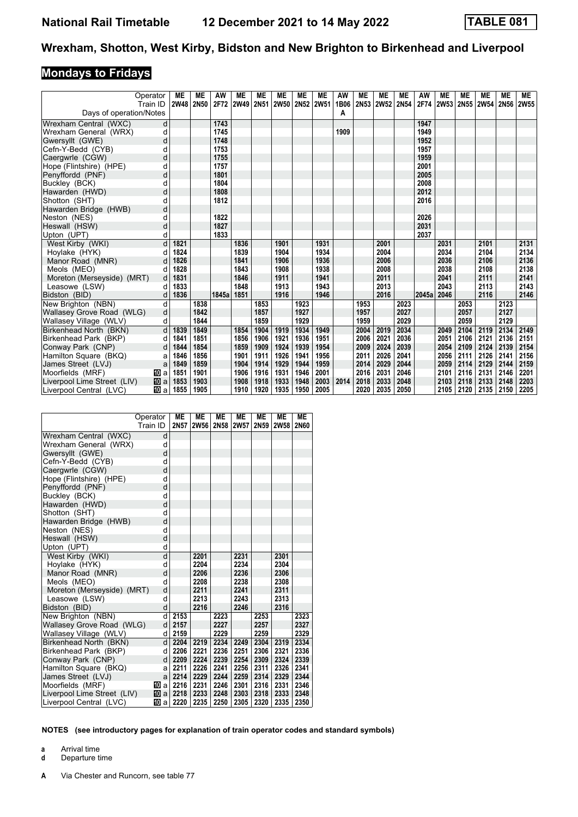## **Mondays to Fridays**

|                             | Operator    | МE   | МE   | AW    | МE          | ME   | <b>ME</b>   | <b>ME</b> | <b>ME</b>   | AW   | <b>ME</b> | <b>ME</b>   | ME   | AW    | МE          | <b>ME</b> | ME          | <b>ME</b> | ME          |
|-----------------------------|-------------|------|------|-------|-------------|------|-------------|-----------|-------------|------|-----------|-------------|------|-------|-------------|-----------|-------------|-----------|-------------|
|                             | Train ID    | 2W48 | 2N50 | 2F72  | <b>2W49</b> | 2N51 | <b>2W50</b> | 2N52      | <b>2W51</b> | 1B06 | 2N53      | <b>2W52</b> | 2N54 | 2F74  | <b>2W53</b> | 2N55      | <b>2W54</b> | 2N56      | <b>2W55</b> |
| Days of operation/Notes     |             |      |      |       |             |      |             |           |             | Α    |           |             |      |       |             |           |             |           |             |
| Wrexham Central (WXC)       | d           |      |      | 1743  |             |      |             |           |             |      |           |             |      | 1947  |             |           |             |           |             |
| Wrexham General (WRX)       | d           |      |      | 1745  |             |      |             |           |             | 1909 |           |             |      | 1949  |             |           |             |           |             |
| Gwersyllt (GWE)             | d           |      |      | 1748  |             |      |             |           |             |      |           |             |      | 1952  |             |           |             |           |             |
| Cefn-Y-Bedd (CYB)           | d           |      |      | 1753  |             |      |             |           |             |      |           |             |      | 1957  |             |           |             |           |             |
| Caergwrle (CGW)             | d           |      |      | 1755  |             |      |             |           |             |      |           |             |      | 1959  |             |           |             |           |             |
| Hope (Flintshire) (HPE)     | d           |      |      | 1757  |             |      |             |           |             |      |           |             |      | 2001  |             |           |             |           |             |
| Penyffordd (PNF)            | d           |      |      | 1801  |             |      |             |           |             |      |           |             |      | 2005  |             |           |             |           |             |
| Buckley (BCK)               | d           |      |      | 1804  |             |      |             |           |             |      |           |             |      | 2008  |             |           |             |           |             |
| Hawarden (HWD)              | d           |      |      | 1808  |             |      |             |           |             |      |           |             |      | 2012  |             |           |             |           |             |
| Shotton (SHT)               | d           |      |      | 1812  |             |      |             |           |             |      |           |             |      | 2016  |             |           |             |           |             |
| Hawarden Bridge (HWB)       | d           |      |      |       |             |      |             |           |             |      |           |             |      |       |             |           |             |           |             |
| Neston (NES)                | d           |      |      | 1822  |             |      |             |           |             |      |           |             |      | 2026  |             |           |             |           |             |
| Heswall (HSW)               | d           |      |      | 1827  |             |      |             |           |             |      |           |             |      | 2031  |             |           |             |           |             |
| Upton (UPT)                 | d           |      |      | 1833  |             |      |             |           |             |      |           |             |      | 2037  |             |           |             |           |             |
| West Kirby (WKI)            | d           | 1821 |      |       | 1836        |      | 1901        |           | 1931        |      |           | 2001        |      |       | 2031        |           | 2101        |           | 2131        |
| Hoylake (HYK)               | C           | 1824 |      |       | 1839        |      | 1904        |           | 1934        |      |           | 2004        |      |       | 2034        |           | 2104        |           | 2134        |
| Manor Road (MNR)            | d           | 1826 |      |       | 1841        |      | 1906        |           | 1936        |      |           | 2006        |      |       | 2036        |           | 2106        |           | 2136        |
| Meols (MEO)                 | d           | 1828 |      |       | 1843        |      | 1908        |           | 1938        |      |           | 2008        |      |       | 2038        |           | 2108        |           | 2138        |
| Moreton (Merseyside) (MRT)  | d           | 1831 |      |       | 1846        |      | 1911        |           | 1941        |      |           | 2011        |      |       | 2041        |           | 2111        |           | 2141        |
| Leasowe (LSW)               | d           | 1833 |      |       | 1848        |      | 1913        |           | 1943        |      |           | 2013        |      |       | 2043        |           | 2113        |           | 2143        |
| Bidston (BID)               | d           | 1836 |      | 1845a | 1851        |      | 1916        |           | 1946        |      |           | 2016        |      | 2045a | 2046        |           | 2116        |           | 2146        |
| New Brighton (NBN)          | d           |      | 1838 |       |             | 1853 |             | 1923      |             |      | 1953      |             | 2023 |       |             | 2053      |             | 2123      |             |
| Wallasey Grove Road (WLG)   | d           |      | 1842 |       |             | 1857 |             | 1927      |             |      | 1957      |             | 2027 |       |             | 2057      |             | 2127      |             |
| Wallasey Village (WLV)      | d           |      | 1844 |       |             | 1859 |             | 1929      |             |      | 1959      |             | 2029 |       |             | 2059      |             | 2129      |             |
| Birkenhead North (BKN)      | d           | 1839 | 1849 |       | 1854        | 1904 | 1919        | 1934      | 1949        |      | 2004      | 2019        | 2034 |       | 2049        | 2104      | 2119        | 2134      | 2149        |
| Birkenhead Park (BKP)       | d           | 1841 | 1851 |       | 1856        | 1906 | 1921        | 1936      | 1951        |      | 2006      | 2021        | 2036 |       | 2051        | 2106      | 2121        | 2136      | 2151        |
| Conway Park (CNP)           | d           | 1844 | 1854 |       | 1859        | 1909 | 1924        | 1939      | 1954        |      | 2009      | 2024        | 2039 |       | 2054        | 2109      | 2124        | 2139      | 2154        |
| Hamilton Square (BKQ)       | a           | 1846 | 1856 |       | 1901        | 1911 | 1926        | 1941      | 1956        |      | 2011      | 2026        | 2041 |       | 2056        | 2111      | 2126        | 2141      | 2156        |
| James Street (LVJ)          | a           | 1849 | 1859 |       | 1904        | 1914 | 1929        | 1944      | 1959        |      | 2014      | 2029        | 2044 |       | 2059        | 2114      | 2129        | 2144      | 2159        |
| Moorfields (MRF)            | 100 a       | 1851 | 1901 |       | 1906        | 1916 | 1931        | 1946      | 2001        |      | 2016      | 2031        | 2046 |       | 2101        | 2116      | 2131        | 2146      | 2201        |
| Liverpool Lime Street (LIV) | <b>ID</b> a | 1853 | 1903 |       | 1908        | 1918 | 1933        | 1948      | 2003        | 2014 | 2018      | 2033        | 2048 |       | 2103        | 2118      | 2133        | 2148      | 2203        |
| Liverpool Central (LVC)     | TO a        | 1855 | 1905 |       | 1910        | 1920 | 1935        | 1950      | 2005        |      | 2020      | 2035        | 2050 |       | 2105        | 2120      | 2135        | 2150      | 2205        |

|                             | Operator   | МE   | МE   | <b>ME</b>   | MЕ          | МE               | МE   | <b>ME</b> |
|-----------------------------|------------|------|------|-------------|-------------|------------------|------|-----------|
|                             | Train ID   | 2N57 | 2W56 | <b>2N58</b> | <b>2W57</b> | 2N <sub>59</sub> | 2W58 | 2N60      |
| Wrexham Central (WXC)       | d          |      |      |             |             |                  |      |           |
| Wrexham General (WRX)       | d          |      |      |             |             |                  |      |           |
| Gwersyllt (GWE)             | d          |      |      |             |             |                  |      |           |
| Cefn-Y-Bedd (CYB)           | d          |      |      |             |             |                  |      |           |
| Caergwrle (CGW)             | d          |      |      |             |             |                  |      |           |
| Hope (Flintshire) (HPE)     | d          |      |      |             |             |                  |      |           |
| Penyffordd (PNF)            | d          |      |      |             |             |                  |      |           |
| Buckley (BCK)               | d          |      |      |             |             |                  |      |           |
| Hawarden (HWD)              | d          |      |      |             |             |                  |      |           |
| Shotton (SHT)               | d          |      |      |             |             |                  |      |           |
| Hawarden Bridge (HWB)       | d          |      |      |             |             |                  |      |           |
| Neston (NES)                | d          |      |      |             |             |                  |      |           |
| Heswall (HSW)               | d          |      |      |             |             |                  |      |           |
| Upton (UPT)                 | d          |      |      |             |             |                  |      |           |
| West Kirby (WKI)            | d          |      | 2201 |             | 2231        |                  | 2301 |           |
| Hoylake (HYK)               | d          |      | 2204 |             | 2234        |                  | 2304 |           |
| Manor Road (MNR)            | d          |      | 2206 |             | 2236        |                  | 2306 |           |
| Meols (MEO)                 | d          |      | 2208 |             | 2238        |                  | 2308 |           |
| Moreton (Merseyside) (MRT)  | d          |      | 2211 |             | 2241        |                  | 2311 |           |
| Leasowe (LSW)               | d          |      | 2213 |             | 2243        |                  | 2313 |           |
| Bidston (BID)               | d          |      | 2216 |             | 2246        |                  | 2316 |           |
| New Brighton (NBN)          | d          | 2153 |      | 2223        |             | 2253             |      | 2323      |
| Wallasev Grove Road (WLG)   | d          | 2157 |      | 2227        |             | 2257             |      | 2327      |
| Wallasey Village (WLV)      | d          | 2159 |      | 2229        |             | 2259             |      | 2329      |
| Birkenhead North (BKN)      | d          | 2204 | 2219 | 2234        | 2249        | 2304             | 2319 | 2334      |
| Birkenhead Park (BKP)       | d          | 2206 | 2221 | 2236        | 2251        | 2306             | 2321 | 2336      |
| Conway Park (CNP)           | d          | 2209 | 2224 | 2239        | 2254        | 2309             | 2324 | 2339      |
| Hamilton Square (BKQ)       | a          | 2211 | 2226 | 2241        | 2256        | 2311             | 2326 | 2341      |
| James Street (LVJ)          | a          | 2214 | 2229 | 2244        | 2259        | 2314             | 2329 | 2344      |
| Moorfields (MRF)            | 吅 a        | 2216 | 2231 | 2246        | 2301        | 2316             | 2331 | 2346      |
| Liverpool Lime Street (LIV) | <b>M</b> a | 2218 | 2233 | 2248        | 2303        | 2318             | 2333 | 2348      |
| Liverpool Central (LVC)     | TO a       | 2220 | 2235 | 2250        | 2305        | 2320             | 2335 | 2350      |

**NOTES (see introductory pages for explanation of train operator codes and standard symbols)**

- **a** Arrival time
- **d** Departure time
- **A** Via Chester and Runcorn, see table 77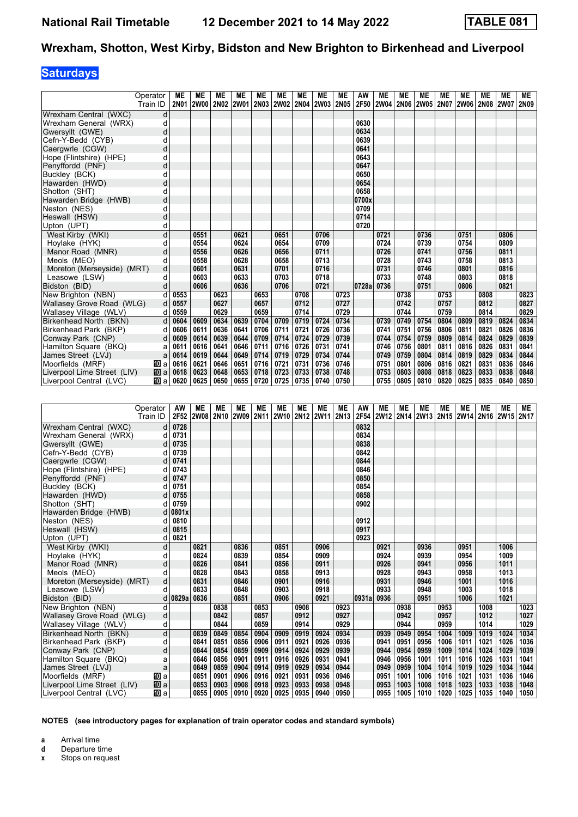# **Saturdays**

|                             | Operator    | ME   | <b>ME</b>   | МE   | ME          | <b>ME</b> | <b>ME</b> | <b>ME</b>   | <b>ME</b>   | ME   | AW    | <b>ME</b>   | ME   | <b>ME</b>   | МE   | <b>ME</b>   | МE          | <b>ME</b> | ME   |
|-----------------------------|-------------|------|-------------|------|-------------|-----------|-----------|-------------|-------------|------|-------|-------------|------|-------------|------|-------------|-------------|-----------|------|
|                             | Train ID    | 2N01 | <b>2W00</b> | 2N02 | <b>2W01</b> | 2N03      | 2W02      | <b>2N04</b> | <b>2W03</b> | 2N05 | 2F50  | <b>2W04</b> | 2N06 | <b>2W05</b> | 2N07 | <b>2W06</b> | <b>2N08</b> | 2W07      | 2N09 |
| Wrexham Central (WXC)       | d           |      |             |      |             |           |           |             |             |      |       |             |      |             |      |             |             |           |      |
| Wrexham General (WRX)       | d           |      |             |      |             |           |           |             |             |      | 0630  |             |      |             |      |             |             |           |      |
| Gwersyllt (GWE)             | d           |      |             |      |             |           |           |             |             |      | 0634  |             |      |             |      |             |             |           |      |
| Cefn-Y-Bedd (CYB)           | d           |      |             |      |             |           |           |             |             |      | 0639  |             |      |             |      |             |             |           |      |
| Caergwrle (CGW)             | d           |      |             |      |             |           |           |             |             |      | 0641  |             |      |             |      |             |             |           |      |
| Hope (Flintshire) (HPE)     | d           |      |             |      |             |           |           |             |             |      | 0643  |             |      |             |      |             |             |           |      |
| Penyffordd (PNF)            | d           |      |             |      |             |           |           |             |             |      | 0647  |             |      |             |      |             |             |           |      |
| Buckley (BCK)               | d           |      |             |      |             |           |           |             |             |      | 0650  |             |      |             |      |             |             |           |      |
| Hawarden (HWD)              | d           |      |             |      |             |           |           |             |             |      | 0654  |             |      |             |      |             |             |           |      |
| Shotton (SHT)               | d           |      |             |      |             |           |           |             |             |      | 0658  |             |      |             |      |             |             |           |      |
| Hawarden Bridge (HWB)       | d           |      |             |      |             |           |           |             |             |      | 0700x |             |      |             |      |             |             |           |      |
| Neston (NES)                | d           |      |             |      |             |           |           |             |             |      | 0709  |             |      |             |      |             |             |           |      |
| Heswall (HSW)               | d           |      |             |      |             |           |           |             |             |      | 0714  |             |      |             |      |             |             |           |      |
| Upton (UPT)                 | d           |      |             |      |             |           |           |             |             |      | 0720  |             |      |             |      |             |             |           |      |
| West Kirby (WKI)            | d           |      | 0551        |      | 0621        |           | 0651      |             | 0706        |      |       | 0721        |      | 0736        |      | 0751        |             | 0806      |      |
| Hoylake (HYK)               | d           |      | 0554        |      | 0624        |           | 0654      |             | 0709        |      |       | 0724        |      | 0739        |      | 0754        |             | 0809      |      |
| Manor Road (MNR)            | d           |      | 0556        |      | 0626        |           | 0656      |             | 0711        |      |       | 0726        |      | 0741        |      | 0756        |             | 0811      |      |
| Meols (MEO)                 | d           |      | 0558        |      | 0628        |           | 0658      |             | 0713        |      |       | 0728        |      | 0743        |      | 0758        |             | 0813      |      |
| Moreton (Merseyside) (MRT)  | d           |      | 0601        |      | 0631        |           | 0701      |             | 0716        |      |       | 0731        |      | 0746        |      | 0801        |             | 0816      |      |
| Leasowe (LSW)               | d           |      | 0603        |      | 0633        |           | 0703      |             | 0718        |      |       | 0733        |      | 0748        |      | 0803        |             | 0818      |      |
| Bidston (BID)               | d           |      | 0606        |      | 0636        |           | 0706      |             | 0721        |      | 0728a | 0736        |      | 0751        |      | 0806        |             | 0821      |      |
| New Brighton (NBN)          | d           | 0553 |             | 0623 |             | 0653      |           | 0708        |             | 0723 |       |             | 0738 |             | 0753 |             | 0808        |           | 0823 |
| Wallasey Grove Road (WLG)   | d           | 0557 |             | 0627 |             | 0657      |           | 0712        |             | 0727 |       |             | 0742 |             | 0757 |             | 0812        |           | 0827 |
| Wallasey Village (WLV)      | d           | 0559 |             | 0629 |             | 0659      |           | 0714        |             | 0729 |       |             | 0744 |             | 0759 |             | 0814        |           | 0829 |
| Birkenhead North (BKN)      | d           | 0604 | 0609        | 0634 | 0639        | 0704      | 0709      | 0719        | 0724        | 0734 |       | 0739        | 0749 | 0754        | 0804 | 0809        | 0819        | 0824      | 0834 |
| Birkenhead Park (BKP)       | d           | 0606 | 0611        | 0636 | 0641        | 0706      | 0711      | 0721        | 0726        | 0736 |       | 0741        | 0751 | 0756        | 0806 | 0811        | 0821        | 0826      | 0836 |
| Conway Park (CNP)           | d           | 0609 | 0614        | 0639 | 0644        | 0709      | 0714      | 0724        | 0729        | 0739 |       | 0744        | 0754 | 0759        | 0809 | 0814        | 0824        | 0829      | 0839 |
| Hamilton Square (BKQ)       | a           | 0611 | 0616        | 0641 | 0646        | 0711      | 0716      | 0726        | 0731        | 0741 |       | 0746        | 0756 | 0801        | 0811 | 0816        | 0826        | 0831      | 0841 |
| James Street (LVJ)          | a           | 0614 | 0619        | 0644 | 0649        | 0714      | 0719      | 0729        | 0734        | 0744 |       | 0749        | 0759 | 0804        | 0814 | 0819        | 0829        | 0834      | 0844 |
| Moorfields (MRF)            | [10] a      | 0616 | 0621        | 0646 | 0651        | 0716      | 0721      | 0731        | 0736        | 0746 |       | 0751        | 0801 | 0806        | 0816 | 0821        | 0831        | 0836      | 0846 |
| Liverpool Lime Street (LIV) | <b>ID</b> a | 0618 | 0623        | 0648 | 0653        | 0718      | 0723      | 0733        | 0738        | 0748 |       | 0753        | 0803 | 0808        | 0818 | 0823        | 0833        | 0838      | 0848 |
| Liverpool Central (LVC)     | [10] al     | 0620 | 0625        | 0650 | 0655        | 0720      | 0725      | 0735        | 0740        | 0750 |       | 0755        | 0805 | 0810        | 0820 | 0825        | 0835        | 0840      | 0850 |
|                             |             |      |             |      |             |           |           |             |             |      |       |             |      |             |      |             |             |           |      |

|                             | Operator     | AW    | <b>ME</b>   | ME          | <b>ME</b>   | <b>ME</b>   | <b>ME</b> | <b>ME</b> | <b>ME</b> | МE   | AW    | <b>ME</b>   | <b>ME</b>   | <b>ME</b> | <b>ME</b> | <b>ME</b> | <b>ME</b>        | <b>ME</b>   | <b>ME</b> |
|-----------------------------|--------------|-------|-------------|-------------|-------------|-------------|-----------|-----------|-----------|------|-------|-------------|-------------|-----------|-----------|-----------|------------------|-------------|-----------|
|                             | Train ID     | 2F52  | <b>2W08</b> | <b>2N10</b> | <b>2W09</b> | <b>2N11</b> | 2W10 2N12 |           | 2W11      | 2N13 | 2F54  | <b>2W12</b> | <b>2N14</b> | 2W13      | 2N15 2W14 |           | 2N <sub>16</sub> | <b>2W15</b> | 2N17      |
| Wrexham Central (WXC)       | d            | 0728  |             |             |             |             |           |           |           |      | 0832  |             |             |           |           |           |                  |             |           |
| Wrexham General (WRX)       | d            | 0731  |             |             |             |             |           |           |           |      | 0834  |             |             |           |           |           |                  |             |           |
| Gwersyllt (GWE)             | d            | 0735  |             |             |             |             |           |           |           |      | 0838  |             |             |           |           |           |                  |             |           |
| Cefn-Y-Bedd (CYB)           | d            | 0739  |             |             |             |             |           |           |           |      | 0842  |             |             |           |           |           |                  |             |           |
| Caergwrle (CGW)             | d            | 0741  |             |             |             |             |           |           |           |      | 0844  |             |             |           |           |           |                  |             |           |
| Hope (Flintshire) (HPE)     | d            | 0743  |             |             |             |             |           |           |           |      | 0846  |             |             |           |           |           |                  |             |           |
| Penyffordd (PNF)            | d            | 0747  |             |             |             |             |           |           |           |      | 0850  |             |             |           |           |           |                  |             |           |
| Buckley (BCK)               | d            | 0751  |             |             |             |             |           |           |           |      | 0854  |             |             |           |           |           |                  |             |           |
| Hawarden (HWD)              | $\mathbf{C}$ | 0755  |             |             |             |             |           |           |           |      | 0858  |             |             |           |           |           |                  |             |           |
| Shotton (SHT)               | d            | 0759  |             |             |             |             |           |           |           |      | 0902  |             |             |           |           |           |                  |             |           |
| Hawarden Bridge (HWB)       | d            | 0801x |             |             |             |             |           |           |           |      |       |             |             |           |           |           |                  |             |           |
| Neston (NES)                | d            | 0810  |             |             |             |             |           |           |           |      | 0912  |             |             |           |           |           |                  |             |           |
| Heswall (HSW)               | d            | 0815  |             |             |             |             |           |           |           |      | 0917  |             |             |           |           |           |                  |             |           |
| Upton (UPT)                 | d            | 0821  |             |             |             |             |           |           |           |      | 0923  |             |             |           |           |           |                  |             |           |
| West Kirby (WKI)            | d            |       | 0821        |             | 0836        |             | 0851      |           | 0906      |      |       | 0921        |             | 0936      |           | 0951      |                  | 1006        |           |
| Hoylake (HYK)               | d            |       | 0824        |             | 0839        |             | 0854      |           | 0909      |      |       | 0924        |             | 0939      |           | 0954      |                  | 1009        |           |
| Manor Road (MNR)            | d            |       | 0826        |             | 0841        |             | 0856      |           | 0911      |      |       | 0926        |             | 0941      |           | 0956      |                  | 1011        |           |
| Meols (MEO)                 | d            |       | 0828        |             | 0843        |             | 0858      |           | 0913      |      |       | 0928        |             | 0943      |           | 0958      |                  | 1013        |           |
| Moreton (Merseyside) (MRT)  | d            |       | 0831        |             | 0846        |             | 0901      |           | 0916      |      |       | 0931        |             | 0946      |           | 1001      |                  | 1016        |           |
| Leasowe (LSW)               | d            |       | 0833        |             | 0848        |             | 0903      |           | 0918      |      |       | 0933        |             | 0948      |           | 1003      |                  | 1018        |           |
| Bidston (BID)               | d            | 0829a | 0836        |             | 0851        |             | 0906      |           | 0921      |      | 0931a | 0936        |             | 0951      |           | 1006      |                  | 1021        |           |
| New Brighton (NBN)          | d            |       |             | 0838        |             | 0853        |           | 0908      |           | 0923 |       |             | 0938        |           | 0953      |           | 1008             |             | 1023      |
| Wallasey Grove Road (WLG)   | d            |       |             | 0842        |             | 0857        |           | 0912      |           | 0927 |       |             | 0942        |           | 0957      |           | 1012             |             | 1027      |
| Wallasey Village (WLV)      | d            |       |             | 0844        |             | 0859        |           | 0914      |           | 0929 |       |             | 0944        |           | 0959      |           | 1014             |             | 1029      |
| Birkenhead North (BKN)      | d            |       | 0839        | 0849        | 0854        | 0904        | 0909      | 0919      | 0924      | 0934 |       | 0939        | 0949        | 0954      | 1004      | 1009      | 1019             | 1024        | 1034      |
| Birkenhead Park (BKP)       | d            |       | 0841        | 0851        | 0856        | 0906        | 0911      | 0921      | 0926      | 0936 |       | 0941        | 0951        | 0956      | 1006      | 1011      | 1021             | 1026        | 1036      |
| Conway Park (CNP)           | d            |       | 0844        | 0854        | 0859        | 0909        | 0914      | 0924      | 0929      | 0939 |       | 0944        | 0954        | 0959      | 1009      | 1014      | 1024             | 1029        | 1039      |
| Hamilton Square (BKQ)       | a            |       | 0846        | 0856        | 0901        | 0911        | 0916      | 0926      | 0931      | 0941 |       | 0946        | 0956        | 1001      | 1011      | 1016      | 1026             | 1031        | 1041      |
| James Street (LVJ)          | a            |       | 0849        | 0859        | 0904        | 0914        | 0919      | 0929      | 0934      | 0944 |       | 0949        | 0959        | 1004      | 1014      | 1019      | 1029             | 1034        | 1044      |
| Moorfields (MRF)            | 吅 a          |       | 0851        | 0901        | 0906        | 0916        | 0921      | 0931      | 0936      | 0946 |       | 0951        | 1001        | 1006      | 1016      | 1021      | 1031             | 1036        | 1046      |
| Liverpool Lime Street (LIV) | <b>ID</b> a  |       | 0853        | 0903        | 0908        | 0918        | 0923      | 0933      | 0938      | 0948 |       | 0953        | 1003        | 1008      | 1018      | 1023      | 1033             | 1038        | 1048      |
| Liverpool Central (LVC)     | [10] a       |       | 0855        | 0905        | 0910        | 0920        | 0925      | 0935      | 0940      | 0950 |       | 0955        | 1005        | 1010      | 1020      | 1025      | 1035             | 1040        | 1050      |

**NOTES (see introductory pages for explanation of train operator codes and standard symbols)**

**a** Arrival time<br>**d** Departure t

**d** Departure time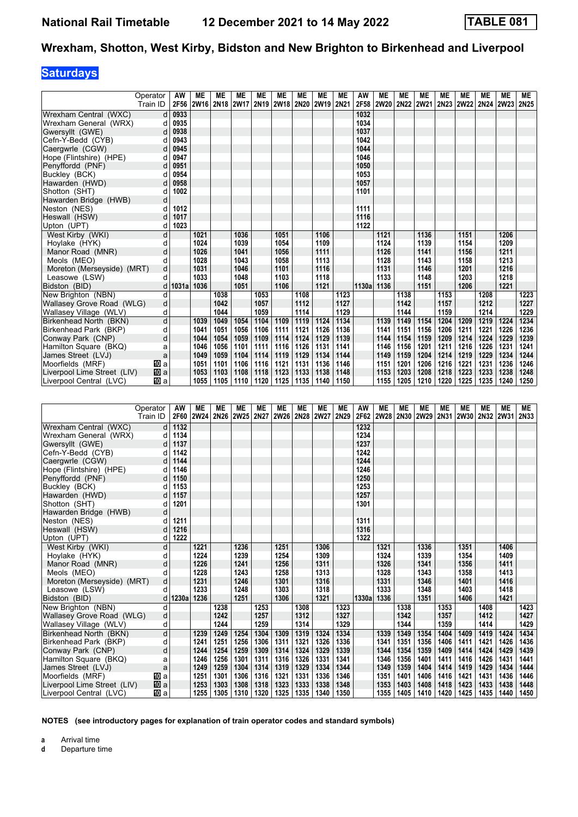## **Saturdays**

|                             | Operator    | AW    | <b>ME</b>   | МE   | <b>ME</b>   | <b>ME</b>        | МE   | <b>ME</b>   | <b>ME</b>   | ME   | AW    | <b>ME</b>   | ME   | <b>ME</b>   | МE   | <b>ME</b>   | МE   | <b>ME</b> | ME   |
|-----------------------------|-------------|-------|-------------|------|-------------|------------------|------|-------------|-------------|------|-------|-------------|------|-------------|------|-------------|------|-----------|------|
|                             | Train ID    | 2F56  | <b>2W16</b> | 2N18 | <b>2W17</b> | 2N <sub>19</sub> | 2W18 | <b>2N20</b> | <b>2W19</b> | 2N21 | 2F58  | <b>2W20</b> | 2N22 | <b>2W21</b> | 2N23 | <b>2W22</b> | 2N24 | 2W23      | 2N25 |
| Wrexham Central (WXC)       | d           | 0933  |             |      |             |                  |      |             |             |      | 1032  |             |      |             |      |             |      |           |      |
| Wrexham General (WRX)       | d           | 0935  |             |      |             |                  |      |             |             |      | 1034  |             |      |             |      |             |      |           |      |
| Gwersyllt (GWE)             | d           | 0938  |             |      |             |                  |      |             |             |      | 1037  |             |      |             |      |             |      |           |      |
| Cefn-Y-Bedd (CYB)           | d           | 0943  |             |      |             |                  |      |             |             |      | 1042  |             |      |             |      |             |      |           |      |
| Caergwrle (CGW)             | d           | 0945  |             |      |             |                  |      |             |             |      | 1044  |             |      |             |      |             |      |           |      |
| Hope (Flintshire) (HPE)     | d           | 0947  |             |      |             |                  |      |             |             |      | 1046  |             |      |             |      |             |      |           |      |
| Penyffordd (PNF)            | d           | 0951  |             |      |             |                  |      |             |             |      | 1050  |             |      |             |      |             |      |           |      |
| Buckley (BCK)               | d           | 0954  |             |      |             |                  |      |             |             |      | 1053  |             |      |             |      |             |      |           |      |
| Hawarden (HWD)              | d           | 0958  |             |      |             |                  |      |             |             |      | 1057  |             |      |             |      |             |      |           |      |
| Shotton (SHT)               | d           | 1002  |             |      |             |                  |      |             |             |      | 1101  |             |      |             |      |             |      |           |      |
| Hawarden Bridge (HWB)       | d           |       |             |      |             |                  |      |             |             |      |       |             |      |             |      |             |      |           |      |
| Neston (NES)                | d           | 1012  |             |      |             |                  |      |             |             |      | 1111  |             |      |             |      |             |      |           |      |
| Heswall (HSW)               | d           | 1017  |             |      |             |                  |      |             |             |      | 1116  |             |      |             |      |             |      |           |      |
| Upton (UPT)                 | d           | 1023  |             |      |             |                  |      |             |             |      | 1122  |             |      |             |      |             |      |           |      |
| West Kirby (WKI)            | d           |       | 1021        |      | 1036        |                  | 1051 |             | 1106        |      |       | 1121        |      | 1136        |      | 1151        |      | 1206      |      |
| Hoylake (HYK)               | d           |       | 1024        |      | 1039        |                  | 1054 |             | 1109        |      |       | 1124        |      | 1139        |      | 1154        |      | 1209      |      |
| Manor Road (MNR)            | d           |       | 1026        |      | 1041        |                  | 1056 |             | 1111        |      |       | 1126        |      | 1141        |      | 1156        |      | 1211      |      |
| Meols (MEO)                 | d           |       | 1028        |      | 1043        |                  | 1058 |             | 1113        |      |       | 1128        |      | 1143        |      | 1158        |      | 1213      |      |
| Moreton (Merseyside) (MRT)  | d           |       | 1031        |      | 1046        |                  | 1101 |             | 1116        |      |       | 1131        |      | 1146        |      | 1201        |      | 1216      |      |
| Leasowe (LSW)               | d           |       | 1033        |      | 1048        |                  | 1103 |             | 1118        |      |       | 1133        |      | 1148        |      | 1203        |      | 1218      |      |
| Bidston (BID)               | d           | 1031a | 1036        |      | 1051        |                  | 1106 |             | 1121        |      | 1130a | 1136        |      | 1151        |      | 1206        |      | 1221      |      |
| New Brighton (NBN)          | d           |       |             | 1038 |             | 1053             |      | 1108        |             | 1123 |       |             | 1138 |             | 1153 |             | 1208 |           | 1223 |
| Wallasey Grove Road (WLG)   | d           |       |             | 1042 |             | 1057             |      | 1112        |             | 1127 |       |             | 1142 |             | 1157 |             | 1212 |           | 1227 |
| Wallasey Village (WLV)      | d           |       |             | 1044 |             | 1059             |      | 1114        |             | 1129 |       |             | 1144 |             | 1159 |             | 1214 |           | 1229 |
| Birkenhead North (BKN)      | d           |       | 1039        | 1049 | 1054        | 1104             | 1109 | 1119        | 1124        | 1134 |       | 1139        | 1149 | 1154        | 1204 | 1209        | 1219 | 1224      | 1234 |
| Birkenhead Park (BKP)       | d           |       | 1041        | 1051 | 1056        | 1106             | 1111 | 1121        | 1126        | 1136 |       | 1141        | 1151 | 1156        | 1206 | 1211        | 1221 | 1226      | 1236 |
| Conway Park (CNP)           | d           |       | 1044        | 1054 | 1059        | 1109             | 1114 | 1124        | 1129        | 1139 |       | 1144        | 1154 | 1159        | 1209 | 1214        | 1224 | 1229      | 1239 |
| Hamilton Square (BKQ)       | a           |       | 1046        | 1056 | 1101        | 1111             | 1116 | 1126        | 1131        | 1141 |       | 1146        | 1156 | 1201        | 1211 | 1216        | 1226 | 1231      | 1241 |
| James Street (LVJ)          | a           |       | 1049        | 1059 | 1104        | 1114             | 1119 | 1129        | 1134        | 1144 |       | 1149        | 1159 | 1204        | 1214 | 1219        | 1229 | 1234      | 1244 |
| Moorfields (MRF)            | 吅 a         |       | 1051        | 1101 | 1106        | 1116             | 1121 | 1131        | 1136        | 1146 |       | 1151        | 1201 | 1206        | 1216 | 1221        | 1231 | 1236      | 1246 |
| Liverpool Lime Street (LIV) | <b>ID</b> a |       | 1053        | 1103 | 1108        | 1118             | 1123 | 1133        | 1138        | 1148 |       | 1153        | 1203 | 1208        | 1218 | 1223        | 1233 | 1238      | 1248 |
| Liverpool Central (LVC)     | TO a        |       | 1055        | 1105 | 1110        | 1120             | 1125 | 1135        | 1140        | 1150 |       | 1155        | 1205 | 1210        | 1220 | 1225        | 1235 | 1240      | 1250 |
|                             |             |       |             |      |             |                  |      |             |             |      |       |             |      |             |      |             |      |           |      |

|                             | Operator    | AW    | ME        | ME   | <b>ME</b>   | МE   | ME          | <b>ME</b> | <b>ME</b>   | <b>ME</b> | AW    | <b>ME</b> | <b>ME</b> | <b>ME</b>   | <b>ME</b> | <b>ME</b>   | <b>ME</b> | <b>ME</b> | <b>ME</b> |
|-----------------------------|-------------|-------|-----------|------|-------------|------|-------------|-----------|-------------|-----------|-------|-----------|-----------|-------------|-----------|-------------|-----------|-----------|-----------|
|                             | Train ID    |       | 2F60 2W24 | 2N26 | <b>2W25</b> | 2N27 | <b>2W26</b> | 2N28      | <b>2W27</b> | 2N29      | 2F62  | 2W28      | 2N30      | <b>2W29</b> | 2N31      | <b>2W30</b> | 2N32 2W31 |           | 2N33      |
| Wrexham Central (WXC)       | d           | 1132  |           |      |             |      |             |           |             |           | 1232  |           |           |             |           |             |           |           |           |
| Wrexham General (WRX)       | d           | 1134  |           |      |             |      |             |           |             |           | 1234  |           |           |             |           |             |           |           |           |
| Gwersyllt (GWE)             | d           | 1137  |           |      |             |      |             |           |             |           | 1237  |           |           |             |           |             |           |           |           |
| Cefn-Y-Bedd (CYB)           | d           | 1142  |           |      |             |      |             |           |             |           | 1242  |           |           |             |           |             |           |           |           |
| Caergwrle (CGW)             | d           | 1144  |           |      |             |      |             |           |             |           | 1244  |           |           |             |           |             |           |           |           |
| Hope (Flintshire) (HPE)     | d           | 1146  |           |      |             |      |             |           |             |           | 1246  |           |           |             |           |             |           |           |           |
| Penyffordd (PNF)            | d           | 1150  |           |      |             |      |             |           |             |           | 1250  |           |           |             |           |             |           |           |           |
| Buckley (BCK)               | d           | 1153  |           |      |             |      |             |           |             |           | 1253  |           |           |             |           |             |           |           |           |
| Hawarden (HWD)              | d           | 1157  |           |      |             |      |             |           |             |           | 1257  |           |           |             |           |             |           |           |           |
| Shotton (SHT)               | d           | 1201  |           |      |             |      |             |           |             |           | 1301  |           |           |             |           |             |           |           |           |
| Hawarden Bridge (HWB)       | d           |       |           |      |             |      |             |           |             |           |       |           |           |             |           |             |           |           |           |
| Neston (NES)                | d           | 1211  |           |      |             |      |             |           |             |           | 1311  |           |           |             |           |             |           |           |           |
| Heswall (HSW)               | d           | 1216  |           |      |             |      |             |           |             |           | 1316  |           |           |             |           |             |           |           |           |
| Upton (UPT)                 | d           | 1222  |           |      |             |      |             |           |             |           | 1322  |           |           |             |           |             |           |           |           |
| West Kirby (WKI)            | d           |       | 1221      |      | 1236        |      | 1251        |           | 1306        |           |       | 1321      |           | 1336        |           | 1351        |           | 1406      |           |
| Hoylake (HYK)               | d           |       | 1224      |      | 1239        |      | 1254        |           | 1309        |           |       | 1324      |           | 1339        |           | 1354        |           | 1409      |           |
| Manor Road (MNR)            | d           |       | 1226      |      | 1241        |      | 1256        |           | 1311        |           |       | 1326      |           | 1341        |           | 1356        |           | 1411      |           |
| Meols (MEO)                 | d           |       | 1228      |      | 1243        |      | 1258        |           | 1313        |           |       | 1328      |           | 1343        |           | 1358        |           | 1413      |           |
| Moreton (Merseyside) (MRT)  | d           |       | 1231      |      | 1246        |      | 1301        |           | 1316        |           |       | 1331      |           | 1346        |           | 1401        |           | 1416      |           |
| Leasowe (LSW)               | d           |       | 1233      |      | 1248        |      | 1303        |           | 1318        |           |       | 1333      |           | 1348        |           | 1403        |           | 1418      |           |
| Bidston (BID)               | d           | 1230a | 1236      |      | 1251        |      | 1306        |           | 1321        |           | 1330a | 1336      |           | 1351        |           | 1406        |           | 1421      |           |
| New Brighton (NBN)          | d           |       |           | 1238 |             | 1253 |             | 1308      |             | 1323      |       |           | 1338      |             | 1353      |             | 1408      |           | 1423      |
| Wallasey Grove Road (WLG)   | d           |       |           | 1242 |             | 1257 |             | 1312      |             | 1327      |       |           | 1342      |             | 1357      |             | 1412      |           | 1427      |
| Wallasey Village (WLV)      | d           |       |           | 1244 |             | 1259 |             | 1314      |             | 1329      |       |           | 1344      |             | 1359      |             | 1414      |           | 1429      |
| Birkenhead North (BKN)      | d           |       | 1239      | 1249 | 1254        | 1304 | 1309        | 1319      | 1324        | 1334      |       | 1339      | 1349      | 1354        | 1404      | 1409        | 1419      | 1424      | 1434      |
| Birkenhead Park (BKP)       | d           |       | 1241      | 1251 | 1256        | 1306 | 1311        | 1321      | 1326        | 1336      |       | 1341      | 1351      | 1356        | 1406      | 1411        | 1421      | 1426      | 1436      |
| Conway Park (CNP)           | d           |       | 1244      | 1254 | 1259        | 1309 | 1314        | 1324      | 1329        | 1339      |       | 1344      | 1354      | 1359        | 1409      | 1414        | 1424      | 1429      | 1439      |
| Hamilton Square (BKQ)       | a           |       | 1246      | 1256 | 1301        | 1311 | 1316        | 1326      | 1331        | 1341      |       | 1346      | 1356      | 1401        | 1411      | 1416        | 1426      | 1431      | 1441      |
| James Street (LVJ)          | a           |       | 1249      | 1259 | 1304        | 1314 | 1319        | 1329      | 1334        | 1344      |       | 1349      | 1359      | 1404        | 1414      | 1419        | 1429      | 1434      | 1444      |
| Moorfields (MRF)            | 100 a       |       | 1251      | 1301 | 1306        | 1316 | 1321        | 1331      | 1336        | 1346      |       | 1351      | 1401      | 1406        | 1416      | 1421        | 1431      | 1436      | 1446      |
| Liverpool Lime Street (LIV) | <b>ID</b> a |       | 1253      | 1303 | 1308        | 1318 | 1323        | 1333      | 1338        | 1348      |       | 1353      | 1403      | 1408        | 1418      | 1423        | 1433      | 1438      | 1448      |
| Liverpool Central (LVC)     | 吅 a         |       | 1255      | 1305 | 1310        | 1320 | 1325        | 1335      | 1340        | 1350      |       | 1355      | 1405      | 1410        | 1420      | 1425        | 1435      | 1440      | 1450      |

**NOTES (see introductory pages for explanation of train operator codes and standard symbols)**

**a** Arrival time<br>**d** Departure t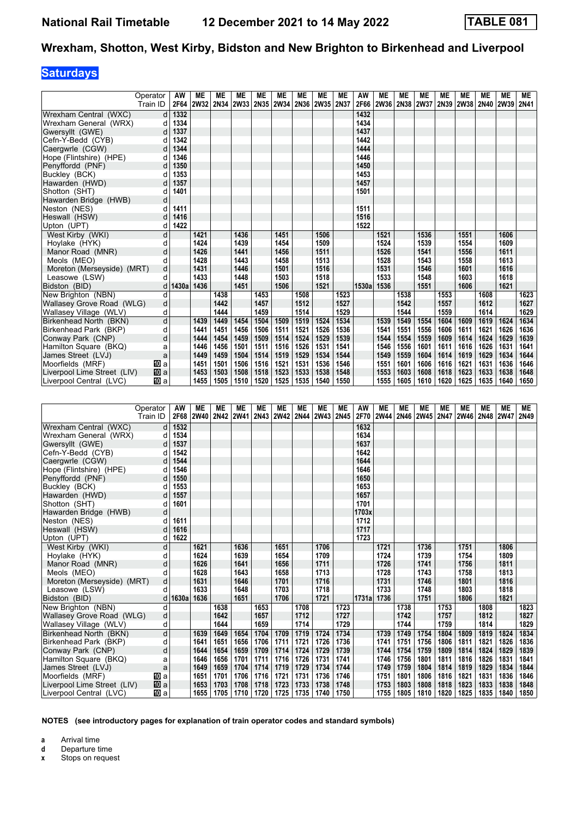# **Saturdays**

|                             | Operator   | AW    | ME          | <b>ME</b> | ME          | <b>ME</b> | ME          | МE        | <b>ME</b> | МE   | AW    | <b>ME</b>   | МE   | ME   | МE   | <b>ME</b>   | <b>ME</b>   | <b>ME</b> | ME   |
|-----------------------------|------------|-------|-------------|-----------|-------------|-----------|-------------|-----------|-----------|------|-------|-------------|------|------|------|-------------|-------------|-----------|------|
|                             | Train ID   | 2F64  | <b>2W32</b> | 2N34      | <b>2W33</b> | 2N35      | <b>2W34</b> | 2N36 2W35 |           | 2N37 | 2F66  | <b>2W36</b> | 2N38 | 2W37 | 2N39 | <b>2W38</b> | <b>2N40</b> | 2W39      | 2N41 |
| Wrexham Central (WXC)       | d          | 1332  |             |           |             |           |             |           |           |      | 1432  |             |      |      |      |             |             |           |      |
| Wrexham General (WRX)       | d          | 1334  |             |           |             |           |             |           |           |      | 1434  |             |      |      |      |             |             |           |      |
| Gwersyllt (GWE)             | d          | 1337  |             |           |             |           |             |           |           |      | 1437  |             |      |      |      |             |             |           |      |
| Cefn-Y-Bedd (CYB)           | d          | 1342  |             |           |             |           |             |           |           |      | 1442  |             |      |      |      |             |             |           |      |
| Caergwrle (CGW)             | d          | 1344  |             |           |             |           |             |           |           |      | 1444  |             |      |      |      |             |             |           |      |
| Hope (Flintshire) (HPE)     | d          | 1346  |             |           |             |           |             |           |           |      | 1446  |             |      |      |      |             |             |           |      |
| Penyffordd (PNF)            | d          | 1350  |             |           |             |           |             |           |           |      | 1450  |             |      |      |      |             |             |           |      |
| Buckley (BCK)               | d          | 1353  |             |           |             |           |             |           |           |      | 1453  |             |      |      |      |             |             |           |      |
| Hawarden (HWD)              |            | 1357  |             |           |             |           |             |           |           |      | 1457  |             |      |      |      |             |             |           |      |
| Shotton (SHT)               | d          | 1401  |             |           |             |           |             |           |           |      | 1501  |             |      |      |      |             |             |           |      |
| Hawarden Bridge (HWB)       | d          |       |             |           |             |           |             |           |           |      |       |             |      |      |      |             |             |           |      |
| Neston (NES)                | d          | 1411  |             |           |             |           |             |           |           |      | 1511  |             |      |      |      |             |             |           |      |
| Heswall (HSW)               | d          | 1416  |             |           |             |           |             |           |           |      | 1516  |             |      |      |      |             |             |           |      |
| Upton (UPT)                 | d          | 1422  |             |           |             |           |             |           |           |      | 1522  |             |      |      |      |             |             |           |      |
| West Kirby (WKI)            | d          |       | 1421        |           | 1436        |           | 1451        |           | 1506      |      |       | 1521        |      | 1536 |      | 1551        |             | 1606      |      |
| Hoylake (HYK)               | d          |       | 1424        |           | 1439        |           | 1454        |           | 1509      |      |       | 1524        |      | 1539 |      | 1554        |             | 1609      |      |
| Manor Road (MNR)            | d          |       | 1426        |           | 1441        |           | 1456        |           | 1511      |      |       | 1526        |      | 1541 |      | 1556        |             | 1611      |      |
| Meols (MEO)                 | d          |       | 1428        |           | 1443        |           | 1458        |           | 1513      |      |       | 1528        |      | 1543 |      | 1558        |             | 1613      |      |
| Moreton (Merseyside) (MRT)  | d          |       | 1431        |           | 1446        |           | 1501        |           | 1516      |      |       | 1531        |      | 1546 |      | 1601        |             | 1616      |      |
| Leasowe (LSW)               | d          |       | 1433        |           | 1448        |           | 1503        |           | 1518      |      |       | 1533        |      | 1548 |      | 1603        |             | 1618      |      |
| Bidston (BID)               | d          | 1430a | 1436        |           | 1451        |           | 1506        |           | 1521      |      | 1530a | 1536        |      | 1551 |      | 1606        |             | 1621      |      |
| New Brighton (NBN)          | d          |       |             | 1438      |             | 1453      |             | 1508      |           | 1523 |       |             | 1538 |      | 1553 |             | 1608        |           | 1623 |
| Wallasey Grove Road (WLG)   | d          |       |             | 1442      |             | 1457      |             | 1512      |           | 1527 |       |             | 1542 |      | 1557 |             | 1612        |           | 1627 |
| Wallasey Village (WLV)      | d          |       |             | 1444      |             | 1459      |             | 1514      |           | 1529 |       |             | 1544 |      | 1559 |             | 1614        |           | 1629 |
| Birkenhead North (BKN)      | d          |       | 1439        | 1449      | 1454        | 1504      | 1509        | 1519      | 1524      | 1534 |       | 1539        | 1549 | 1554 | 1604 | 1609        | 1619        | 1624      | 1634 |
| Birkenhead Park (BKP)       | d          |       | 1441        | 1451      | 1456        | 1506      | 1511        | 1521      | 1526      | 1536 |       | 1541        | 1551 | 1556 | 1606 | 1611        | 1621        | 1626      | 1636 |
| Conway Park (CNP)           | d          |       | 1444        | 1454      | 1459        | 1509      | 1514        | 1524      | 1529      | 1539 |       | 1544        | 1554 | 1559 | 1609 | 1614        | 1624        | 1629      | 1639 |
| Hamilton Square (BKQ)       | а          |       | 1446        | 1456      | 1501        | 1511      | 1516        | 1526      | 1531      | 1541 |       | 1546        | 1556 | 1601 | 1611 | 1616        | 1626        | 1631      | 1641 |
| James Street (LVJ)          | a          |       | 1449        | 1459      | 1504        | 1514      | 1519        | 1529      | 1534      | 1544 |       | 1549        | 1559 | 1604 | 1614 | 1619        | 1629        | 1634      | 1644 |
| Moorfields (MRF)            | 凹 a        |       | 1451        | 1501      | 1506        | 1516      | 1521        | 1531      | 1536      | 1546 |       | 1551        | 1601 | 1606 | 1616 | 1621        | 1631        | 1636      | 1646 |
| Liverpool Lime Street (LIV) | <b>而</b> a |       | 1453        | 1503      | 1508        | 1518      | 1523        | 1533      | 1538      | 1548 |       | 1553        | 1603 | 1608 | 1618 | 1623        | 1633        | 1638      | 1648 |
| Liverpool Central (LVC)     | III a      |       | 1455        | 1505      | 1510        | 1520      | 1525        | 1535      | 1540      | 1550 |       | 1555        | 1605 | 1610 | 1620 | 1625        | 1635        | 1640      | 1650 |

|                             | Operator    | AW    | ME          | МE          | <b>ME</b>   | МE        | ME   | ME   | <b>ME</b>   | <b>ME</b> | AW    | <b>ME</b>   | <b>ME</b> | <b>ME</b>   | <b>ME</b> | <b>ME</b>   | <b>ME</b> | <b>ME</b>   | ME   |
|-----------------------------|-------------|-------|-------------|-------------|-------------|-----------|------|------|-------------|-----------|-------|-------------|-----------|-------------|-----------|-------------|-----------|-------------|------|
|                             | Train ID    | 2F68  | <b>2W40</b> | <b>2N42</b> | <b>2W41</b> | 2N43 2W42 |      | 2N44 | <b>2W43</b> | 2N45      | 2F70  | <b>2W44</b> | 2N46      | <b>2W45</b> | 2N47      | <b>2W46</b> | 2N48      | <b>2W47</b> | 2N49 |
| Wrexham Central (WXC)       | d           | 1532  |             |             |             |           |      |      |             |           | 1632  |             |           |             |           |             |           |             |      |
| Wrexham General (WRX)       | d           | 1534  |             |             |             |           |      |      |             |           | 1634  |             |           |             |           |             |           |             |      |
| Gwersyllt (GWE)             | d           | 1537  |             |             |             |           |      |      |             |           | 1637  |             |           |             |           |             |           |             |      |
| Cefn-Y-Bedd (CYB)           | d           | 1542  |             |             |             |           |      |      |             |           | 1642  |             |           |             |           |             |           |             |      |
| Caergwrle (CGW)             | d           | 1544  |             |             |             |           |      |      |             |           | 1644  |             |           |             |           |             |           |             |      |
| Hope (Flintshire) (HPE)     | d           | 1546  |             |             |             |           |      |      |             |           | 1646  |             |           |             |           |             |           |             |      |
| Penyffordd (PNF)            | d           | 1550  |             |             |             |           |      |      |             |           | 1650  |             |           |             |           |             |           |             |      |
| Buckley (BCK)               | d           | 1553  |             |             |             |           |      |      |             |           | 1653  |             |           |             |           |             |           |             |      |
| Hawarden (HWD)              | d           | 1557  |             |             |             |           |      |      |             |           | 1657  |             |           |             |           |             |           |             |      |
| Shotton (SHT)               | d           | 1601  |             |             |             |           |      |      |             |           | 1701  |             |           |             |           |             |           |             |      |
| Hawarden Bridge (HWB)       | d           |       |             |             |             |           |      |      |             |           | 1703x |             |           |             |           |             |           |             |      |
| Neston (NES)                | d           | 1611  |             |             |             |           |      |      |             |           | 1712  |             |           |             |           |             |           |             |      |
| Heswall (HSW)               | d           | 1616  |             |             |             |           |      |      |             |           | 1717  |             |           |             |           |             |           |             |      |
| Upton (UPT)                 | d           | 1622  |             |             |             |           |      |      |             |           | 1723  |             |           |             |           |             |           |             |      |
| West Kirby (WKI)            | d           |       | 1621        |             | 1636        |           | 1651 |      | 1706        |           |       | 1721        |           | 1736        |           | 1751        |           | 1806        |      |
| Hoylake (HYK)               | d           |       | 1624        |             | 1639        |           | 1654 |      | 1709        |           |       | 1724        |           | 1739        |           | 1754        |           | 1809        |      |
| Manor Road (MNR)            | d           |       | 1626        |             | 1641        |           | 1656 |      | 1711        |           |       | 1726        |           | 1741        |           | 1756        |           | 1811        |      |
| Meols (MEO)                 | d           |       | 1628        |             | 1643        |           | 1658 |      | 1713        |           |       | 1728        |           | 1743        |           | 1758        |           | 1813        |      |
| Moreton (Merseyside) (MRT)  | d           |       | 1631        |             | 1646        |           | 1701 |      | 1716        |           |       | 1731        |           | 1746        |           | 1801        |           | 1816        |      |
| Leasowe (LSW)               | d           |       | 1633        |             | 1648        |           | 1703 |      | 1718        |           |       | 1733        |           | 1748        |           | 1803        |           | 1818        |      |
| Bidston (BID)               | d           | 1630a | 1636        |             | 1651        |           | 1706 |      | 1721        |           | 1731a | 1736        |           | 1751        |           | 1806        |           | 1821        |      |
| New Brighton (NBN)          | d           |       |             | 1638        |             | 1653      |      | 1708 |             | 1723      |       |             | 1738      |             | 1753      |             | 1808      |             | 1823 |
| Wallasey Grove Road (WLG)   | d           |       |             | 1642        |             | 1657      |      | 1712 |             | 1727      |       |             | 1742      |             | 1757      |             | 1812      |             | 1827 |
| Wallasey Village (WLV)      | d           |       |             | 1644        |             | 1659      |      | 1714 |             | 1729      |       |             | 1744      |             | 1759      |             | 1814      |             | 1829 |
| Birkenhead North (BKN)      | d           |       | 1639        | 1649        | 1654        | 1704      | 1709 | 1719 | 1724        | 1734      |       | 1739        | 1749      | 1754        | 1804      | 1809        | 1819      | 1824        | 1834 |
| Birkenhead Park (BKP)       | d           |       | 1641        | 1651        | 1656        | 1706      | 1711 | 1721 | 1726        | 1736      |       | 1741        | 1751      | 1756        | 1806      | 1811        | 1821      | 1826        | 1836 |
| Conway Park (CNP)           | d           |       | 1644        | 1654        | 1659        | 1709      | 1714 | 1724 | 1729        | 1739      |       | 1744        | 1754      | 1759        | 1809      | 1814        | 1824      | 1829        | 1839 |
| Hamilton Square (BKQ)       | a           |       | 1646        | 1656        | 1701        | 1711      | 1716 | 1726 | 1731        | 1741      |       | 1746        | 1756      | 1801        | 1811      | 1816        | 1826      | 1831        | 1841 |
| James Street (LVJ)          | a           |       | 1649        | 1659        | 1704        | 1714      | 1719 | 1729 | 1734        | 1744      |       | 1749        | 1759      | 1804        | 1814      | 1819        | 1829      | 1834        | 1844 |
| Moorfields (MRF)            | 100 a       |       | 1651        | 1701        | 1706        | 1716      | 1721 | 1731 | 1736        | 1746      |       | 1751        | 1801      | 1806        | 1816      | 1821        | 1831      | 1836        | 1846 |
| Liverpool Lime Street (LIV) | <b>ID</b> a |       | 1653        | 1703        | 1708        | 1718      | 1723 | 1733 | 1738        | 1748      |       | 1753        | 1803      | 1808        | 1818      | 1823        | 1833      | 1838        | 1848 |
| Liverpool Central (LVC)     | 吅 a         |       | 1655        | 1705        | 1710        | 1720      | 1725 | 1735 | 1740        | 1750      |       | 1755        | 1805      | 1810        | 1820      | 1825        | 1835      | 1840        | 1850 |

**NOTES (see introductory pages for explanation of train operator codes and standard symbols)**

**a** Arrival time<br>**d** Departure t

**d** Departure time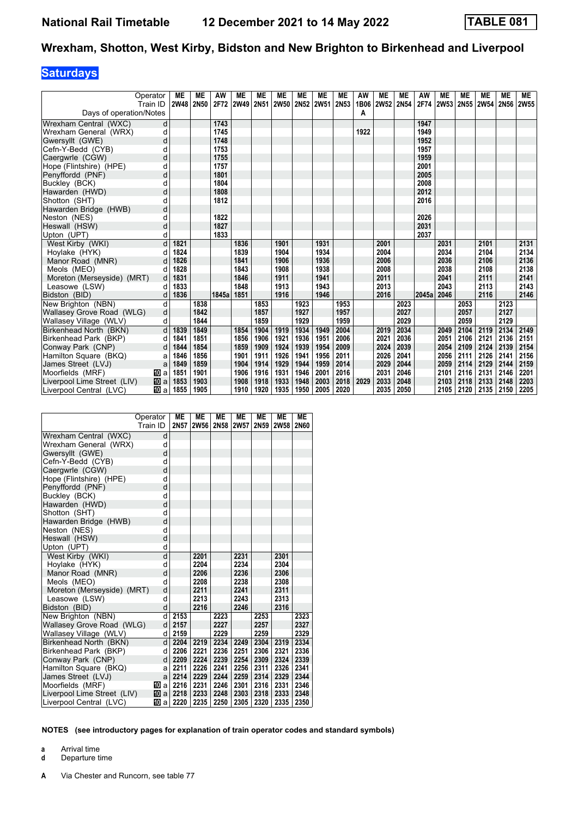# **Saturdays**

|                             | Operator<br>Train ID | ME   | ME<br>2W48 2N50 | AW<br>2F72 | МE<br><b>2W49</b> | ME<br><b>2N51</b> | <b>ME</b><br><b>2W50</b> | ME<br>2N52 | ME   | ME<br>2W51 2N53 | AW<br>1B06 | <b>ME</b><br><b>2W52</b> | ME<br>2N54 | AW<br>2F74 | <b>ME</b><br><b>2W53</b> | ME<br>2N55 | <b>ME</b><br><b>2W54</b> | МE<br><b>2N56</b> | ME<br>2W <sub>55</sub> |
|-----------------------------|----------------------|------|-----------------|------------|-------------------|-------------------|--------------------------|------------|------|-----------------|------------|--------------------------|------------|------------|--------------------------|------------|--------------------------|-------------------|------------------------|
| Days of operation/Notes     |                      |      |                 |            |                   |                   |                          |            |      |                 | A          |                          |            |            |                          |            |                          |                   |                        |
|                             |                      |      |                 |            |                   |                   |                          |            |      |                 |            |                          |            |            |                          |            |                          |                   |                        |
| Wrexham Central (WXC)       | d                    |      |                 | 1743       |                   |                   |                          |            |      |                 |            |                          |            | 1947       |                          |            |                          |                   |                        |
| Wrexham General (WRX)       | d                    |      |                 | 1745       |                   |                   |                          |            |      |                 | 1922       |                          |            | 1949       |                          |            |                          |                   |                        |
| Gwersyllt (GWE)             | d                    |      |                 | 1748       |                   |                   |                          |            |      |                 |            |                          |            | 1952       |                          |            |                          |                   |                        |
| Cefn-Y-Bedd (CYB)           | d                    |      |                 | 1753       |                   |                   |                          |            |      |                 |            |                          |            | 1957       |                          |            |                          |                   |                        |
| Caergwrle (CGW)             | d                    |      |                 | 1755       |                   |                   |                          |            |      |                 |            |                          |            | 1959       |                          |            |                          |                   |                        |
| Hope (Flintshire) (HPE)     | d                    |      |                 | 1757       |                   |                   |                          |            |      |                 |            |                          |            | 2001       |                          |            |                          |                   |                        |
| Penyffordd (PNF)            | d                    |      |                 | 1801       |                   |                   |                          |            |      |                 |            |                          |            | 2005       |                          |            |                          |                   |                        |
| Buckley (BCK)               | d                    |      |                 | 1804       |                   |                   |                          |            |      |                 |            |                          |            | 2008       |                          |            |                          |                   |                        |
| Hawarden (HWD)              | d                    |      |                 | 1808       |                   |                   |                          |            |      |                 |            |                          |            | 2012       |                          |            |                          |                   |                        |
| Shotton (SHT)               | d                    |      |                 | 1812       |                   |                   |                          |            |      |                 |            |                          |            | 2016       |                          |            |                          |                   |                        |
| Hawarden Bridge (HWB)       | d                    |      |                 |            |                   |                   |                          |            |      |                 |            |                          |            |            |                          |            |                          |                   |                        |
| Neston (NES)                | d                    |      |                 | 1822       |                   |                   |                          |            |      |                 |            |                          |            | 2026       |                          |            |                          |                   |                        |
| Heswall (HSW)               | d                    |      |                 | 1827       |                   |                   |                          |            |      |                 |            |                          |            | 2031       |                          |            |                          |                   |                        |
| Upton (UPT)                 | d                    |      |                 | 1833       |                   |                   |                          |            |      |                 |            |                          |            | 2037       |                          |            |                          |                   |                        |
| West Kirby (WKI)            | d                    | 1821 |                 |            | 1836              |                   | 1901                     |            | 1931 |                 |            | 2001                     |            |            | 2031                     |            | 2101                     |                   | 2131                   |
| Hoylake (HYK)               | d                    | 1824 |                 |            | 1839              |                   | 1904                     |            | 1934 |                 |            | 2004                     |            |            | 2034                     |            | 2104                     |                   | 2134                   |
| Manor Road (MNR)            | d                    | 1826 |                 |            | 1841              |                   | 1906                     |            | 1936 |                 |            | 2006                     |            |            | 2036                     |            | 2106                     |                   | 2136                   |
| Meols (MEO)                 | d                    | 1828 |                 |            | 1843              |                   | 1908                     |            | 1938 |                 |            | 2008                     |            |            | 2038                     |            | 2108                     |                   | 2138                   |
| Moreton (Merseyside) (MRT)  | d                    | 1831 |                 |            | 1846              |                   | 1911                     |            | 1941 |                 |            | 2011                     |            |            | 2041                     |            | 2111                     |                   | 2141                   |
| Leasowe (LSW)               | d                    | 1833 |                 |            | 1848              |                   | 1913                     |            | 1943 |                 |            | 2013                     |            |            | 2043                     |            | 2113                     |                   | 2143                   |
| Bidston (BID)               | d                    | 1836 |                 | 1845a      | 1851              |                   | 1916                     |            | 1946 |                 |            | 2016                     |            | 2045a      | 2046                     |            | 2116                     |                   | 2146                   |
| New Brighton (NBN)          | d                    |      | 1838            |            |                   | 1853              |                          | 1923       |      | 1953            |            |                          | 2023       |            |                          | 2053       |                          | 2123              |                        |
| Wallasey Grove Road (WLG)   | d                    |      | 1842            |            |                   | 1857              |                          | 1927       |      | 1957            |            |                          | 2027       |            |                          | 2057       |                          | 2127              |                        |
| Wallasey Village (WLV)      | d                    |      | 1844            |            |                   | 1859              |                          | 1929       |      | 1959            |            |                          | 2029       |            |                          | 2059       |                          | 2129              |                        |
| Birkenhead North (BKN)      | d                    | 1839 | 1849            |            | 1854              | 1904              | 1919                     | 1934       | 1949 | 2004            |            | 2019                     | 2034       |            | 2049                     | 2104       | 2119                     | 2134              | 2149                   |
| Birkenhead Park (BKP)       | d                    | 1841 | 1851            |            | 1856              | 1906              | 1921                     | 1936       | 1951 | 2006            |            | 2021                     | 2036       |            | 2051                     | 2106       | 2121                     | 2136              | 2151                   |
| Conway Park (CNP)           | d                    | 1844 | 1854            |            | 1859              | 1909              | 1924                     | 1939       | 1954 | 2009            |            | 2024                     | 2039       |            | 2054                     | 2109       | 2124                     | 2139              | 2154                   |
| Hamilton Square (BKQ)       | a                    | 1846 | 1856            |            | 1901              | 1911              | 1926                     | 1941       | 1956 | 2011            |            | 2026                     | 2041       |            | 2056                     | 2111       | 2126                     | 2141              | 2156                   |
| James Street (LVJ)          | a                    | 1849 | 1859            |            | 1904              | 1914              | 1929                     | 1944       | 1959 | 2014            |            | 2029                     | 2044       |            | 2059                     | 2114       | 2129                     | 2144              | 2159                   |
| Moorfields (MRF)            | 10 a                 | 1851 | 1901            |            | 1906              | 1916              | 1931                     | 1946       | 2001 | 2016            |            | 2031                     | 2046       |            | 2101                     | 2116       | 2131                     | 2146              | 2201                   |
| Liverpool Lime Street (LIV) | <b>ID</b> a          | 1853 | 1903            |            | 1908              | 1918              | 1933                     | 1948       | 2003 | 2018            | 2029       | 2033                     | 2048       |            | 2103                     | 2118       | 2133                     | 2148              | 2203                   |
| Liverpool Central (LVC)     | 10 a l               | 1855 | 1905            |            | 1910              | 1920              | 1935                     | 1950       | 2005 | 2020            |            | 2035                     | 2050       |            | 2105                     | 2120       | 2135                     | 2150              | 2205                   |

|                             | Operator    | МE   | MЕ          | MЕ   | MЕ          | MЕ               | МE          | <b>ME</b>   |
|-----------------------------|-------------|------|-------------|------|-------------|------------------|-------------|-------------|
|                             | Train ID    | 2N57 | <b>2W56</b> | 2N58 | <b>2W57</b> | 2N <sub>59</sub> | <b>2W58</b> | <b>2N60</b> |
| Wrexham Central (WXC)       | d           |      |             |      |             |                  |             |             |
| Wrexham General (WRX)       | d           |      |             |      |             |                  |             |             |
| Gwersyllt (GWE)             | d           |      |             |      |             |                  |             |             |
| Cefn-Y-Bedd (CYB)           | d           |      |             |      |             |                  |             |             |
| Caergwrle (CGW)             | d           |      |             |      |             |                  |             |             |
| Hope (Flintshire) (HPE)     | d           |      |             |      |             |                  |             |             |
| Penyffordd (PNF)            | d           |      |             |      |             |                  |             |             |
| Buckley (BCK)               | d           |      |             |      |             |                  |             |             |
| Hawarden (HWD)              | d           |      |             |      |             |                  |             |             |
| Shotton (SHT)               | d           |      |             |      |             |                  |             |             |
| Hawarden Bridge (HWB)       | d           |      |             |      |             |                  |             |             |
| Neston (NES)                | d           |      |             |      |             |                  |             |             |
| Heswall (HSW)               | d           |      |             |      |             |                  |             |             |
| Upton (UPT)                 | d           |      |             |      |             |                  |             |             |
| West Kirby (WKI)            | d           |      | 2201        |      | 2231        |                  | 2301        |             |
| Hoylake (HYK)               | d           |      | 2204        |      | 2234        |                  | 2304        |             |
| Manor Road (MNR)            | d           |      | 2206        |      | 2236        |                  | 2306        |             |
| Meols (MEO)                 | d           |      | 2208        |      | 2238        |                  | 2308        |             |
| Moreton (Merseyside) (MRT)  | d           |      | 2211        |      | 2241        |                  | 2311        |             |
| Leasowe (LSW)               | d           |      | 2213        |      | 2243        |                  | 2313        |             |
| Bidston (BID)               | d           |      | 2216        |      | 2246        |                  | 2316        |             |
| New Brighton (NBN)          | d           | 2153 |             | 2223 |             | 2253             |             | 2323        |
| Wallasev Grove Road (WLG)   | d           | 2157 |             | 2227 |             | 2257             |             | 2327        |
| Wallasey Village (WLV)      | d           | 2159 |             | 2229 |             | 2259             |             | 2329        |
| Birkenhead North (BKN)      | d           | 2204 | 2219        | 2234 | 2249        | 2304             | 2319        | 2334        |
| Birkenhead Park (BKP)       | d           | 2206 | 2221        | 2236 | 2251        | 2306             | 2321        | 2336        |
| Conway Park (CNP)           | d           | 2209 | 2224        | 2239 | 2254        | 2309             | 2324        | 2339        |
| Hamilton Square (BKQ)       | a           | 2211 | 2226        | 2241 | 2256        | 2311             | 2326        | 2341        |
| James Street (LVJ)          | a           | 2214 | 2229        | 2244 | 2259        | 2314             | 2329        | 2344        |
| Moorfields (MRF)            | m a         | 2216 | 2231        | 2246 | 2301        | 2316             | 2331        | 2346        |
| Liverpool Lime Street (LIV) | <b>ID</b> a | 2218 | 2233        | 2248 | 2303        | 2318             | 2333        | 2348        |
| Liverpool Central (LVC)     | 100 a       | 2220 | 2235        | 2250 | 2305        | 2320             | 2335        | 2350        |

**NOTES (see introductory pages for explanation of train operator codes and standard symbols)**

- **a** Arrival time
- **d** Departure time
- **A** Via Chester and Runcorn, see table 77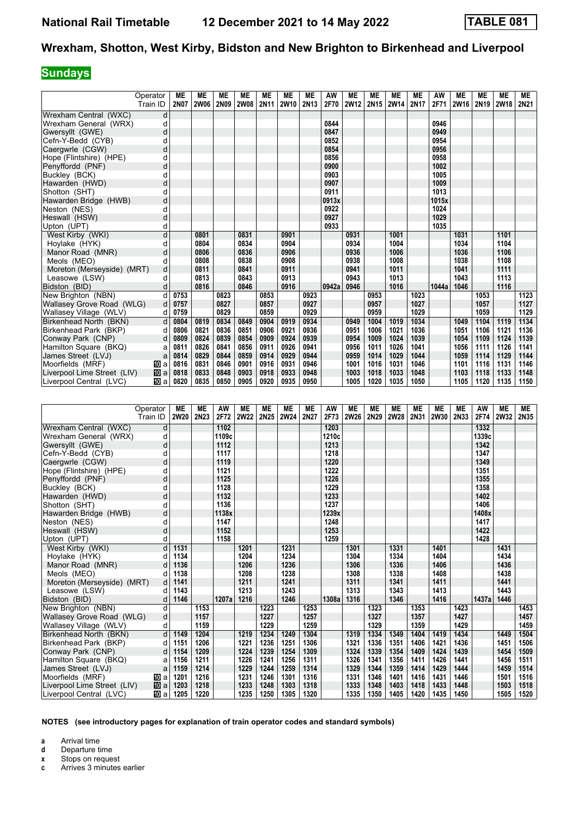## **Sundays**

|                             | Operator<br>Train ID | ME<br>2N07 | <b>ME</b><br><b>2W06</b> | <b>ME</b><br>2N09 | МE<br><b>2W08</b> | <b>ME</b><br>2N11 | <b>ME</b><br><b>2W10</b> | ME<br>2N13 | AW<br>2F70 | ME<br><b>2W12</b> | <b>ME</b><br>2N <sub>15</sub> | ME<br><b>2W14</b> | ME<br>2N17 | AW<br>2F71 | ME<br><b>2W16</b> | ME<br>2N19 | МE<br><b>2W18</b> | МE<br>2N21 |
|-----------------------------|----------------------|------------|--------------------------|-------------------|-------------------|-------------------|--------------------------|------------|------------|-------------------|-------------------------------|-------------------|------------|------------|-------------------|------------|-------------------|------------|
|                             |                      |            |                          |                   |                   |                   |                          |            |            |                   |                               |                   |            |            |                   |            |                   |            |
| Wrexham Central (WXC)       | d                    |            |                          |                   |                   |                   |                          |            |            |                   |                               |                   |            |            |                   |            |                   |            |
| Wrexham General (WRX)       | d                    |            |                          |                   |                   |                   |                          |            | 0844       |                   |                               |                   |            | 0946       |                   |            |                   |            |
| Gwersyllt (GWE)             | d                    |            |                          |                   |                   |                   |                          |            | 0847       |                   |                               |                   |            | 0949       |                   |            |                   |            |
| Cefn-Y-Bedd (CYB)           | d                    |            |                          |                   |                   |                   |                          |            | 0852       |                   |                               |                   |            | 0954       |                   |            |                   |            |
| Caergwrle (CGW)             | d                    |            |                          |                   |                   |                   |                          |            | 0854       |                   |                               |                   |            | 0956       |                   |            |                   |            |
| Hope (Flintshire) (HPE)     | d                    |            |                          |                   |                   |                   |                          |            | 0856       |                   |                               |                   |            | 0958       |                   |            |                   |            |
| Penyffordd (PNF)            | d                    |            |                          |                   |                   |                   |                          |            | 0900       |                   |                               |                   |            | 1002       |                   |            |                   |            |
| Buckley (BCK)               | d                    |            |                          |                   |                   |                   |                          |            | 0903       |                   |                               |                   |            | 1005       |                   |            |                   |            |
| Hawarden (HWD)              | d                    |            |                          |                   |                   |                   |                          |            | 0907       |                   |                               |                   |            | 1009       |                   |            |                   |            |
| Shotton (SHT)               | d                    |            |                          |                   |                   |                   |                          |            | 0911       |                   |                               |                   |            | 1013       |                   |            |                   |            |
| Hawarden Bridge (HWB)       | d                    |            |                          |                   |                   |                   |                          |            | 0913x      |                   |                               |                   |            | 1015x      |                   |            |                   |            |
| Neston (NES)                | d                    |            |                          |                   |                   |                   |                          |            | 0922       |                   |                               |                   |            | 1024       |                   |            |                   |            |
| Heswall (HSW)               | d                    |            |                          |                   |                   |                   |                          |            | 0927       |                   |                               |                   |            | 1029       |                   |            |                   |            |
| Upton (UPT)                 | d                    |            |                          |                   |                   |                   |                          |            | 0933       |                   |                               |                   |            | 1035       |                   |            |                   |            |
| West Kirby (WKI)            | d                    |            | 0801                     |                   | 0831              |                   | 0901                     |            |            | 0931              |                               | 1001              |            |            | 1031              |            | 1101              |            |
| Hoylake (HYK)               | d                    |            | 0804                     |                   | 0834              |                   | 0904                     |            |            | 0934              |                               | 1004              |            |            | 1034              |            | 1104              |            |
| Manor Road (MNR)            | d                    |            | 0806                     |                   | 0836              |                   | 0906                     |            |            | 0936              |                               | 1006              |            |            | 1036              |            | 1106              |            |
| Meols (MEO)                 | d                    |            | 0808                     |                   | 0838              |                   | 0908                     |            |            | 0938              |                               | 1008              |            |            | 1038              |            | 1108              |            |
| Moreton (Merseyside) (MRT)  | d                    |            | 0811                     |                   | 0841              |                   | 0911                     |            |            | 0941              |                               | 1011              |            |            | 1041              |            | 1111              |            |
| Leasowe (LSW)               | d                    |            | 0813                     |                   | 0843              |                   | 0913                     |            |            | 0943              |                               | 1013              |            |            | 1043              |            | 1113              |            |
| Bidston (BID)               | d                    |            | 0816                     |                   | 0846              |                   | 0916                     |            | 0942a      | 0946              |                               | 1016              |            | 1044a      | 1046              |            | 1116              |            |
| New Brighton (NBN)          | d                    | 0753       |                          | 0823              |                   | 0853              |                          | 0923       |            |                   | 0953                          |                   | 1023       |            |                   | 1053       |                   | 1123       |
| Wallasey Grove Road (WLG)   | d                    | 0757       |                          | 0827              |                   | 0857              |                          | 0927       |            |                   | 0957                          |                   | 1027       |            |                   | 1057       |                   | 1127       |
| Wallasey Village (WLV)      | d                    | 0759       |                          | 0829              |                   | 0859              |                          | 0929       |            |                   | 0959                          |                   | 1029       |            |                   | 1059       |                   | 1129       |
| Birkenhead North (BKN)      | d                    | 0804       | 0819                     | 0834              | 0849              | 0904              | 0919                     | 0934       |            | 0949              | 1004                          | 1019              | 1034       |            | 1049              | 1104       | 1119              | 1134       |
| Birkenhead Park (BKP)       | d                    | 0806       | 0821                     | 0836              | 0851              | 0906              | 0921                     | 0936       |            | 0951              | 1006                          | 1021              | 1036       |            | 1051              | 1106       | 1121              | 1136       |
| Conway Park (CNP)           | d                    | 0809       | 0824                     | 0839              | 0854              | 0909              | 0924                     | 0939       |            | 0954              | 1009                          | 1024              | 1039       |            | 1054              | 1109       | 1124              | 1139       |
| Hamilton Square (BKQ)       | a                    | 0811       | 0826                     | 0841              | 0856              | 0911              | 0926                     | 0941       |            | 0956              | 1011                          | 1026              | 1041       |            | 1056              | 1111       | 1126              | 1141       |
| James Street (LVJ)          | a                    | 0814       | 0829                     | 0844              | 0859              | 0914              | 0929                     | 0944       |            | 0959              | 1014                          | 1029              | 1044       |            | 1059              | 1114       | 1129              | 1144       |
| Moorfields (MRF)            | 吅 a                  | 0816       | 0831                     | 0846              | 0901              | 0916              | 0931                     | 0946       |            | 1001              | 1016                          | 1031              | 1046       |            | 1101              | 1116       | 1131              | 1146       |
| Liverpool Lime Street (LIV) | <b>ID</b> a          | 0818       | 0833                     | 0848              | 0903              | 0918              | 0933                     | 0948       |            | 1003              | 1018                          | 1033              | 1048       |            | 1103              | 1118       | 1133              | 1148       |
| Liverpool Central (LVC)     | <b>ID</b> a          | 0820       | 0835                     | 0850              | 0905              | 0920              | 0935                     | 0950       |            | 1005              | 1020                          | 1035              | 1050       |            | 1105              | 1120       | 1135              | 1150       |

|                             | Operator    | ME          | МE   | AW    | МE          | ME   | МE          | MЕ   | AW    | МE          | МE   | <b>ME</b> | ME   | <b>ME</b>   | МE   | AW    | <b>ME</b> | <b>ME</b> |
|-----------------------------|-------------|-------------|------|-------|-------------|------|-------------|------|-------|-------------|------|-----------|------|-------------|------|-------|-----------|-----------|
|                             | Train ID    | <b>2W20</b> | 2N23 | 2F72  | <b>2W22</b> | 2N25 | <b>2W24</b> | 2N27 | 2F73  | <b>2W26</b> | 2N29 | 2W28      | 2N31 | <b>2W30</b> | 2N33 | 2F74  | 2W32      | 2N35      |
| Wrexham Central (WXC)       | d           |             |      | 1102  |             |      |             |      | 1203  |             |      |           |      |             |      | 1332  |           |           |
| Wrexham General (WRX)       | d           |             |      | 1109c |             |      |             |      | 1210c |             |      |           |      |             |      | 1339c |           |           |
| Gwersyllt (GWE)             | d           |             |      | 1112  |             |      |             |      | 1213  |             |      |           |      |             |      | 1342  |           |           |
| Cefn-Y-Bedd (CYB)           | d           |             |      | 1117  |             |      |             |      | 1218  |             |      |           |      |             |      | 1347  |           |           |
| Caergwrle (CGW)             | d           |             |      | 1119  |             |      |             |      | 1220  |             |      |           |      |             |      | 1349  |           |           |
| Hope (Flintshire) (HPE)     | d           |             |      | 1121  |             |      |             |      | 1222  |             |      |           |      |             |      | 1351  |           |           |
| Penyffordd (PNF)            | d           |             |      | 1125  |             |      |             |      | 1226  |             |      |           |      |             |      | 1355  |           |           |
| Buckley (BCK)               | d           |             |      | 1128  |             |      |             |      | 1229  |             |      |           |      |             |      | 1358  |           |           |
| Hawarden (HWD)              | d           |             |      | 1132  |             |      |             |      | 1233  |             |      |           |      |             |      | 1402  |           |           |
| Shotton (SHT)               | d           |             |      | 1136  |             |      |             |      | 1237  |             |      |           |      |             |      | 1406  |           |           |
| Hawarden Bridge (HWB)       | d           |             |      | 1138x |             |      |             |      | 1239x |             |      |           |      |             |      | 1408x |           |           |
| Neston (NES)                | d           |             |      | 1147  |             |      |             |      | 1248  |             |      |           |      |             |      | 1417  |           |           |
| Heswall (HSW)               | d           |             |      | 1152  |             |      |             |      | 1253  |             |      |           |      |             |      | 1422  |           |           |
| Upton (UPT)                 | d           |             |      | 1158  |             |      |             |      | 1259  |             |      |           |      |             |      | 1428  |           |           |
| West Kirby (WKI)            | d           | 1131        |      |       | 1201        |      | 1231        |      |       | 1301        |      | 1331      |      | 1401        |      |       | 1431      |           |
| Hoylake (HYK)               | d           | 1134        |      |       | 1204        |      | 1234        |      |       | 1304        |      | 1334      |      | 1404        |      |       | 1434      |           |
| Manor Road (MNR)            | d           | 1136        |      |       | 1206        |      | 1236        |      |       | 1306        |      | 1336      |      | 1406        |      |       | 1436      |           |
| Meols (MEO)                 | d           | 1138        |      |       | 1208        |      | 1238        |      |       | 1308        |      | 1338      |      | 1408        |      |       | 1438      |           |
| Moreton (Merseyside) (MRT)  | d           | 1141        |      |       | 1211        |      | 1241        |      |       | 1311        |      | 1341      |      | 1411        |      |       | 1441      |           |
| Leasowe (LSW)               | d           | 1143        |      |       | 1213        |      | 1243        |      |       | 1313        |      | 1343      |      | 1413        |      |       | 1443      |           |
| Bidston (BID)               | d           | 1146        |      | 1207a | 1216        |      | 1246        |      | 1308a | 1316        |      | 1346      |      | 1416        |      | 1437a | 1446      |           |
| New Brighton (NBN)          | d           |             | 1153 |       |             | 1223 |             | 1253 |       |             | 1323 |           | 1353 |             | 1423 |       |           | 1453      |
| Wallasey Grove Road (WLG)   | d           |             | 1157 |       |             | 1227 |             | 1257 |       |             | 1327 |           | 1357 |             | 1427 |       |           | 1457      |
| Wallasey Village (WLV)      | d           |             | 1159 |       |             | 1229 |             | 1259 |       |             | 1329 |           | 1359 |             | 1429 |       |           | 1459      |
| Birkenhead North (BKN)      | d           | 1149        | 1204 |       | 1219        | 1234 | 1249        | 1304 |       | 1319        | 1334 | 1349      | 1404 | 1419        | 1434 |       | 1449      | 1504      |
| Birkenhead Park (BKP)       | d           | 1151        | 1206 |       | 1221        | 1236 | 1251        | 1306 |       | 1321        | 1336 | 1351      | 1406 | 1421        | 1436 |       | 1451      | 1506      |
| Conway Park (CNP)           | d           | 1154        | 1209 |       | 1224        | 1239 | 1254        | 1309 |       | 1324        | 1339 | 1354      | 1409 | 1424        | 1439 |       | 1454      | 1509      |
| Hamilton Square (BKQ)       | a           | 1156        | 1211 |       | 1226        | 1241 | 1256        | 1311 |       | 1326        | 1341 | 1356      | 1411 | 1426        | 1441 |       | 1456      | 1511      |
| James Street (LVJ)          | a           | 1159        | 1214 |       | 1229        | 1244 | 1259        | 1314 |       | 1329        | 1344 | 1359      | 1414 | 1429        | 1444 |       | 1459      | 1514      |
| Moorfields (MRF)            | 吅 a         | 1201        | 1216 |       | 1231        | 1246 | 1301        | 1316 |       | 1331        | 1346 | 1401      | 1416 | 1431        | 1446 |       | 1501      | 1516      |
| Liverpool Lime Street (LIV) | <b>TD</b> a | 1203        | 1218 |       | 1233        | 1248 | 1303        | 1318 |       | 1333        | 1348 | 1403      | 1418 | 1433        | 1448 |       | 1503      | 1518      |
| Liverpool Central (LVC)     | ЮП а        | 1205        | 1220 |       | 1235        | 1250 | 1305        | 1320 |       | 1335        | 1350 | 1405      | 1420 | 1435        | 1450 |       | 1505      | 1520      |

**NOTES (see introductory pages for explanation of train operator codes and standard symbols)**

**a** Arrival time

**d** Departure time<br>**x** Stops on reque **x** Stops on request<br>**c** Arrives 3 minutes

**c** Arrives 3 minutes earlier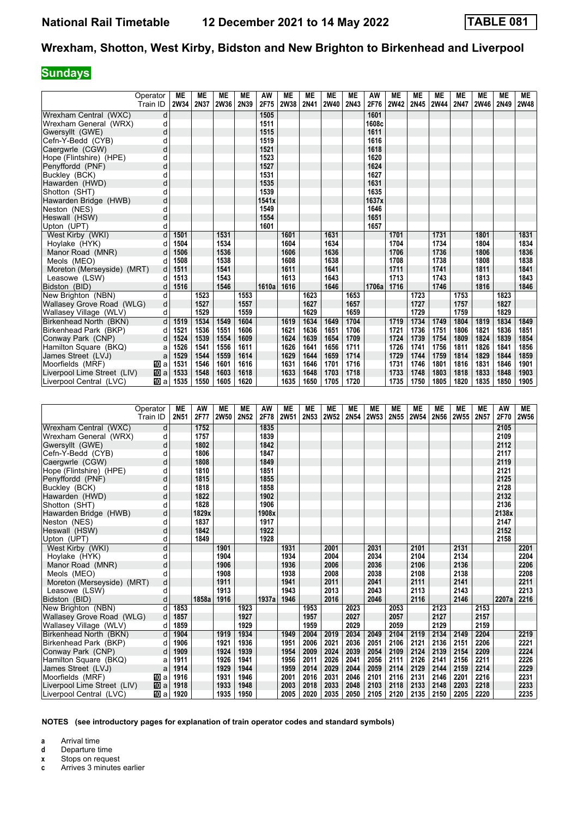## **Sundays**

|                             | Operator<br>Train ID | ME<br>2W34 | <b>ME</b><br>2N37 | ME<br>2W36 | ME<br>2N39 | <b>AW</b><br>2F75 | <b>ME</b><br>2W38 | <b>ME</b><br>2N41 | <b>ME</b><br><b>2W40</b> | ME<br>2N43 | AW<br>2F76 | <b>ME</b><br><b>2W42</b> | <b>ME</b><br>2N45 | <b>ME</b><br><b>2W44</b> | <b>ME</b><br>2N47 | ME<br>2W46 | <b>ME</b><br>2N49 | МE<br>2W48 |
|-----------------------------|----------------------|------------|-------------------|------------|------------|-------------------|-------------------|-------------------|--------------------------|------------|------------|--------------------------|-------------------|--------------------------|-------------------|------------|-------------------|------------|
|                             |                      |            |                   |            |            |                   |                   |                   |                          |            |            |                          |                   |                          |                   |            |                   |            |
| Wrexham Central (WXC)       | d                    |            |                   |            |            | 1505              |                   |                   |                          |            | 1601       |                          |                   |                          |                   |            |                   |            |
| Wrexham General (WRX)       | d                    |            |                   |            |            | 1511              |                   |                   |                          |            | 1608c      |                          |                   |                          |                   |            |                   |            |
| Gwersyllt (GWE)             | d                    |            |                   |            |            | 1515              |                   |                   |                          |            | 1611       |                          |                   |                          |                   |            |                   |            |
| Cefn-Y-Bedd (CYB)           | d                    |            |                   |            |            | 1519              |                   |                   |                          |            | 1616       |                          |                   |                          |                   |            |                   |            |
| Caergwrle (CGW)             | d                    |            |                   |            |            | 1521              |                   |                   |                          |            | 1618       |                          |                   |                          |                   |            |                   |            |
| Hope (Flintshire) (HPE)     | d                    |            |                   |            |            | 1523              |                   |                   |                          |            | 1620       |                          |                   |                          |                   |            |                   |            |
| Penyffordd (PNF)            | d                    |            |                   |            |            | 1527              |                   |                   |                          |            | 1624       |                          |                   |                          |                   |            |                   |            |
| Buckley (BCK)               | d                    |            |                   |            |            | 1531              |                   |                   |                          |            | 1627       |                          |                   |                          |                   |            |                   |            |
| Hawarden (HWD)              | d                    |            |                   |            |            | 1535              |                   |                   |                          |            | 1631       |                          |                   |                          |                   |            |                   |            |
| Shotton (SHT)               | d                    |            |                   |            |            | 1539              |                   |                   |                          |            | 1635       |                          |                   |                          |                   |            |                   |            |
| Hawarden Bridge (HWB)       | d                    |            |                   |            |            | 1541x             |                   |                   |                          |            | 1637x      |                          |                   |                          |                   |            |                   |            |
| Neston (NES)                | d                    |            |                   |            |            | 1549              |                   |                   |                          |            | 1646       |                          |                   |                          |                   |            |                   |            |
| Heswall (HSW)               | d                    |            |                   |            |            | 1554              |                   |                   |                          |            | 1651       |                          |                   |                          |                   |            |                   |            |
| Upton (UPT)                 | d                    |            |                   |            |            | 1601              |                   |                   |                          |            | 1657       |                          |                   |                          |                   |            |                   |            |
| West Kirby (WKI)            | d                    | 1501       |                   | 1531       |            |                   | 1601              |                   | 1631                     |            |            | 1701                     |                   | 1731                     |                   | 1801       |                   | 1831       |
| Hoylake (HYK)               | d                    | 1504       |                   | 1534       |            |                   | 1604              |                   | 1634                     |            |            | 1704                     |                   | 1734                     |                   | 1804       |                   | 1834       |
| Manor Road (MNR)            | d                    | 1506       |                   | 1536       |            |                   | 1606              |                   | 1636                     |            |            | 1706                     |                   | 1736                     |                   | 1806       |                   | 1836       |
| Meols (MEO)                 | d                    | 1508       |                   | 1538       |            |                   | 1608              |                   | 1638                     |            |            | 1708                     |                   | 1738                     |                   | 1808       |                   | 1838       |
| Moreton (Merseyside) (MRT)  | d                    | 1511       |                   | 1541       |            |                   | 1611              |                   | 1641                     |            |            | 1711                     |                   | 1741                     |                   | 1811       |                   | 1841       |
| Leasowe (LSW)               | d                    | 1513       |                   | 1543       |            |                   | 1613              |                   | 1643                     |            |            | 1713                     |                   | 1743                     |                   | 1813       |                   | 1843       |
| Bidston (BID)               | d                    | 1516       |                   | 1546       |            | 1610a             | 1616              |                   | 1646                     |            | 1706a      | 1716                     |                   | 1746                     |                   | 1816       |                   | 1846       |
| New Brighton (NBN)          | d                    |            | 1523              |            | 1553       |                   |                   | 1623              |                          | 1653       |            |                          | 1723              |                          | 1753              |            | 1823              |            |
| Wallasey Grove Road (WLG)   | d                    |            | 1527              |            | 1557       |                   |                   | 1627              |                          | 1657       |            |                          | 1727              |                          | 1757              |            | 1827              |            |
| Wallasey Village (WLV)      | d                    |            | 1529              |            | 1559       |                   |                   | 1629              |                          | 1659       |            |                          | 1729              |                          | 1759              |            | 1829              |            |
| Birkenhead North (BKN)      | d                    | 1519       | 1534              | 1549       | 1604       |                   | 1619              | 1634              | 1649                     | 1704       |            | 1719                     | 1734              | 1749                     | 1804              | 1819       | 1834              | 1849       |
| Birkenhead Park (BKP)       | d                    | 1521       | 1536              | 1551       | 1606       |                   | 1621              | 1636              | 1651                     | 1706       |            | 1721                     | 1736              | 1751                     | 1806              | 1821       | 1836              | 1851       |
| Conway Park (CNP)           | d                    | 1524       | 1539              | 1554       | 1609       |                   | 1624              | 1639              | 1654                     | 1709       |            | 1724                     | 1739              | 1754                     | 1809              | 1824       | 1839              | 1854       |
| Hamilton Square (BKQ)       | a                    | 1526       | 1541              | 1556       | 1611       |                   | 1626              | 1641              | 1656                     | 1711       |            | 1726                     | 1741              | 1756                     | 1811              | 1826       | 1841              | 1856       |
| James Street (LVJ)          | a                    | 1529       | 1544              | 1559       | 1614       |                   | 1629              | 1644              | 1659                     | 1714       |            | 1729                     | 1744              | 1759                     | 1814              | 1829       | 1844              | 1859       |
| Moorfields (MRF)            | 100 a                | 1531       | 1546              | 1601       | 1616       |                   | 1631              | 1646              | 1701                     | 1716       |            | 1731                     | 1746              | 1801                     | 1816              | 1831       | 1846              | 1901       |
| Liverpool Lime Street (LIV) | <b>ID</b> a          | 1533       | 1548              | 1603       | 1618       |                   | 1633              | 1648              | 1703                     | 1718       |            | 1733                     | 1748              | 1803                     | 1818              | 1833       | 1848              | 1903       |
| Liverpool Central (LVC)     | [10] a               | 1535       | 1550              | 1605       | 1620       |                   | 1635              | 1650              | 1705                     | 1720       |            | 1735                     | 1750              | 1805                     | 1820              | 1835       | 1850              | 1905       |
|                             |                      |            |                   |            |            |                   |                   |                   |                          |            |            |                          |                   |                          |                   |            |                   |            |

|                             | Operator     | МE   | AW    | МE          | MЕ   | AW    | <b>ME</b>   | MЕ   | МE          | <b>ME</b> | МE   | МE   | ME          | МE   | MЕ          | МE   | AW    | <b>ME</b> |
|-----------------------------|--------------|------|-------|-------------|------|-------|-------------|------|-------------|-----------|------|------|-------------|------|-------------|------|-------|-----------|
|                             | Train ID     | 2N51 | 2F77  | <b>2W50</b> | 2N52 | 2F78  | <b>2W51</b> | 2N53 | <b>2W52</b> | 2N54      | 2W53 | 2N55 | <b>2W54</b> | 2N56 | <b>2W55</b> | 2N57 | 2F70  | 2W56      |
| Wrexham Central (WXC)       | d            |      | 1752  |             |      | 1835  |             |      |             |           |      |      |             |      |             |      | 2105  |           |
| Wrexham General (WRX)       | d            |      | 1757  |             |      | 1839  |             |      |             |           |      |      |             |      |             |      | 2109  |           |
| Gwersyllt (GWE)             | d            |      | 1802  |             |      | 1842  |             |      |             |           |      |      |             |      |             |      | 2112  |           |
| Cefn-Y-Bedd (CYB)           | d            |      | 1806  |             |      | 1847  |             |      |             |           |      |      |             |      |             |      | 2117  |           |
| Caergwrle (CGW)             | d            |      | 1808  |             |      | 1849  |             |      |             |           |      |      |             |      |             |      | 2119  |           |
| Hope (Flintshire) (HPE)     | d            |      | 1810  |             |      | 1851  |             |      |             |           |      |      |             |      |             |      | 2121  |           |
| Penyffordd (PNF)            | d            |      | 1815  |             |      | 1855  |             |      |             |           |      |      |             |      |             |      | 2125  |           |
| Buckley (BCK)               | d            |      | 1818  |             |      | 1858  |             |      |             |           |      |      |             |      |             |      | 2128  |           |
| Hawarden (HWD)              | d            |      | 1822  |             |      | 1902  |             |      |             |           |      |      |             |      |             |      | 2132  |           |
| Shotton (SHT)               | d            |      | 1828  |             |      | 1906  |             |      |             |           |      |      |             |      |             |      | 2136  |           |
| Hawarden Bridge (HWB)       | d            |      | 1829x |             |      | 1908x |             |      |             |           |      |      |             |      |             |      | 2138x |           |
| Neston (NES)                | d            |      | 1837  |             |      | 1917  |             |      |             |           |      |      |             |      |             |      | 2147  |           |
| Heswall (HSW)               | d            |      | 1842  |             |      | 1922  |             |      |             |           |      |      |             |      |             |      | 2152  |           |
| Upton (UPT)                 | d            |      | 1849  |             |      | 1928  |             |      |             |           |      |      |             |      |             |      | 2158  |           |
| West Kirby (WKI)            | d            |      |       | 1901        |      |       | 1931        |      | 2001        |           | 2031 |      | 2101        |      | 2131        |      |       | 2201      |
| Hoylake (HYK)               | d            |      |       | 1904        |      |       | 1934        |      | 2004        |           | 2034 |      | 2104        |      | 2134        |      |       | 2204      |
| Manor Road (MNR)            | d            |      |       | 1906        |      |       | 1936        |      | 2006        |           | 2036 |      | 2106        |      | 2136        |      |       | 2206      |
| Meols (MEO)                 | d            |      |       | 1908        |      |       | 1938        |      | 2008        |           | 2038 |      | 2108        |      | 2138        |      |       | 2208      |
| Moreton (Merseyside) (MRT)  | d            |      |       | 1911        |      |       | 1941        |      | 2011        |           | 2041 |      | 2111        |      | 2141        |      |       | 2211      |
| Leasowe (LSW)               | d            |      |       | 1913        |      |       | 1943        |      | 2013        |           | 2043 |      | 2113        |      | 2143        |      |       | 2213      |
| Bidston (BID)               | d            |      | 1858a | 1916        |      | 1937a | 1946        |      | 2016        |           | 2046 |      | 2116        |      | 2146        |      | 2207a | 2216      |
| New Brighton (NBN)          | d            | 1853 |       |             | 1923 |       |             | 1953 |             | 2023      |      | 2053 |             | 2123 |             | 2153 |       |           |
| Wallasey Grove Road (WLG)   | d            | 1857 |       |             | 1927 |       |             | 1957 |             | 2027      |      | 2057 |             | 2127 |             | 2157 |       |           |
| Wallasey Village (WLV)      | d            | 1859 |       |             | 1929 |       |             | 1959 |             | 2029      |      | 2059 |             | 2129 |             | 2159 |       |           |
| Birkenhead North (BKN)      | d            | 1904 |       | 1919        | 1934 |       | 1949        | 2004 | 2019        | 2034      | 2049 | 2104 | 2119        | 2134 | 2149        | 2204 |       | 2219      |
| Birkenhead Park (BKP)       | d            | 1906 |       | 1921        | 1936 |       | 1951        | 2006 | 2021        | 2036      | 2051 | 2106 | 2121        | 2136 | 2151        | 2206 |       | 2221      |
| Conway Park (CNP)           | d            | 1909 |       | 1924        | 1939 |       | 1954        | 2009 | 2024        | 2039      | 2054 | 2109 | 2124        | 2139 | 2154        | 2209 |       | 2224      |
| Hamilton Square (BKQ)       | a            | 1911 |       | 1926        | 1941 |       | 1956        | 2011 | 2026        | 2041      | 2056 | 2111 | 2126        | 2141 | 2156        | 2211 |       | 2226      |
| James Street (LVJ)          | a            | 1914 |       | 1929        | 1944 |       | 1959        | 2014 | 2029        | 2044      | 2059 | 2114 | 2129        | 2144 | 2159        | 2214 |       | 2229      |
| Moorfields (MRF)            | 100 a        | 1916 |       | 1931        | 1946 |       | 2001        | 2016 | 2031        | 2046      | 2101 | 2116 | 2131        | 2146 | 2201        | 2216 |       | 2231      |
| Liverpool Lime Street (LIV) | <b>III</b> a | 1918 |       | 1933        | 1948 |       | 2003        | 2018 | 2033        | 2048      | 2103 | 2118 | 2133        | 2148 | 2203        | 2218 |       | 2233      |
| Liverpool Central (LVC)     | 们 a          | 1920 |       | 1935        | 1950 |       | 2005        | 2020 | 2035        | 2050      | 2105 | 2120 | 2135        | 2150 | 2205        | 2220 |       | 2235      |

**NOTES (see introductory pages for explanation of train operator codes and standard symbols)**

**a** Arrival time

**d** Departure time<br>**x** Stops on reque

**x** Stops on request<br>**c** Arrives 3 minutes **c** Arrives 3 minutes earlier